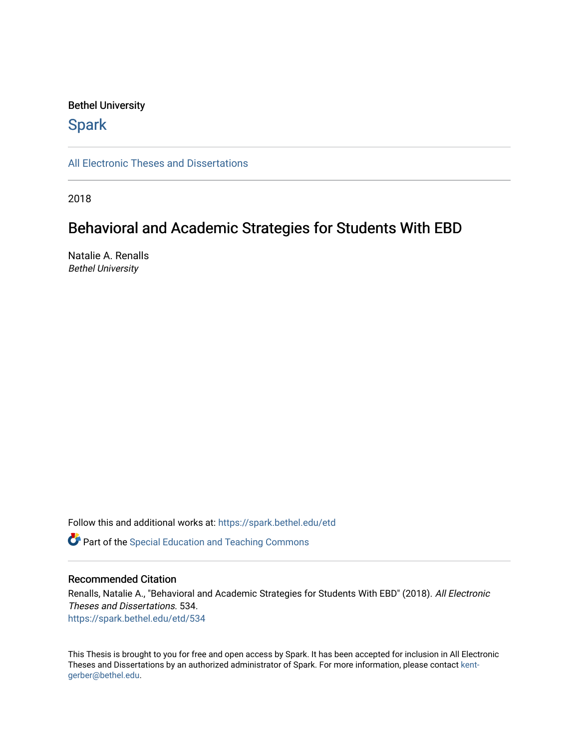#### Bethel University

## **Spark**

[All Electronic Theses and Dissertations](https://spark.bethel.edu/etd) 

2018

## Behavioral and Academic Strategies for Students With EBD

Natalie A. Renalls Bethel University

Follow this and additional works at: [https://spark.bethel.edu/etd](https://spark.bethel.edu/etd?utm_source=spark.bethel.edu%2Fetd%2F534&utm_medium=PDF&utm_campaign=PDFCoverPages)

**C** Part of the Special Education and Teaching Commons

#### Recommended Citation

Renalls, Natalie A., "Behavioral and Academic Strategies for Students With EBD" (2018). All Electronic Theses and Dissertations. 534. [https://spark.bethel.edu/etd/534](https://spark.bethel.edu/etd/534?utm_source=spark.bethel.edu%2Fetd%2F534&utm_medium=PDF&utm_campaign=PDFCoverPages)

This Thesis is brought to you for free and open access by Spark. It has been accepted for inclusion in All Electronic Theses and Dissertations by an authorized administrator of Spark. For more information, please contact [kent](mailto:kent-gerber@bethel.edu)[gerber@bethel.edu.](mailto:kent-gerber@bethel.edu)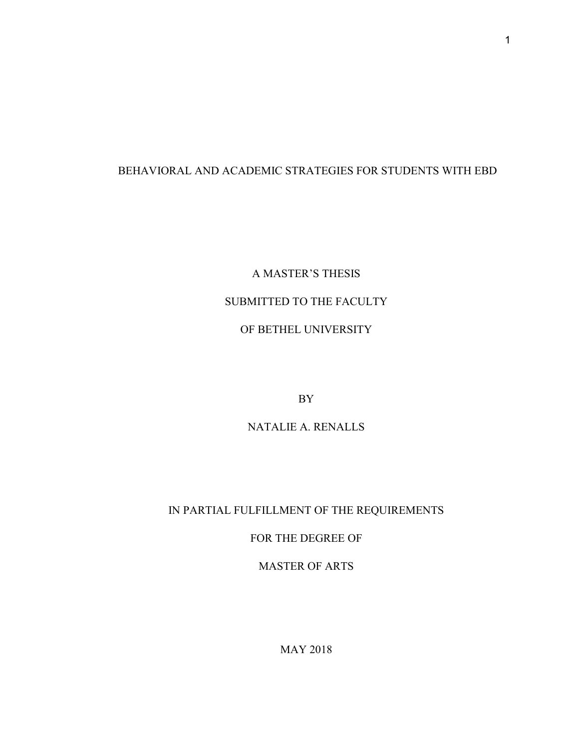## BEHAVIORAL AND ACADEMIC STRATEGIES FOR STUDENTS WITH EBD

# A MASTER'S THESIS SUBMITTED TO THE FACULTY OF BETHEL UNIVERSITY

BY

NATALIE A. RENALLS

## IN PARTIAL FULFILLMENT OF THE REQUIREMENTS

FOR THE DEGREE OF

MASTER OF ARTS

MAY 2018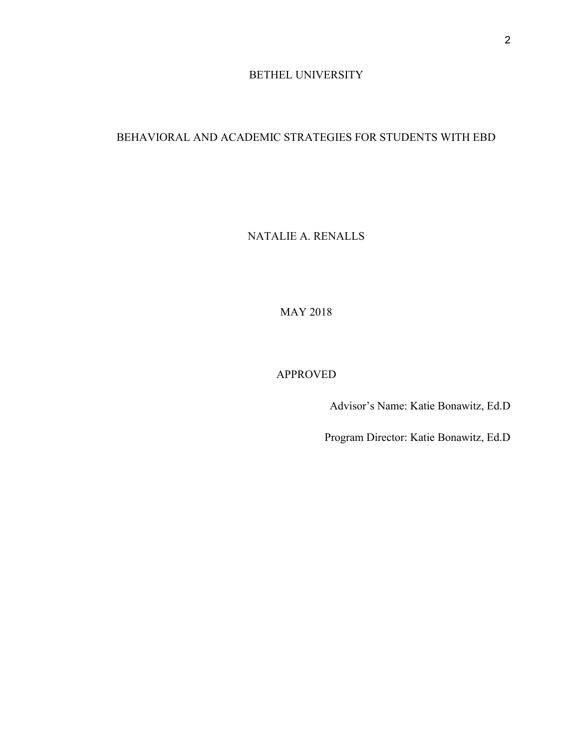### BETHEL UNIVERSITY

## BEHAVIORAL AND ACADEMIC STRATEGIES FOR STUDENTS WITH EBD

NATALIE A. RENALLS

MAY 2018

## APPROVED

Advisor's Name: Katie Bonawitz, Ed.D

Program Director: Katie Bonawitz, Ed.D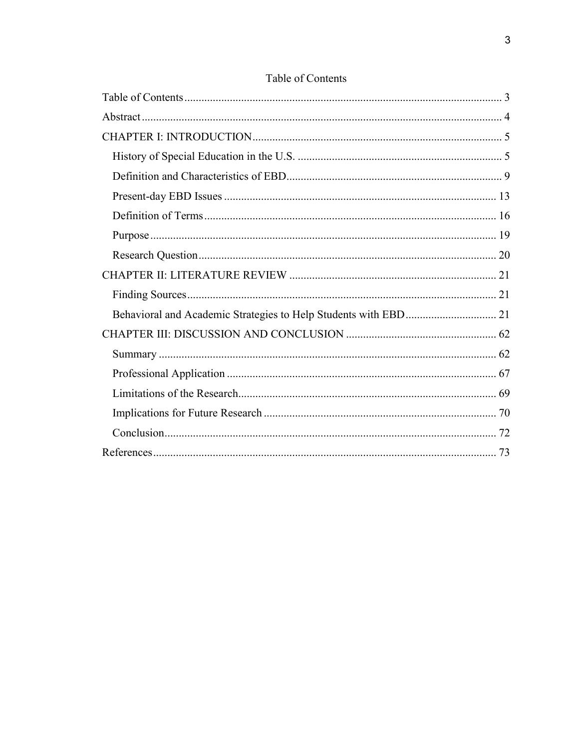<span id="page-3-0"></span>

## Table of Contents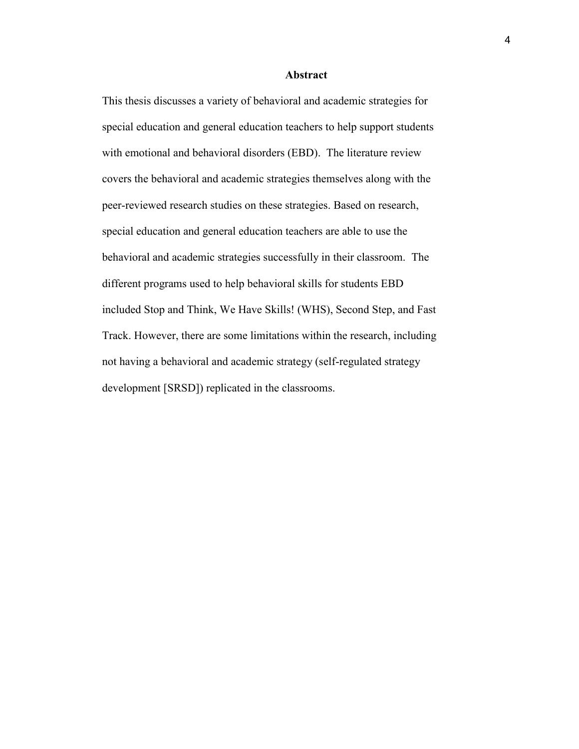#### **Abstract**

<span id="page-4-0"></span>This thesis discusses a variety of behavioral and academic strategies for special education and general education teachers to help support students with emotional and behavioral disorders (EBD). The literature review covers the behavioral and academic strategies themselves along with the peer-reviewed research studies on these strategies. Based on research, special education and general education teachers are able to use the behavioral and academic strategies successfully in their classroom. The different programs used to help behavioral skills for students EBD included Stop and Think, We Have Skills! (WHS), Second Step, and Fast Track. However, there are some limitations within the research, including not having a behavioral and academic strategy (self-regulated strategy development [SRSD]) replicated in the classrooms.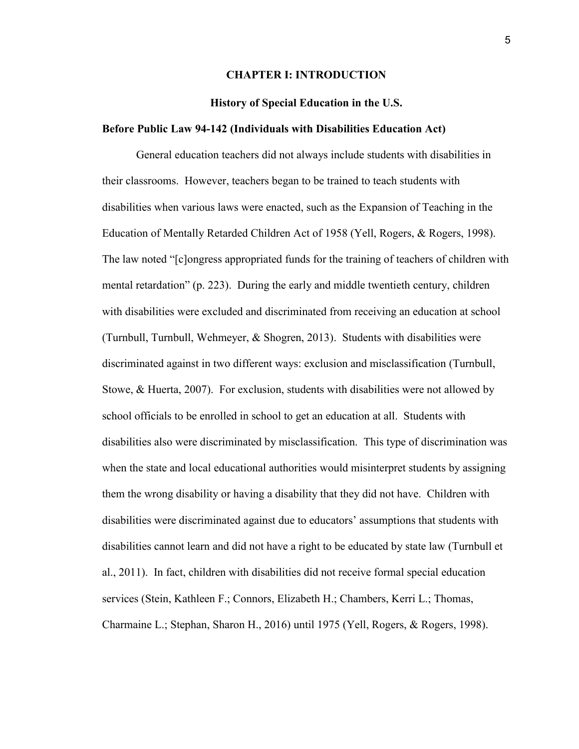#### **CHAPTER I: INTRODUCTION**

#### **History of Special Education in the U.S.**

#### <span id="page-5-1"></span><span id="page-5-0"></span>**Before Public Law 94-142 (Individuals with Disabilities Education Act)**

General education teachers did not always include students with disabilities in their classrooms. However, teachers began to be trained to teach students with disabilities when various laws were enacted, such as the Expansion of Teaching in the Education of Mentally Retarded Children Act of 1958 (Yell, Rogers, & Rogers, 1998). The law noted "[c]ongress appropriated funds for the training of teachers of children with mental retardation" (p. 223). During the early and middle twentieth century, children with disabilities were excluded and discriminated from receiving an education at school (Turnbull, Turnbull, Wehmeyer, & Shogren, 2013). Students with disabilities were discriminated against in two different ways: exclusion and misclassification (Turnbull, Stowe, & Huerta, 2007). For exclusion, students with disabilities were not allowed by school officials to be enrolled in school to get an education at all. Students with disabilities also were discriminated by misclassification. This type of discrimination was when the state and local educational authorities would misinterpret students by assigning them the wrong disability or having a disability that they did not have. Children with disabilities were discriminated against due to educators' assumptions that students with disabilities cannot learn and did not have a right to be educated by state law (Turnbull et al., 2011). In fact, children with disabilities did not receive formal special education services (Stein, Kathleen F.; Connors, Elizabeth H.; Chambers, Kerri L.; Thomas, Charmaine L.; Stephan, Sharon H., 2016) until 1975 (Yell, Rogers, & Rogers, 1998).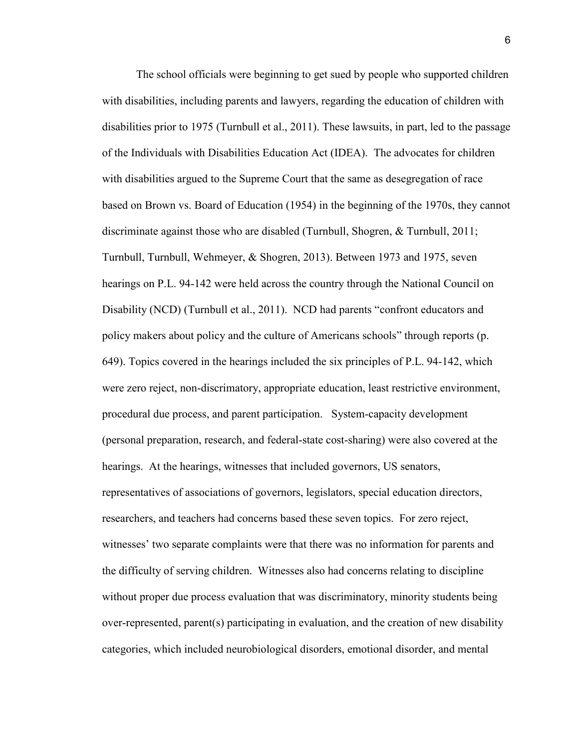The school officials were beginning to get sued by people who supported children with disabilities, including parents and lawyers, regarding the education of children with disabilities prior to 1975 (Turnbull et al., 2011). These lawsuits, in part, led to the passage of the Individuals with Disabilities Education Act (IDEA). The advocates for children with disabilities argued to the Supreme Court that the same as desegregation of race based on Brown vs. Board of Education (1954) in the beginning of the 1970s, they cannot discriminate against those who are disabled (Turnbull, Shogren, & Turnbull, 2011; Turnbull, Turnbull, Wehmeyer, & Shogren, 2013). Between 1973 and 1975, seven hearings on P.L. 94-142 were held across the country through the National Council on Disability (NCD) (Turnbull et al., 2011). NCD had parents "confront educators and policy makers about policy and the culture of Americans schools" through reports (p. 649). Topics covered in the hearings included the six principles of P.L. 94-142, which were zero reject, non-discrimatory, appropriate education, least restrictive environment, procedural due process, and parent participation. System-capacity development (personal preparation, research, and federal-state cost-sharing) were also covered at the hearings. At the hearings, witnesses that included governors, US senators, representatives of associations of governors, legislators, special education directors, researchers, and teachers had concerns based these seven topics. For zero reject, witnesses' two separate complaints were that there was no information for parents and the difficulty of serving children. Witnesses also had concerns relating to discipline without proper due process evaluation that was discriminatory, minority students being over-represented, parent(s) participating in evaluation, and the creation of new disability categories, which included neurobiological disorders, emotional disorder, and mental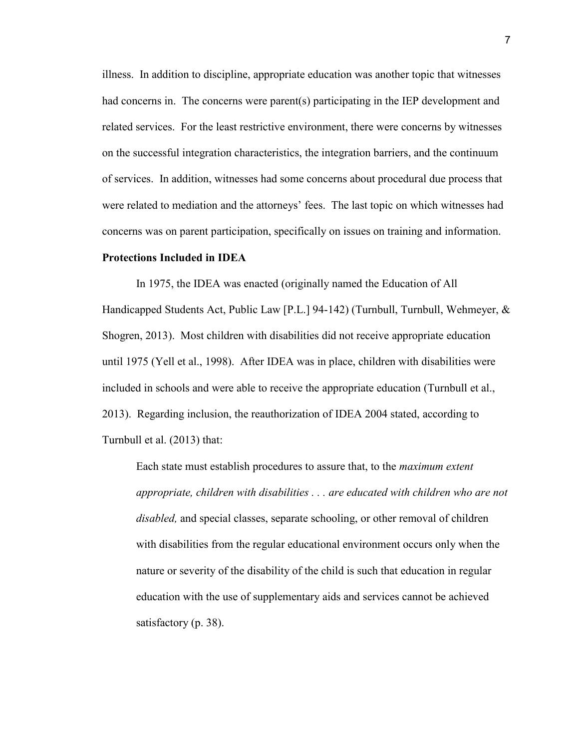illness. In addition to discipline, appropriate education was another topic that witnesses had concerns in. The concerns were parent(s) participating in the IEP development and related services. For the least restrictive environment, there were concerns by witnesses on the successful integration characteristics, the integration barriers, and the continuum of services. In addition, witnesses had some concerns about procedural due process that were related to mediation and the attorneys' fees. The last topic on which witnesses had concerns was on parent participation, specifically on issues on training and information.

#### **Protections Included in IDEA**

In 1975, the IDEA was enacted (originally named the Education of All Handicapped Students Act, Public Law [P.L.] 94-142) (Turnbull, Turnbull, Wehmeyer, & Shogren, 2013). Most children with disabilities did not receive appropriate education until 1975 (Yell et al., 1998). After IDEA was in place, children with disabilities were included in schools and were able to receive the appropriate education (Turnbull et al., 2013). Regarding inclusion, the reauthorization of IDEA 2004 stated, according to Turnbull et al. (2013) that:

Each state must establish procedures to assure that, to the *maximum extent appropriate, children with disabilities . . . are educated with children who are not disabled,* and special classes, separate schooling, or other removal of children with disabilities from the regular educational environment occurs only when the nature or severity of the disability of the child is such that education in regular education with the use of supplementary aids and services cannot be achieved satisfactory (p. 38).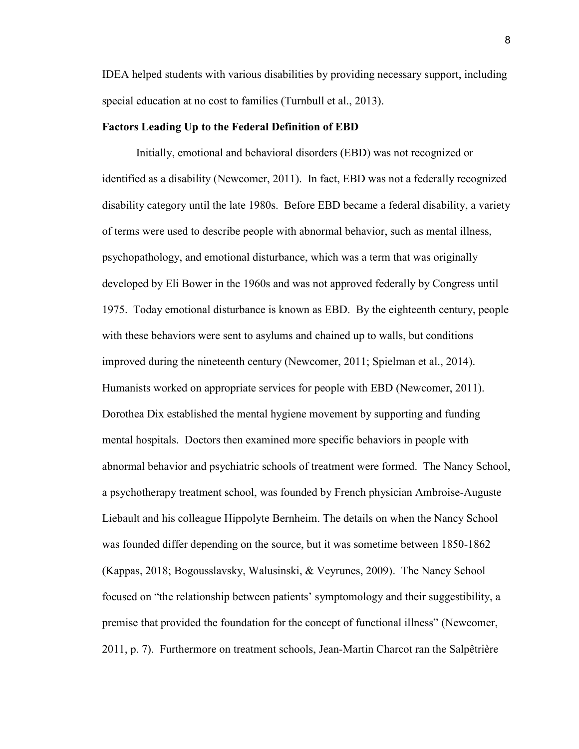IDEA helped students with various disabilities by providing necessary support, including special education at no cost to families (Turnbull et al., 2013).

#### **Factors Leading Up to the Federal Definition of EBD**

Initially, emotional and behavioral disorders (EBD) was not recognized or identified as a disability (Newcomer, 2011). In fact, EBD was not a federally recognized disability category until the late 1980s. Before EBD became a federal disability, a variety of terms were used to describe people with abnormal behavior, such as mental illness, psychopathology, and emotional disturbance, which was a term that was originally developed by Eli Bower in the 1960s and was not approved federally by Congress until 1975. Today emotional disturbance is known as EBD. By the eighteenth century, people with these behaviors were sent to asylums and chained up to walls, but conditions improved during the nineteenth century (Newcomer, 2011; Spielman et al., 2014). Humanists worked on appropriate services for people with EBD (Newcomer, 2011). Dorothea Dix established the mental hygiene movement by supporting and funding mental hospitals. Doctors then examined more specific behaviors in people with abnormal behavior and psychiatric schools of treatment were formed. The Nancy School, a psychotherapy treatment school, was founded by French physician Ambroise-Auguste Liebault and his colleague Hippolyte Bernheim. The details on when the Nancy School was founded differ depending on the source, but it was sometime between 1850-1862 (Kappas, 2018; Bogousslavsky, Walusinski, & Veyrunes, 2009). The Nancy School focused on "the relationship between patients' symptomology and their suggestibility, a premise that provided the foundation for the concept of functional illness" (Newcomer, 2011, p. 7). Furthermore on treatment schools, Jean-Martin Charcot ran the Salpêtrière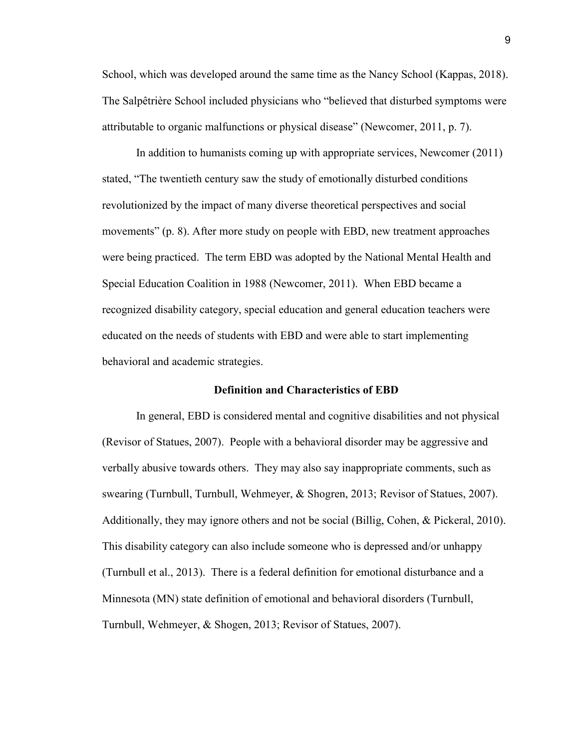School, which was developed around the same time as the Nancy School (Kappas, 2018). The Salpêtrière School included physicians who "believed that disturbed symptoms were attributable to organic malfunctions or physical disease" (Newcomer, 2011, p. 7).

In addition to humanists coming up with appropriate services, Newcomer (2011) stated, "The twentieth century saw the study of emotionally disturbed conditions revolutionized by the impact of many diverse theoretical perspectives and social movements" (p. 8). After more study on people with EBD, new treatment approaches were being practiced. The term EBD was adopted by the National Mental Health and Special Education Coalition in 1988 (Newcomer, 2011). When EBD became a recognized disability category, special education and general education teachers were educated on the needs of students with EBD and were able to start implementing behavioral and academic strategies.

#### **Definition and Characteristics of EBD**

<span id="page-9-0"></span>In general, EBD is considered mental and cognitive disabilities and not physical (Revisor of Statues, 2007). People with a behavioral disorder may be aggressive and verbally abusive towards others. They may also say inappropriate comments, such as swearing (Turnbull, Turnbull, Wehmeyer, & Shogren, 2013; Revisor of Statues, 2007). Additionally, they may ignore others and not be social (Billig, Cohen, & Pickeral, 2010). This disability category can also include someone who is depressed and/or unhappy (Turnbull et al., 2013). There is a federal definition for emotional disturbance and a Minnesota (MN) state definition of emotional and behavioral disorders (Turnbull, Turnbull, Wehmeyer, & Shogen, 2013; Revisor of Statues, 2007).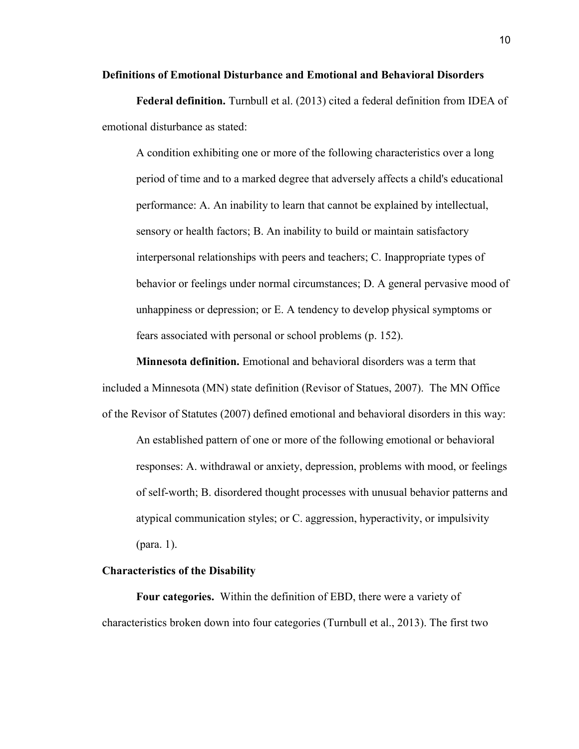#### **Definitions of Emotional Disturbance and Emotional and Behavioral Disorders**

**Federal definition.** Turnbull et al. (2013) cited a federal definition from IDEA of emotional disturbance as stated:

A condition exhibiting one or more of the following characteristics over a long period of time and to a marked degree that adversely affects a child's educational performance: A. An inability to learn that cannot be explained by intellectual, sensory or health factors; B. An inability to build or maintain satisfactory interpersonal relationships with peers and teachers; C. Inappropriate types of behavior or feelings under normal circumstances; D. A general pervasive mood of unhappiness or depression; or E. A tendency to develop physical symptoms or fears associated with personal or school problems (p. 152).

**Minnesota definition.** Emotional and behavioral disorders was a term that included a Minnesota (MN) state definition (Revisor of Statues, 2007). The MN Office of the Revisor of Statutes (2007) defined emotional and behavioral disorders in this way: An established pattern of one or more of the following emotional or behavioral responses: A. withdrawal or anxiety, depression, problems with mood, or feelings of self-worth; B. disordered thought processes with unusual behavior patterns and atypical communication styles; or C. aggression, hyperactivity, or impulsivity

(para. 1).

#### **Characteristics of the Disability**

**Four categories.** Within the definition of EBD, there were a variety of characteristics broken down into four categories (Turnbull et al., 2013). The first two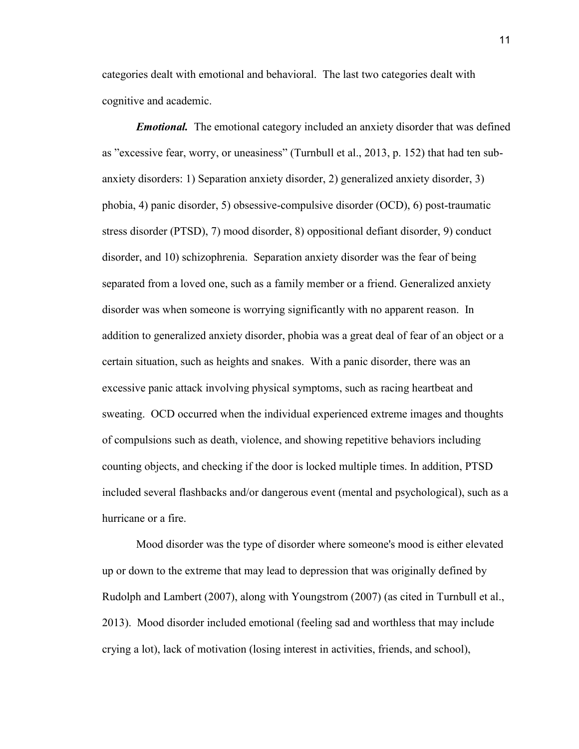categories dealt with emotional and behavioral. The last two categories dealt with cognitive and academic.

*Emotional.* The emotional category included an anxiety disorder that was defined as "excessive fear, worry, or uneasiness" (Turnbull et al., 2013, p. 152) that had ten subanxiety disorders: 1) Separation anxiety disorder, 2) generalized anxiety disorder, 3) phobia, 4) panic disorder, 5) obsessive-compulsive disorder (OCD), 6) post-traumatic stress disorder (PTSD), 7) mood disorder, 8) oppositional defiant disorder, 9) conduct disorder, and 10) schizophrenia. Separation anxiety disorder was the fear of being separated from a loved one, such as a family member or a friend. Generalized anxiety disorder was when someone is worrying significantly with no apparent reason. In addition to generalized anxiety disorder, phobia was a great deal of fear of an object or a certain situation, such as heights and snakes. With a panic disorder, there was an excessive panic attack involving physical symptoms, such as racing heartbeat and sweating. OCD occurred when the individual experienced extreme images and thoughts of compulsions such as death, violence, and showing repetitive behaviors including counting objects, and checking if the door is locked multiple times. In addition, PTSD included several flashbacks and/or dangerous event (mental and psychological), such as a hurricane or a fire.

Mood disorder was the type of disorder where someone's mood is either elevated up or down to the extreme that may lead to depression that was originally defined by Rudolph and Lambert (2007), along with Youngstrom (2007) (as cited in Turnbull et al., 2013). Mood disorder included emotional (feeling sad and worthless that may include crying a lot), lack of motivation (losing interest in activities, friends, and school),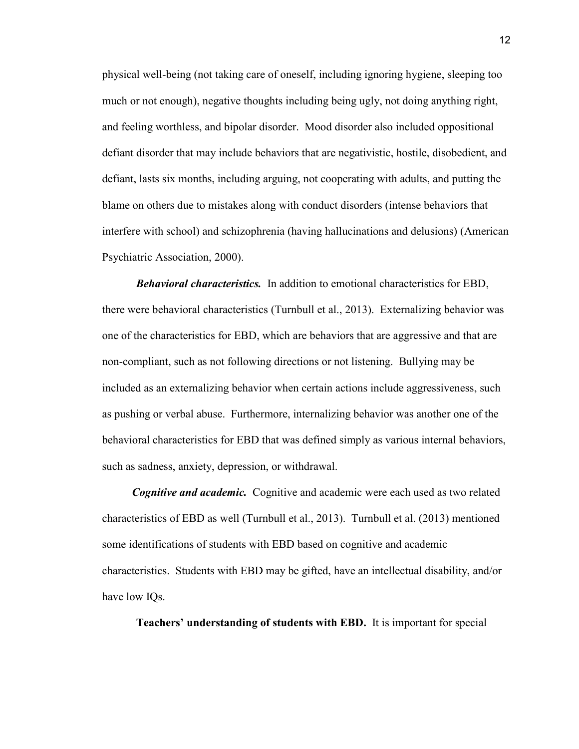physical well-being (not taking care of oneself, including ignoring hygiene, sleeping too much or not enough), negative thoughts including being ugly, not doing anything right, and feeling worthless, and bipolar disorder. Mood disorder also included oppositional defiant disorder that may include behaviors that are negativistic, hostile, disobedient, and defiant, lasts six months, including arguing, not cooperating with adults, and putting the blame on others due to mistakes along with conduct disorders (intense behaviors that interfere with school) and schizophrenia (having hallucinations and delusions) (American Psychiatric Association, 2000).

*Behavioral characteristics.* In addition to emotional characteristics for EBD, there were behavioral characteristics (Turnbull et al., 2013). Externalizing behavior was one of the characteristics for EBD, which are behaviors that are aggressive and that are non-compliant, such as not following directions or not listening. Bullying may be included as an externalizing behavior when certain actions include aggressiveness, such as pushing or verbal abuse. Furthermore, internalizing behavior was another one of the behavioral characteristics for EBD that was defined simply as various internal behaviors, such as sadness, anxiety, depression, or withdrawal.

*Cognitive and academic.* Cognitive and academic were each used as two related characteristics of EBD as well (Turnbull et al., 2013). Turnbull et al. (2013) mentioned some identifications of students with EBD based on cognitive and academic characteristics. Students with EBD may be gifted, have an intellectual disability, and/or have low IQs.

**Teachers' understanding of students with EBD.** It is important for special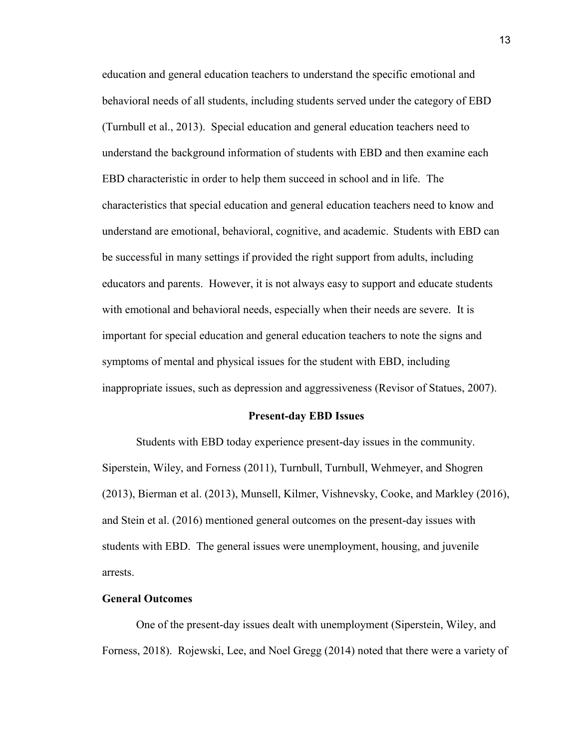education and general education teachers to understand the specific emotional and behavioral needs of all students, including students served under the category of EBD (Turnbull et al., 2013). Special education and general education teachers need to understand the background information of students with EBD and then examine each EBD characteristic in order to help them succeed in school and in life. The characteristics that special education and general education teachers need to know and understand are emotional, behavioral, cognitive, and academic.Students with EBD can be successful in many settings if provided the right support from adults, including educators and parents. However, it is not always easy to support and educate students with emotional and behavioral needs, especially when their needs are severe. It is important for special education and general education teachers to note the signs and symptoms of mental and physical issues for the student with EBD, including inappropriate issues, such as depression and aggressiveness (Revisor of Statues, 2007).

#### **Present-day EBD Issues**

<span id="page-13-0"></span>Students with EBD today experience present-day issues in the community. Siperstein, Wiley, and Forness (2011), Turnbull, Turnbull, Wehmeyer, and Shogren (2013), Bierman et al. (2013), Munsell, Kilmer, Vishnevsky, Cooke, and Markley (2016), and Stein et al. (2016) mentioned general outcomes on the present-day issues with students with EBD. The general issues were unemployment, housing, and juvenile arrests.

#### **General Outcomes**

One of the present-day issues dealt with unemployment (Siperstein, Wiley, and Forness, 2018). Rojewski, Lee, and Noel Gregg (2014) noted that there were a variety of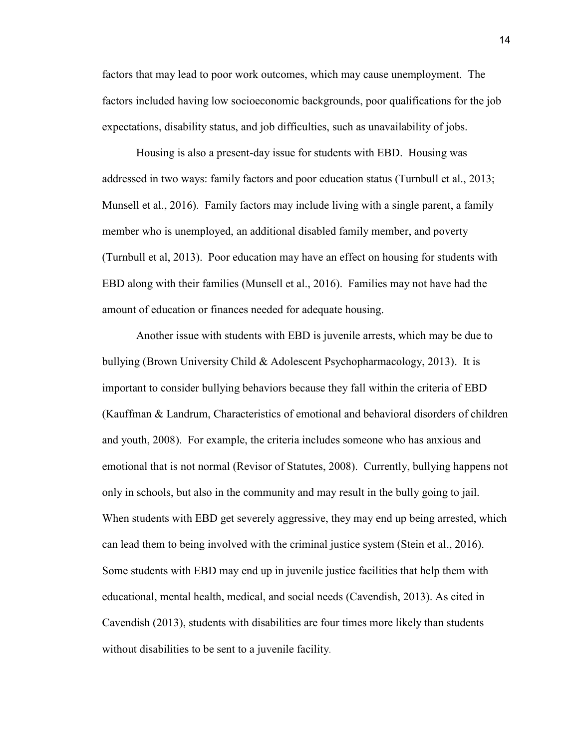factors that may lead to poor work outcomes, which may cause unemployment. The factors included having low socioeconomic backgrounds, poor qualifications for the job expectations, disability status, and job difficulties, such as unavailability of jobs.

Housing is also a present-day issue for students with EBD. Housing was addressed in two ways: family factors and poor education status (Turnbull et al., 2013; Munsell et al., 2016). Family factors may include living with a single parent, a family member who is unemployed, an additional disabled family member, and poverty (Turnbull et al, 2013). Poor education may have an effect on housing for students with EBD along with their families (Munsell et al., 2016). Families may not have had the amount of education or finances needed for adequate housing.

Another issue with students with EBD is juvenile arrests, which may be due to bullying (Brown University Child & Adolescent Psychopharmacology, 2013). It is important to consider bullying behaviors because they fall within the criteria of EBD (Kauffman & Landrum, Characteristics of emotional and behavioral disorders of children and youth, 2008). For example, the criteria includes someone who has anxious and emotional that is not normal (Revisor of Statutes, 2008). Currently, bullying happens not only in schools, but also in the community and may result in the bully going to jail. When students with EBD get severely aggressive, they may end up being arrested, which can lead them to being involved with the criminal justice system (Stein et al., 2016). Some students with EBD may end up in juvenile justice facilities that help them with educational, mental health, medical, and social needs (Cavendish, 2013). As cited in Cavendish (2013), students with disabilities are four times more likely than students without disabilities to be sent to a juvenile facility.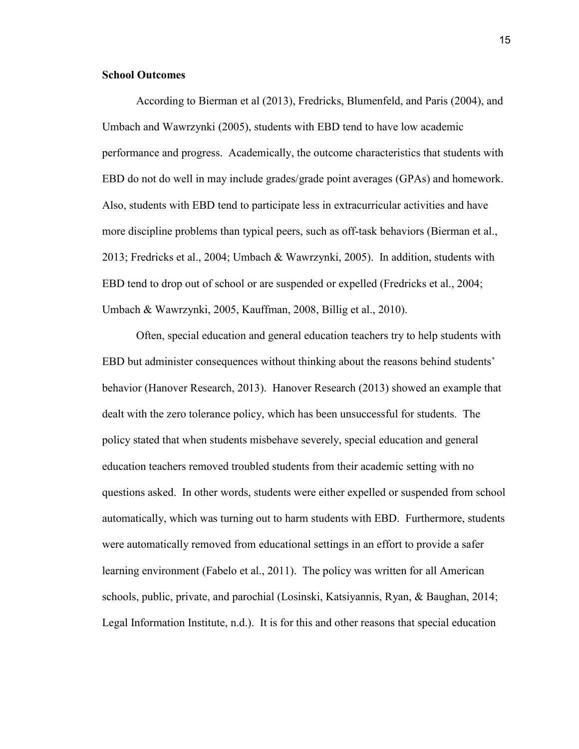#### **School Outcomes**

According to Bierman et al (2013), Fredricks, Blumenfeld, and Paris (2004), and Umbach and Wawrzynki (2005), students with EBD tend to have low academic performance and progress. Academically, the outcome characteristics that students with EBD do not do well in may include grades/grade point averages (GPAs) and homework. Also, students with EBD tend to participate less in extracurricular activities and have more discipline problems than typical peers, such as off-task behaviors (Bierman et al., 2013; Fredricks et al., 2004; Umbach & Wawrzynki, 2005). In addition, students with EBD tend to drop out of school or are suspended or expelled (Fredricks et al., 2004; Umbach & Wawrzynki, 2005, Kauffman, 2008, Billig et al., 2010).

Often, special education and general education teachers try to help students with EBD but administer consequences without thinking about the reasons behind students' behavior (Hanover Research, 2013). Hanover Research (2013) showed an example that dealt with the zero tolerance policy, which has been unsuccessful for students. The policy stated that when students misbehave severely, special education and general education teachers removed troubled students from their academic setting with no questions asked. In other words, students were either expelled or suspended from school automatically, which was turning out to harm students with EBD. Furthermore, students were automatically removed from educational settings in an effort to provide a safer learning environment (Fabelo et al., 2011). The policy was written for all American schools, public, private, and parochial (Losinski, Katsiyannis, Ryan, & Baughan, 2014; Legal Information Institute, n.d.). It is for this and other reasons that special education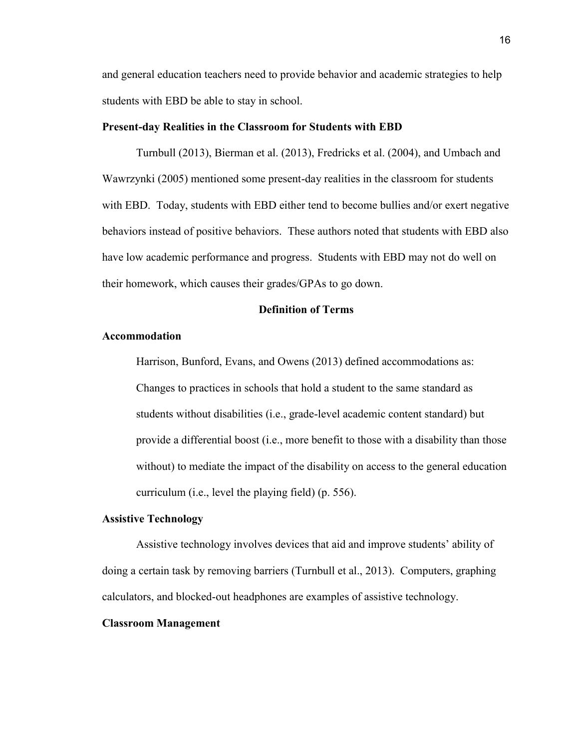and general education teachers need to provide behavior and academic strategies to help students with EBD be able to stay in school.

#### **Present-day Realities in the Classroom for Students with EBD**

Turnbull (2013), Bierman et al. (2013), Fredricks et al. (2004), and Umbach and Wawrzynki (2005) mentioned some present-day realities in the classroom for students with EBD. Today, students with EBD either tend to become bullies and/or exert negative behaviors instead of positive behaviors. These authors noted that students with EBD also have low academic performance and progress. Students with EBD may not do well on their homework, which causes their grades/GPAs to go down.

#### **Definition of Terms**

#### <span id="page-16-0"></span>**Accommodation**

Harrison, Bunford, Evans, and Owens (2013) defined accommodations as: Changes to practices in schools that hold a student to the same standard as students without disabilities (i.e., grade-level academic content standard) but provide a differential boost (i.e., more benefit to those with a disability than those without) to mediate the impact of the disability on access to the general education curriculum (i.e., level the playing field) (p. 556).

#### **Assistive Technology**

Assistive technology involves devices that aid and improve students' ability of doing a certain task by removing barriers (Turnbull et al., 2013). Computers, graphing calculators, and blocked-out headphones are examples of assistive technology.

#### **Classroom Management**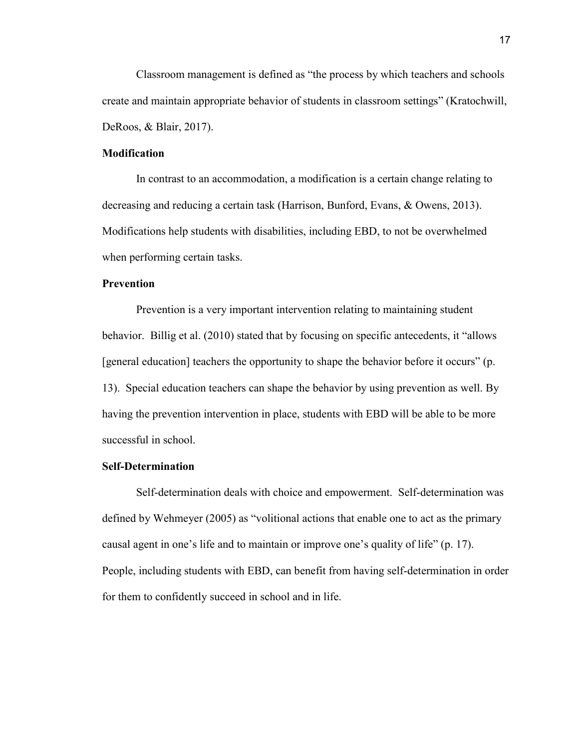Classroom management is defined as "the process by which teachers and schools create and maintain appropriate behavior of students in classroom settings" (Kratochwill, DeRoos, & Blair, 2017).

#### **Modification**

In contrast to an accommodation, a modification is a certain change relating to decreasing and reducing a certain task (Harrison, Bunford, Evans, & Owens, 2013). Modifications help students with disabilities, including EBD, to not be overwhelmed when performing certain tasks.

#### **Prevention**

Prevention is a very important intervention relating to maintaining student behavior. Billig et al. (2010) stated that by focusing on specific antecedents, it "allows [general education] teachers the opportunity to shape the behavior before it occurs" (p. 13). Special education teachers can shape the behavior by using prevention as well. By having the prevention intervention in place, students with EBD will be able to be more successful in school.

#### **Self-Determination**

 Self-determination deals with choice and empowerment. Self-determination was defined by Wehmeyer (2005) as "volitional actions that enable one to act as the primary causal agent in one's life and to maintain or improve one's quality of life" (p. 17). People, including students with EBD, can benefit from having self-determination in order for them to confidently succeed in school and in life.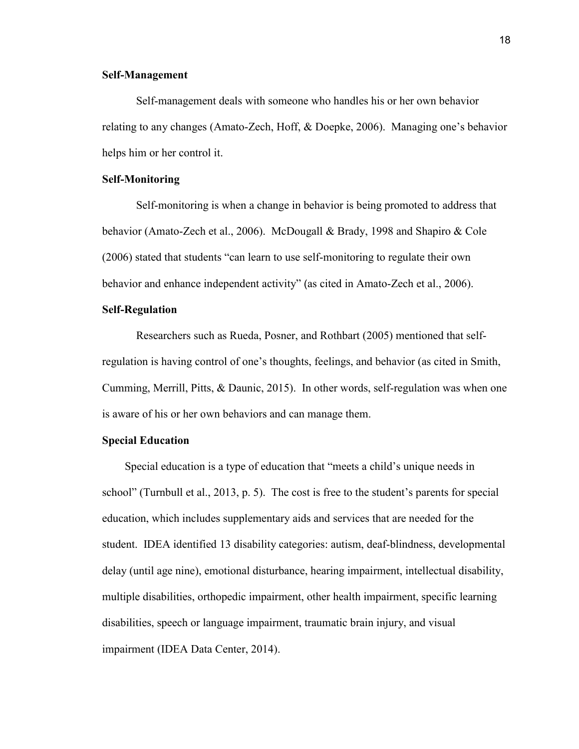#### **Self-Management**

 Self-management deals with someone who handles his or her own behavior relating to any changes (Amato-Zech, Hoff, & Doepke, 2006). Managing one's behavior helps him or her control it.

#### **Self-Monitoring**

 Self-monitoring is when a change in behavior is being promoted to address that behavior (Amato-Zech et al., 2006). McDougall & Brady, 1998 and Shapiro & Cole (2006) stated that students "can learn to use self-monitoring to regulate their own behavior and enhance independent activity" (as cited in Amato-Zech et al., 2006).

#### **Self-Regulation**

Researchers such as Rueda, Posner, and Rothbart (2005) mentioned that selfregulation is having control of one's thoughts, feelings, and behavior (as cited in Smith, Cumming, Merrill, Pitts, & Daunic, 2015). In other words, self-regulation was when one is aware of his or her own behaviors and can manage them.

#### **Special Education**

Special education is a type of education that "meets a child's unique needs in school" (Turnbull et al., 2013, p. 5). The cost is free to the student's parents for special education, which includes supplementary aids and services that are needed for the student. IDEA identified 13 disability categories: autism, deaf-blindness, developmental delay (until age nine), emotional disturbance, hearing impairment, intellectual disability, multiple disabilities, orthopedic impairment, other health impairment, specific learning disabilities, speech or language impairment, traumatic brain injury, and visual impairment (IDEA Data Center, 2014).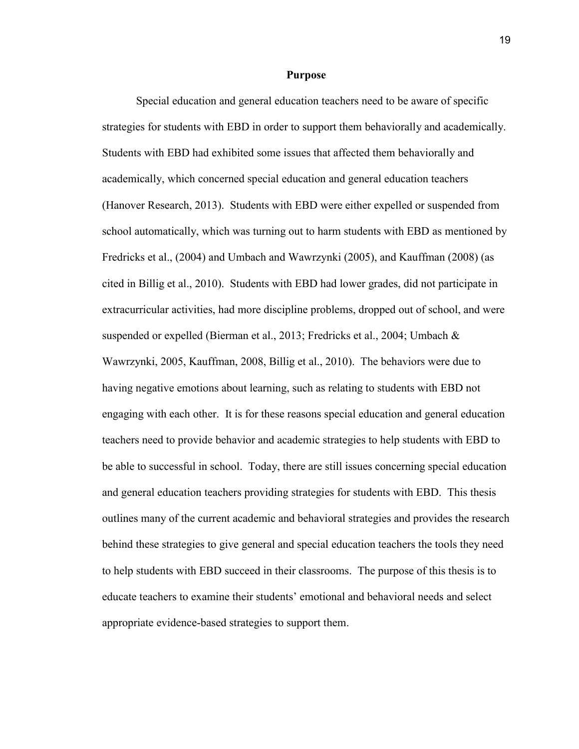#### **Purpose**

<span id="page-19-0"></span>Special education and general education teachers need to be aware of specific strategies for students with EBD in order to support them behaviorally and academically. Students with EBD had exhibited some issues that affected them behaviorally and academically, which concerned special education and general education teachers (Hanover Research, 2013). Students with EBD were either expelled or suspended from school automatically, which was turning out to harm students with EBD as mentioned by Fredricks et al., (2004) and Umbach and Wawrzynki (2005), and Kauffman (2008) (as cited in Billig et al., 2010). Students with EBD had lower grades, did not participate in extracurricular activities, had more discipline problems, dropped out of school, and were suspended or expelled (Bierman et al., 2013; Fredricks et al., 2004; Umbach & Wawrzynki, 2005, Kauffman, 2008, Billig et al., 2010). The behaviors were due to having negative emotions about learning, such as relating to students with EBD not engaging with each other. It is for these reasons special education and general education teachers need to provide behavior and academic strategies to help students with EBD to be able to successful in school. Today, there are still issues concerning special education and general education teachers providing strategies for students with EBD. This thesis outlines many of the current academic and behavioral strategies and provides the research behind these strategies to give general and special education teachers the tools they need to help students with EBD succeed in their classrooms. The purpose of this thesis is to educate teachers to examine their students' emotional and behavioral needs and select appropriate evidence-based strategies to support them.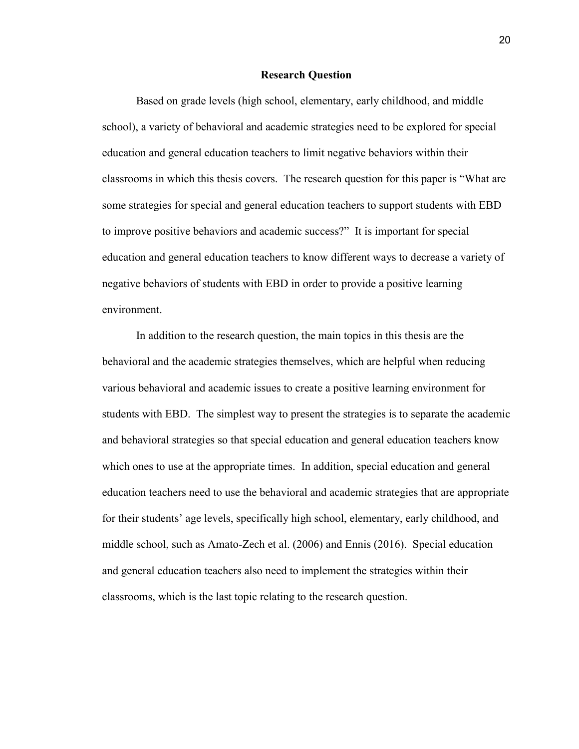#### **Research Question**

<span id="page-20-0"></span>Based on grade levels (high school, elementary, early childhood, and middle school), a variety of behavioral and academic strategies need to be explored for special education and general education teachers to limit negative behaviors within their classrooms in which this thesis covers. The research question for this paper is "What are some strategies for special and general education teachers to support students with EBD to improve positive behaviors and academic success?" It is important for special education and general education teachers to know different ways to decrease a variety of negative behaviors of students with EBD in order to provide a positive learning environment.

In addition to the research question, the main topics in this thesis are the behavioral and the academic strategies themselves, which are helpful when reducing various behavioral and academic issues to create a positive learning environment for students with EBD. The simplest way to present the strategies is to separate the academic and behavioral strategies so that special education and general education teachers know which ones to use at the appropriate times. In addition, special education and general education teachers need to use the behavioral and academic strategies that are appropriate for their students' age levels, specifically high school, elementary, early childhood, and middle school, such as Amato-Zech et al. (2006) and Ennis (2016). Special education and general education teachers also need to implement the strategies within their classrooms, which is the last topic relating to the research question.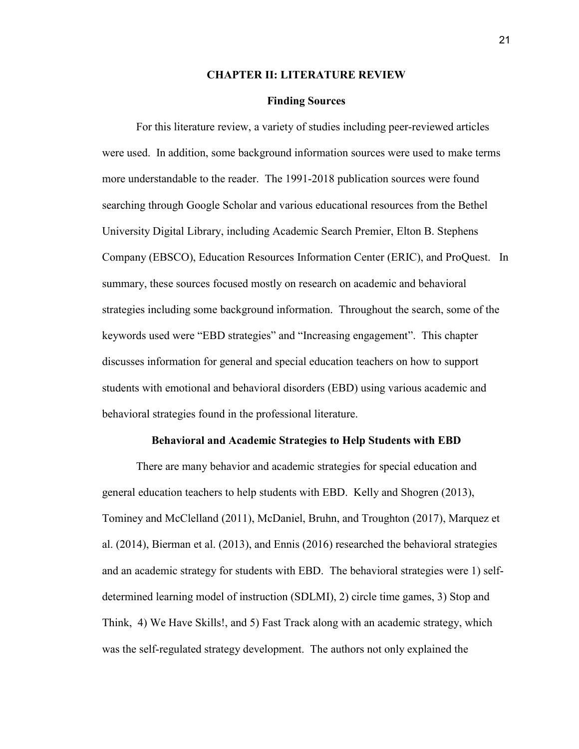#### **CHAPTER II: LITERATURE REVIEW**

#### **Finding Sources**

<span id="page-21-1"></span><span id="page-21-0"></span>For this literature review, a variety of studies including peer-reviewed articles were used. In addition, some background information sources were used to make terms more understandable to the reader. The 1991-2018 publication sources were found searching through Google Scholar and various educational resources from the Bethel University Digital Library, including Academic Search Premier, Elton B. Stephens Company (EBSCO), Education Resources Information Center (ERIC), and ProQuest. In summary, these sources focused mostly on research on academic and behavioral strategies including some background information. Throughout the search, some of the keywords used were "EBD strategies" and "Increasing engagement". This chapter discusses information for general and special education teachers on how to support students with emotional and behavioral disorders (EBD) using various academic and behavioral strategies found in the professional literature.

#### **Behavioral and Academic Strategies to Help Students with EBD**

<span id="page-21-2"></span>There are many behavior and academic strategies for special education and general education teachers to help students with EBD. Kelly and Shogren (2013), Tominey and McClelland (2011), McDaniel, Bruhn, and Troughton (2017), Marquez et al. (2014), Bierman et al. (2013), and Ennis (2016) researched the behavioral strategies and an academic strategy for students with EBD. The behavioral strategies were 1) selfdetermined learning model of instruction (SDLMI), 2) circle time games, 3) Stop and Think, 4) We Have Skills!, and 5) Fast Track along with an academic strategy, which was the self-regulated strategy development. The authors not only explained the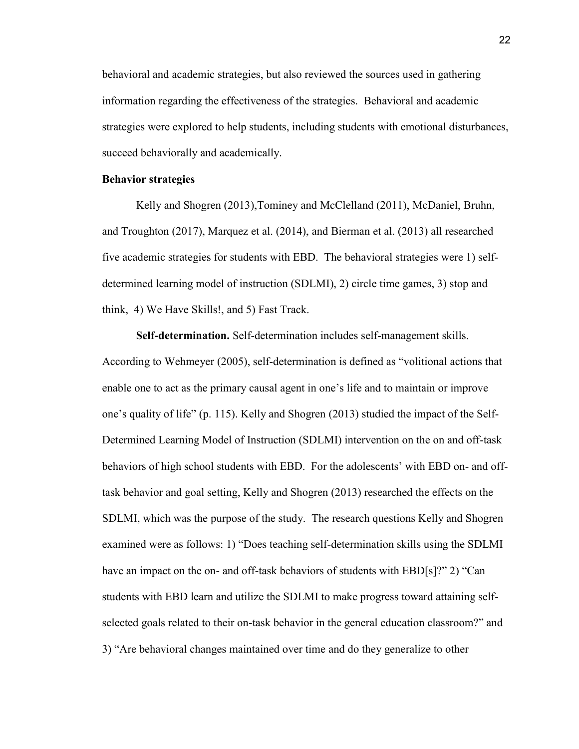behavioral and academic strategies, but also reviewed the sources used in gathering information regarding the effectiveness of the strategies. Behavioral and academic strategies were explored to help students, including students with emotional disturbances, succeed behaviorally and academically.

#### **Behavior strategies**

 Kelly and Shogren (2013),Tominey and McClelland (2011), McDaniel, Bruhn, and Troughton (2017), Marquez et al. (2014), and Bierman et al. (2013) all researched five academic strategies for students with EBD. The behavioral strategies were 1) selfdetermined learning model of instruction (SDLMI), 2) circle time games, 3) stop and think, 4) We Have Skills!, and 5) Fast Track.

**Self-determination.** Self-determination includes self-management skills. According to Wehmeyer (2005), self-determination is defined as "volitional actions that enable one to act as the primary causal agent in one's life and to maintain or improve one's quality of life" (p. 115). Kelly and Shogren (2013) studied the impact of the Self-Determined Learning Model of Instruction (SDLMI) intervention on the on and off-task behaviors of high school students with EBD. For the adolescents' with EBD on- and offtask behavior and goal setting, Kelly and Shogren (2013) researched the effects on the SDLMI, which was the purpose of the study. The research questions Kelly and Shogren examined were as follows: 1) "Does teaching self-determination skills using the SDLMI have an impact on the on- and off-task behaviors of students with EBD[s]?" 2) "Can students with EBD learn and utilize the SDLMI to make progress toward attaining selfselected goals related to their on-task behavior in the general education classroom?" and 3) "Are behavioral changes maintained over time and do they generalize to other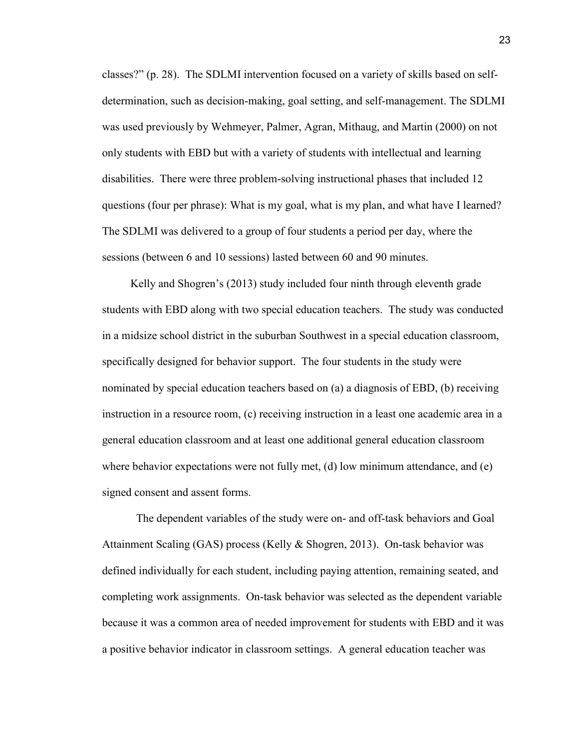classes?" (p. 28). The SDLMI intervention focused on a variety of skills based on selfdetermination, such as decision-making, goal setting, and self-management. The SDLMI was used previously by Wehmeyer, Palmer, Agran, Mithaug, and Martin (2000) on not only students with EBD but with a variety of students with intellectual and learning disabilities. There were three problem-solving instructional phases that included 12 questions (four per phrase): What is my goal, what is my plan, and what have I learned? The SDLMI was delivered to a group of four students a period per day, where the sessions (between 6 and 10 sessions) lasted between 60 and 90 minutes.

 Kelly and Shogren's (2013) study included four ninth through eleventh grade students with EBD along with two special education teachers. The study was conducted in a midsize school district in the suburban Southwest in a special education classroom, specifically designed for behavior support. The four students in the study were nominated by special education teachers based on (a) a diagnosis of EBD, (b) receiving instruction in a resource room, (c) receiving instruction in a least one academic area in a general education classroom and at least one additional general education classroom where behavior expectations were not fully met, (d) low minimum attendance, and (e) signed consent and assent forms.

The dependent variables of the study were on- and off-task behaviors and Goal Attainment Scaling (GAS) process (Kelly & Shogren, 2013). On-task behavior was defined individually for each student, including paying attention, remaining seated, and completing work assignments. On-task behavior was selected as the dependent variable because it was a common area of needed improvement for students with EBD and it was a positive behavior indicator in classroom settings. A general education teacher was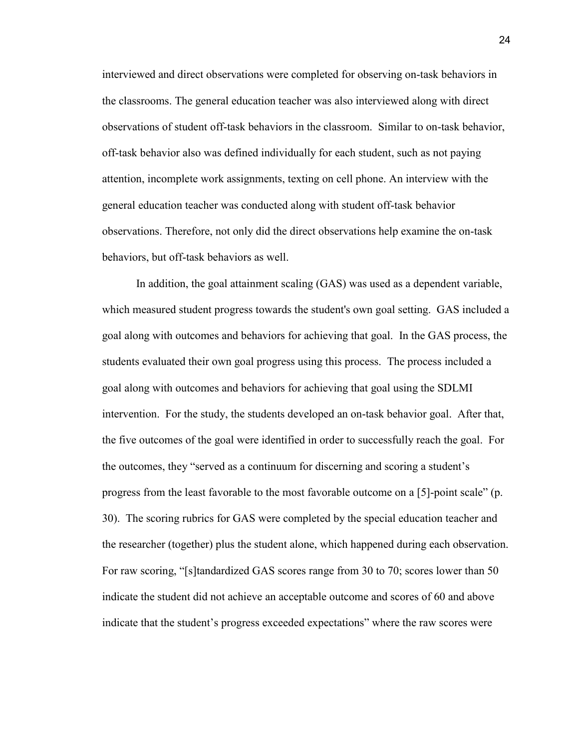interviewed and direct observations were completed for observing on-task behaviors in the classrooms. The general education teacher was also interviewed along with direct observations of student off-task behaviors in the classroom. Similar to on-task behavior, off-task behavior also was defined individually for each student, such as not paying attention, incomplete work assignments, texting on cell phone. An interview with the general education teacher was conducted along with student off-task behavior observations. Therefore, not only did the direct observations help examine the on-task behaviors, but off-task behaviors as well.

In addition, the goal attainment scaling (GAS) was used as a dependent variable, which measured student progress towards the student's own goal setting. GAS included a goal along with outcomes and behaviors for achieving that goal. In the GAS process, the students evaluated their own goal progress using this process. The process included a goal along with outcomes and behaviors for achieving that goal using the SDLMI intervention. For the study, the students developed an on-task behavior goal. After that, the five outcomes of the goal were identified in order to successfully reach the goal. For the outcomes, they "served as a continuum for discerning and scoring a student's progress from the least favorable to the most favorable outcome on a [5]-point scale" (p. 30). The scoring rubrics for GAS were completed by the special education teacher and the researcher (together) plus the student alone, which happened during each observation. For raw scoring, "[s]tandardized GAS scores range from 30 to 70; scores lower than 50 indicate the student did not achieve an acceptable outcome and scores of 60 and above indicate that the student's progress exceeded expectations" where the raw scores were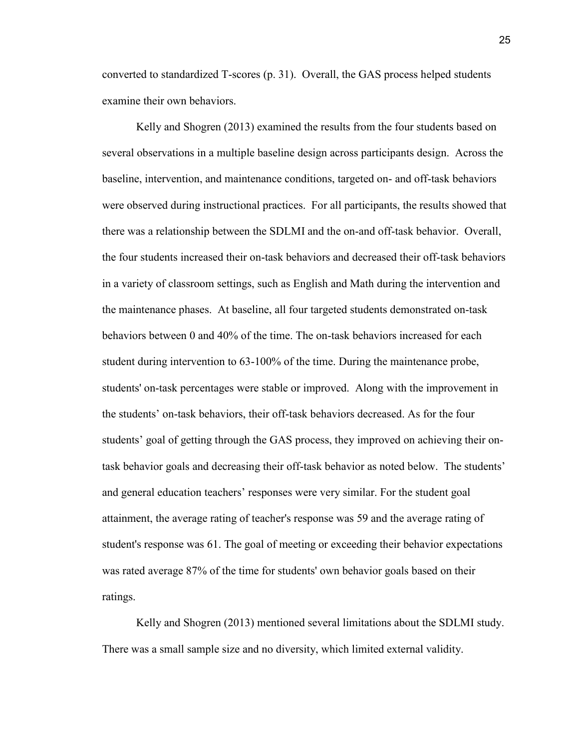converted to standardized T-scores (p. 31). Overall, the GAS process helped students examine their own behaviors.

Kelly and Shogren (2013) examined the results from the four students based on several observations in a multiple baseline design across participants design. Across the baseline, intervention, and maintenance conditions, targeted on- and off-task behaviors were observed during instructional practices. For all participants, the results showed that there was a relationship between the SDLMI and the on-and off-task behavior. Overall, the four students increased their on-task behaviors and decreased their off-task behaviors in a variety of classroom settings, such as English and Math during the intervention and the maintenance phases. At baseline, all four targeted students demonstrated on-task behaviors between 0 and 40% of the time. The on-task behaviors increased for each student during intervention to 63-100% of the time. During the maintenance probe, students' on-task percentages were stable or improved. Along with the improvement in the students' on-task behaviors, their off-task behaviors decreased. As for the four students' goal of getting through the GAS process, they improved on achieving their ontask behavior goals and decreasing their off-task behavior as noted below. The students' and general education teachers' responses were very similar. For the student goal attainment, the average rating of teacher's response was 59 and the average rating of student's response was 61. The goal of meeting or exceeding their behavior expectations was rated average 87% of the time for students' own behavior goals based on their ratings.

Kelly and Shogren (2013) mentioned several limitations about the SDLMI study. There was a small sample size and no diversity, which limited external validity.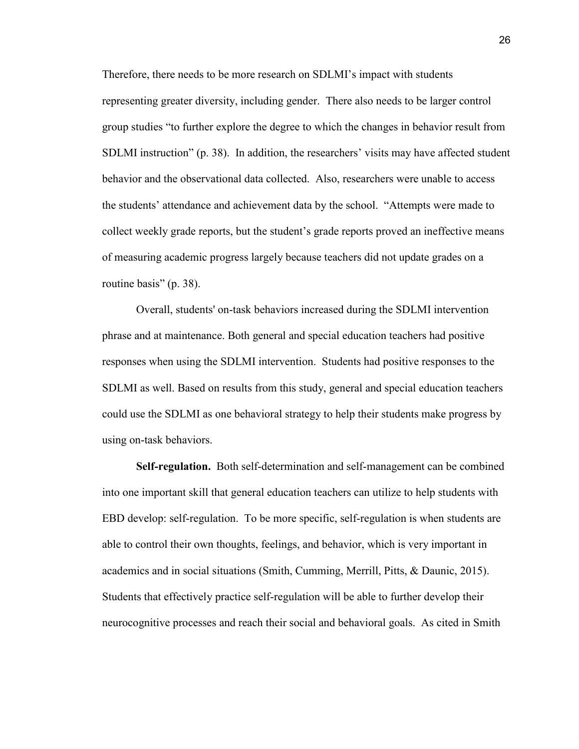Therefore, there needs to be more research on SDLMI's impact with students representing greater diversity, including gender. There also needs to be larger control group studies "to further explore the degree to which the changes in behavior result from SDLMI instruction" (p. 38). In addition, the researchers' visits may have affected student behavior and the observational data collected. Also, researchers were unable to access the students' attendance and achievement data by the school. "Attempts were made to collect weekly grade reports, but the student's grade reports proved an ineffective means of measuring academic progress largely because teachers did not update grades on a routine basis" (p. 38).

Overall, students' on-task behaviors increased during the SDLMI intervention phrase and at maintenance. Both general and special education teachers had positive responses when using the SDLMI intervention. Students had positive responses to the SDLMI as well. Based on results from this study, general and special education teachers could use the SDLMI as one behavioral strategy to help their students make progress by using on-task behaviors.

**Self-regulation.** Both self-determination and self-management can be combined into one important skill that general education teachers can utilize to help students with EBD develop: self-regulation. To be more specific, self-regulation is when students are able to control their own thoughts, feelings, and behavior, which is very important in academics and in social situations (Smith, Cumming, Merrill, Pitts, & Daunic, 2015). Students that effectively practice self-regulation will be able to further develop their neurocognitive processes and reach their social and behavioral goals. As cited in Smith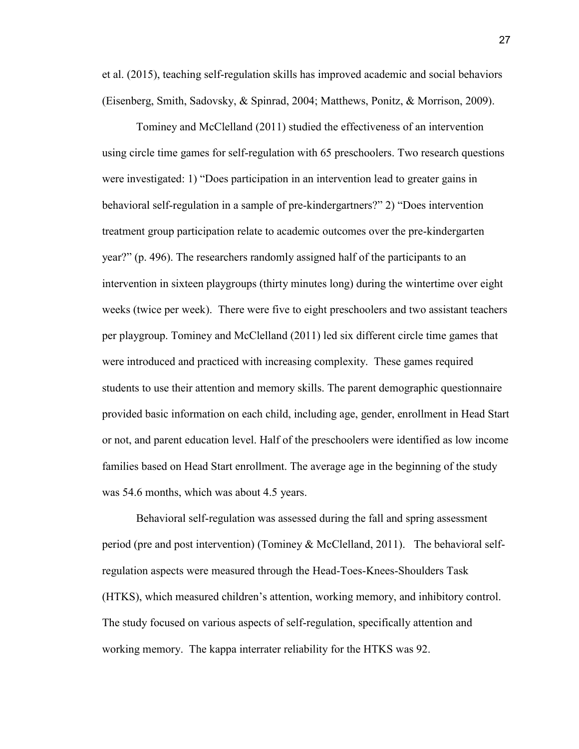et al. (2015), teaching self-regulation skills has improved academic and social behaviors (Eisenberg, Smith, Sadovsky, & Spinrad, 2004; Matthews, Ponitz, & Morrison, 2009).

Tominey and McClelland (2011) studied the effectiveness of an intervention using circle time games for self-regulation with 65 preschoolers. Two research questions were investigated: 1) "Does participation in an intervention lead to greater gains in behavioral self-regulation in a sample of pre-kindergartners?" 2) "Does intervention treatment group participation relate to academic outcomes over the pre-kindergarten year?" (p. 496). The researchers randomly assigned half of the participants to an intervention in sixteen playgroups (thirty minutes long) during the wintertime over eight weeks (twice per week). There were five to eight preschoolers and two assistant teachers per playgroup. Tominey and McClelland (2011) led six different circle time games that were introduced and practiced with increasing complexity. These games required students to use their attention and memory skills. The parent demographic questionnaire provided basic information on each child, including age, gender, enrollment in Head Start or not, and parent education level. Half of the preschoolers were identified as low income families based on Head Start enrollment. The average age in the beginning of the study was 54.6 months, which was about 4.5 years.

Behavioral self-regulation was assessed during the fall and spring assessment period (pre and post intervention) (Tominey & McClelland, 2011). The behavioral selfregulation aspects were measured through the Head-Toes-Knees-Shoulders Task (HTKS), which measured children's attention, working memory, and inhibitory control. The study focused on various aspects of self-regulation, specifically attention and working memory. The kappa interrater reliability for the HTKS was 92.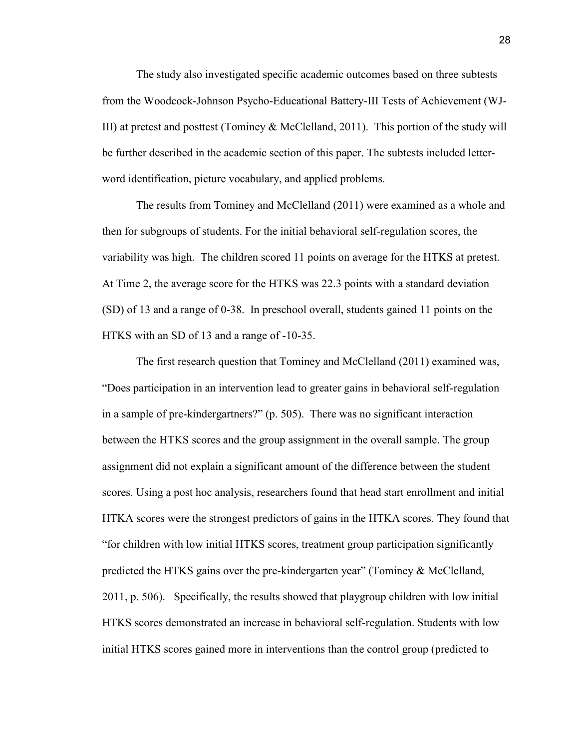The study also investigated specific academic outcomes based on three subtests from the Woodcock-Johnson Psycho-Educational Battery-III Tests of Achievement (WJ-III) at pretest and posttest (Tominey & McClelland, 2011). This portion of the study will be further described in the academic section of this paper. The subtests included letterword identification, picture vocabulary, and applied problems.

The results from Tominey and McClelland (2011) were examined as a whole and then for subgroups of students. For the initial behavioral self-regulation scores, the variability was high. The children scored 11 points on average for the HTKS at pretest. At Time 2, the average score for the HTKS was 22.3 points with a standard deviation (SD) of 13 and a range of 0-38. In preschool overall, students gained 11 points on the HTKS with an SD of 13 and a range of -10-35.

 The first research question that Tominey and McClelland (2011) examined was, "Does participation in an intervention lead to greater gains in behavioral self-regulation in a sample of pre-kindergartners?" (p. 505). There was no significant interaction between the HTKS scores and the group assignment in the overall sample. The group assignment did not explain a significant amount of the difference between the student scores. Using a post hoc analysis, researchers found that head start enrollment and initial HTKA scores were the strongest predictors of gains in the HTKA scores. They found that "for children with low initial HTKS scores, treatment group participation significantly predicted the HTKS gains over the pre-kindergarten year" (Tominey & McClelland, 2011, p. 506). Specifically, the results showed that playgroup children with low initial HTKS scores demonstrated an increase in behavioral self-regulation. Students with low initial HTKS scores gained more in interventions than the control group (predicted to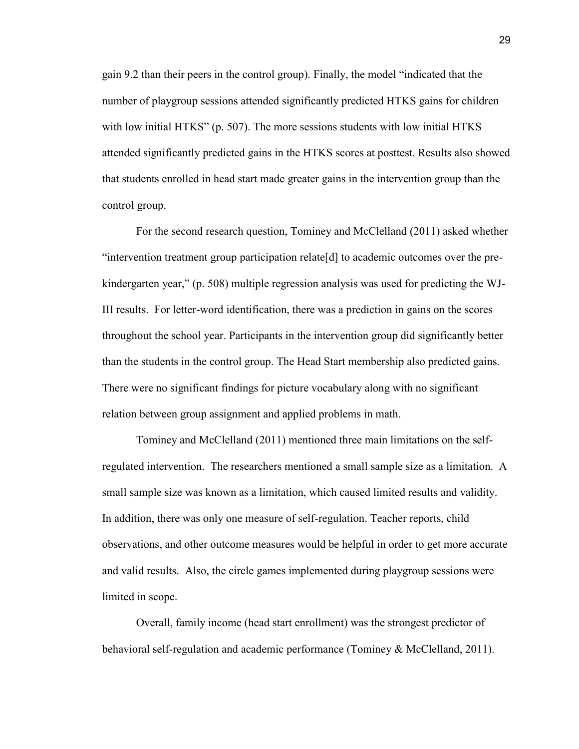gain 9.2 than their peers in the control group). Finally, the model "indicated that the number of playgroup sessions attended significantly predicted HTKS gains for children with low initial HTKS" (p. 507). The more sessions students with low initial HTKS attended significantly predicted gains in the HTKS scores at posttest. Results also showed that students enrolled in head start made greater gains in the intervention group than the control group.

For the second research question, Tominey and McClelland (2011) asked whether "intervention treatment group participation relate[d] to academic outcomes over the prekindergarten year," (p. 508) multiple regression analysis was used for predicting the WJ-III results. For letter-word identification, there was a prediction in gains on the scores throughout the school year. Participants in the intervention group did significantly better than the students in the control group. The Head Start membership also predicted gains. There were no significant findings for picture vocabulary along with no significant relation between group assignment and applied problems in math.

Tominey and McClelland (2011) mentioned three main limitations on the selfregulated intervention. The researchers mentioned a small sample size as a limitation. A small sample size was known as a limitation, which caused limited results and validity. In addition, there was only one measure of self-regulation. Teacher reports, child observations, and other outcome measures would be helpful in order to get more accurate and valid results. Also, the circle games implemented during playgroup sessions were limited in scope.

Overall, family income (head start enrollment) was the strongest predictor of behavioral self-regulation and academic performance (Tominey & McClelland, 2011).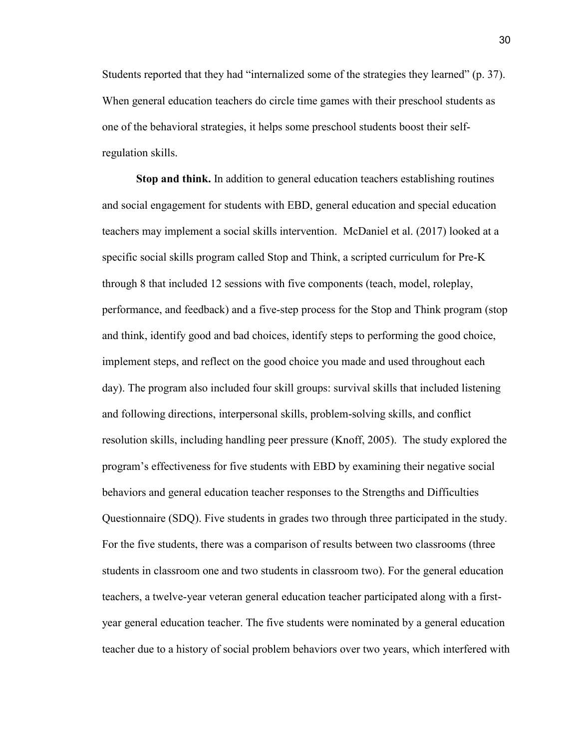Students reported that they had "internalized some of the strategies they learned" (p. 37). When general education teachers do circle time games with their preschool students as one of the behavioral strategies, it helps some preschool students boost their selfregulation skills.

**Stop and think.** In addition to general education teachers establishing routines and social engagement for students with EBD, general education and special education teachers may implement a social skills intervention. McDaniel et al. (2017) looked at a specific social skills program called Stop and Think, a scripted curriculum for Pre-K through 8 that included 12 sessions with five components (teach, model, roleplay, performance, and feedback) and a five-step process for the Stop and Think program (stop and think, identify good and bad choices, identify steps to performing the good choice, implement steps, and reflect on the good choice you made and used throughout each day). The program also included four skill groups: survival skills that included listening and following directions, interpersonal skills, problem-solving skills, and conflict resolution skills, including handling peer pressure (Knoff, 2005). The study explored the program's effectiveness for five students with EBD by examining their negative social behaviors and general education teacher responses to the Strengths and Difficulties Questionnaire (SDQ). Five students in grades two through three participated in the study. For the five students, there was a comparison of results between two classrooms (three students in classroom one and two students in classroom two). For the general education teachers, a twelve-year veteran general education teacher participated along with a firstyear general education teacher. The five students were nominated by a general education teacher due to a history of social problem behaviors over two years, which interfered with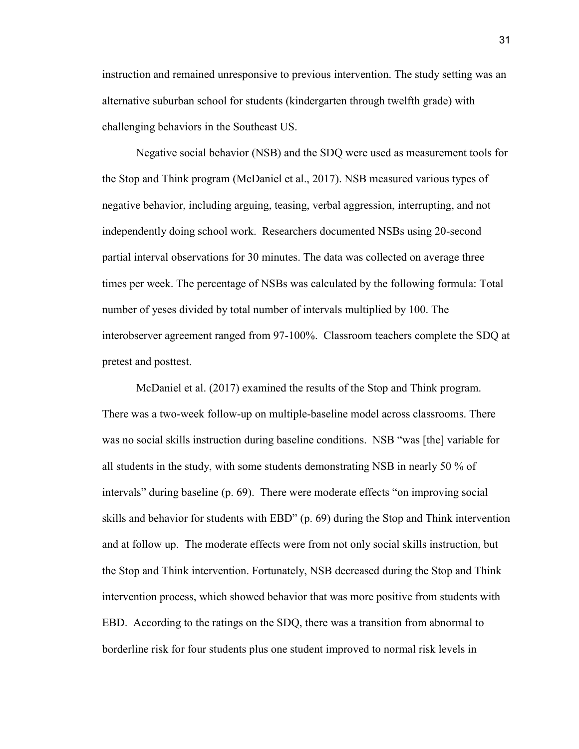instruction and remained unresponsive to previous intervention. The study setting was an alternative suburban school for students (kindergarten through twelfth grade) with challenging behaviors in the Southeast US.

Negative social behavior (NSB) and the SDQ were used as measurement tools for the Stop and Think program (McDaniel et al., 2017). NSB measured various types of negative behavior, including arguing, teasing, verbal aggression, interrupting, and not independently doing school work. Researchers documented NSBs using 20-second partial interval observations for 30 minutes. The data was collected on average three times per week. The percentage of NSBs was calculated by the following formula: Total number of yeses divided by total number of intervals multiplied by 100. The interobserver agreement ranged from 97-100%. Classroom teachers complete the SDQ at pretest and posttest.

McDaniel et al. (2017) examined the results of the Stop and Think program. There was a two-week follow-up on multiple-baseline model across classrooms. There was no social skills instruction during baseline conditions. NSB "was [the] variable for all students in the study, with some students demonstrating NSB in nearly 50 % of intervals" during baseline (p. 69). There were moderate effects "on improving social skills and behavior for students with EBD" (p. 69) during the Stop and Think intervention and at follow up. The moderate effects were from not only social skills instruction, but the Stop and Think intervention. Fortunately, NSB decreased during the Stop and Think intervention process, which showed behavior that was more positive from students with EBD. According to the ratings on the SDQ, there was a transition from abnormal to borderline risk for four students plus one student improved to normal risk levels in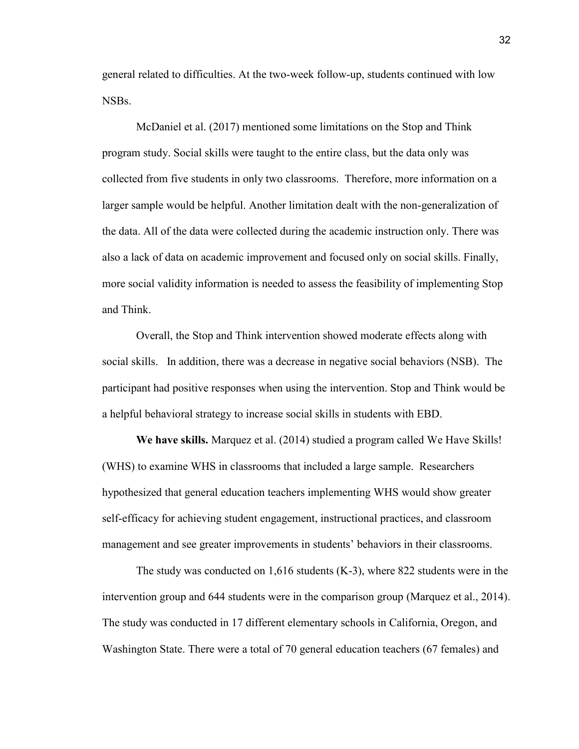general related to difficulties. At the two-week follow-up, students continued with low NSBs.

McDaniel et al. (2017) mentioned some limitations on the Stop and Think program study. Social skills were taught to the entire class, but the data only was collected from five students in only two classrooms. Therefore, more information on a larger sample would be helpful. Another limitation dealt with the non-generalization of the data. All of the data were collected during the academic instruction only. There was also a lack of data on academic improvement and focused only on social skills. Finally, more social validity information is needed to assess the feasibility of implementing Stop and Think.

Overall, the Stop and Think intervention showed moderate effects along with social skills. In addition, there was a decrease in negative social behaviors (NSB). The participant had positive responses when using the intervention. Stop and Think would be a helpful behavioral strategy to increase social skills in students with EBD.

**We have skills.** Marquez et al. (2014) studied a program called We Have Skills! (WHS) to examine WHS in classrooms that included a large sample. Researchers hypothesized that general education teachers implementing WHS would show greater self-efficacy for achieving student engagement, instructional practices, and classroom management and see greater improvements in students' behaviors in their classrooms.

The study was conducted on 1,616 students (K-3), where 822 students were in the intervention group and 644 students were in the comparison group (Marquez et al., 2014). The study was conducted in 17 different elementary schools in California, Oregon, and Washington State. There were a total of 70 general education teachers (67 females) and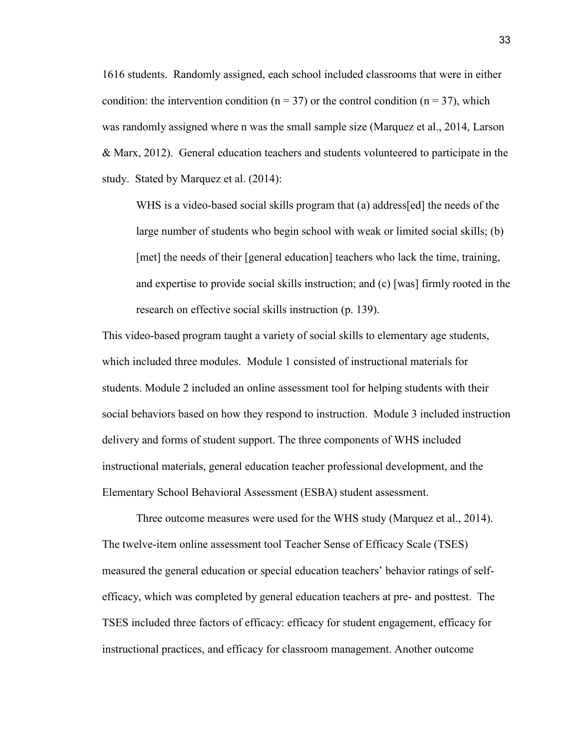1616 students. Randomly assigned, each school included classrooms that were in either condition: the intervention condition ( $n = 37$ ) or the control condition ( $n = 37$ ), which was randomly assigned where n was the small sample size (Marquez et al., 2014, Larson & Marx, 2012). General education teachers and students volunteered to participate in the study. Stated by Marquez et al. (2014):

WHS is a video-based social skills program that (a) address[ed] the needs of the large number of students who begin school with weak or limited social skills; (b) [met] the needs of their [general education] teachers who lack the time, training, and expertise to provide social skills instruction; and (c) [was] firmly rooted in the research on effective social skills instruction (p. 139).

This video-based program taught a variety of social skills to elementary age students, which included three modules. Module 1 consisted of instructional materials for students. Module 2 included an online assessment tool for helping students with their social behaviors based on how they respond to instruction. Module 3 included instruction delivery and forms of student support. The three components of WHS included instructional materials, general education teacher professional development, and the Elementary School Behavioral Assessment (ESBA) student assessment.

Three outcome measures were used for the WHS study (Marquez et al., 2014). The twelve-item online assessment tool Teacher Sense of Efficacy Scale (TSES) measured the general education or special education teachers' behavior ratings of selfefficacy, which was completed by general education teachers at pre- and posttest. The TSES included three factors of efficacy: efficacy for student engagement, efficacy for instructional practices, and efficacy for classroom management. Another outcome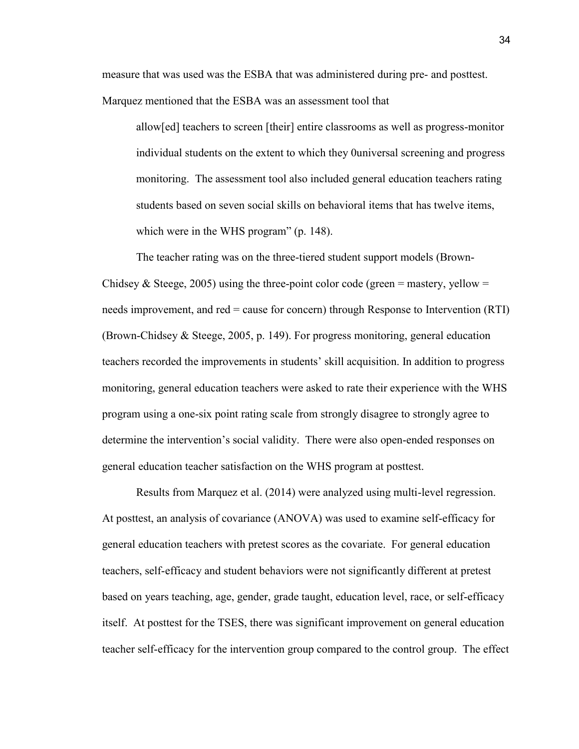measure that was used was the ESBA that was administered during pre- and posttest. Marquez mentioned that the ESBA was an assessment tool that

allow[ed] teachers to screen [their] entire classrooms as well as progress-monitor individual students on the extent to which they 0universal screening and progress monitoring. The assessment tool also included general education teachers rating students based on seven social skills on behavioral items that has twelve items, which were in the WHS program" (p. 148).

The teacher rating was on the three-tiered student support models (Brown-Chidsey & Steege, 2005) using the three-point color code (green = mastery, yellow = needs improvement, and red = cause for concern) through Response to Intervention (RTI) (Brown-Chidsey & Steege, 2005, p. 149). For progress monitoring, general education teachers recorded the improvements in students' skill acquisition. In addition to progress monitoring, general education teachers were asked to rate their experience with the WHS program using a one-six point rating scale from strongly disagree to strongly agree to determine the intervention's social validity. There were also open-ended responses on general education teacher satisfaction on the WHS program at posttest.

Results from Marquez et al. (2014) were analyzed using multi-level regression. At posttest, an analysis of covariance (ANOVA) was used to examine self-efficacy for general education teachers with pretest scores as the covariate. For general education teachers, self-efficacy and student behaviors were not significantly different at pretest based on years teaching, age, gender, grade taught, education level, race, or self-efficacy itself. At posttest for the TSES, there was significant improvement on general education teacher self-efficacy for the intervention group compared to the control group. The effect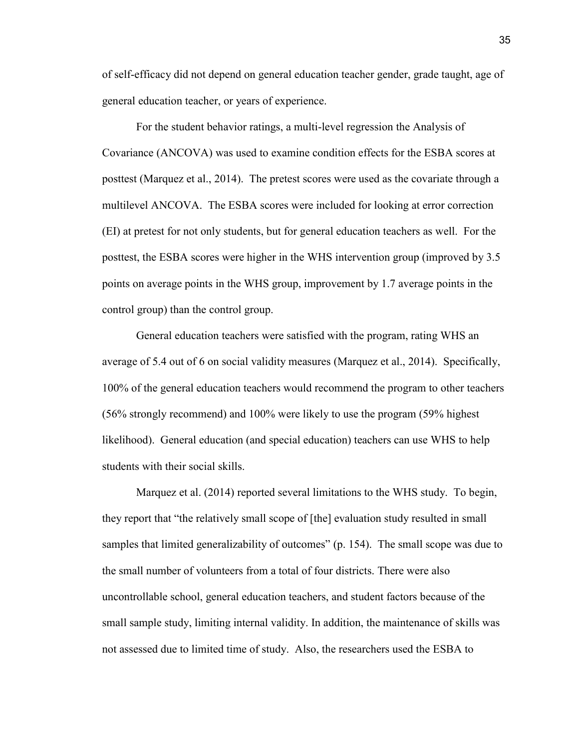of self-efficacy did not depend on general education teacher gender, grade taught, age of general education teacher, or years of experience.

For the student behavior ratings, a multi-level regression the Analysis of Covariance (ANCOVA) was used to examine condition effects for the ESBA scores at posttest (Marquez et al., 2014). The pretest scores were used as the covariate through a multilevel ANCOVA. The ESBA scores were included for looking at error correction (EI) at pretest for not only students, but for general education teachers as well. For the posttest, the ESBA scores were higher in the WHS intervention group (improved by 3.5 points on average points in the WHS group, improvement by 1.7 average points in the control group) than the control group.

General education teachers were satisfied with the program, rating WHS an average of 5.4 out of 6 on social validity measures (Marquez et al., 2014). Specifically, 100% of the general education teachers would recommend the program to other teachers (56% strongly recommend) and 100% were likely to use the program (59% highest likelihood). General education (and special education) teachers can use WHS to help students with their social skills.

Marquez et al. (2014) reported several limitations to the WHS study. To begin, they report that "the relatively small scope of [the] evaluation study resulted in small samples that limited generalizability of outcomes" (p. 154). The small scope was due to the small number of volunteers from a total of four districts. There were also uncontrollable school, general education teachers, and student factors because of the small sample study, limiting internal validity. In addition, the maintenance of skills was not assessed due to limited time of study. Also, the researchers used the ESBA to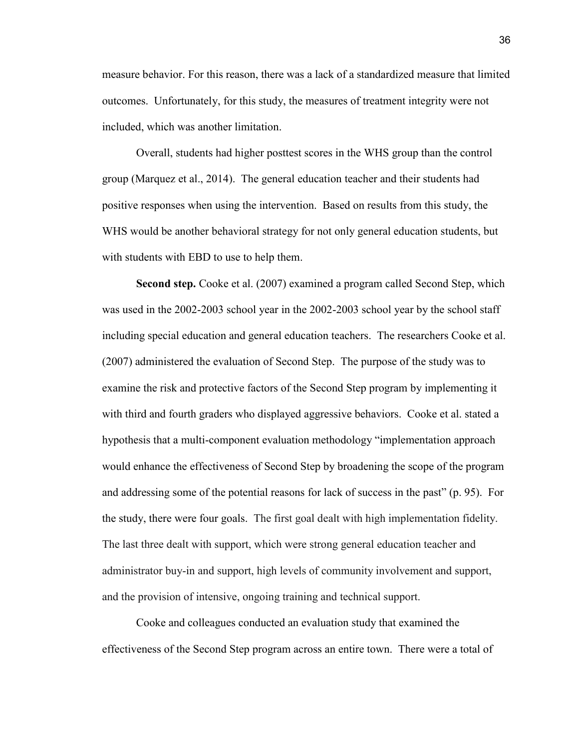measure behavior. For this reason, there was a lack of a standardized measure that limited outcomes. Unfortunately, for this study, the measures of treatment integrity were not included, which was another limitation.

Overall, students had higher posttest scores in the WHS group than the control group (Marquez et al., 2014). The general education teacher and their students had positive responses when using the intervention. Based on results from this study, the WHS would be another behavioral strategy for not only general education students, but with students with EBD to use to help them.

**Second step.** Cooke et al. (2007) examined a program called Second Step, which was used in the 2002-2003 school year in the 2002-2003 school year by the school staff including special education and general education teachers. The researchers Cooke et al. (2007) administered the evaluation of Second Step. The purpose of the study was to examine the risk and protective factors of the Second Step program by implementing it with third and fourth graders who displayed aggressive behaviors. Cooke et al. stated a hypothesis that a multi-component evaluation methodology "implementation approach would enhance the effectiveness of Second Step by broadening the scope of the program and addressing some of the potential reasons for lack of success in the past" (p. 95). For the study, there were four goals. The first goal dealt with high implementation fidelity. The last three dealt with support, which were strong general education teacher and administrator buy-in and support, high levels of community involvement and support, and the provision of intensive, ongoing training and technical support.

Cooke and colleagues conducted an evaluation study that examined the effectiveness of the Second Step program across an entire town. There were a total of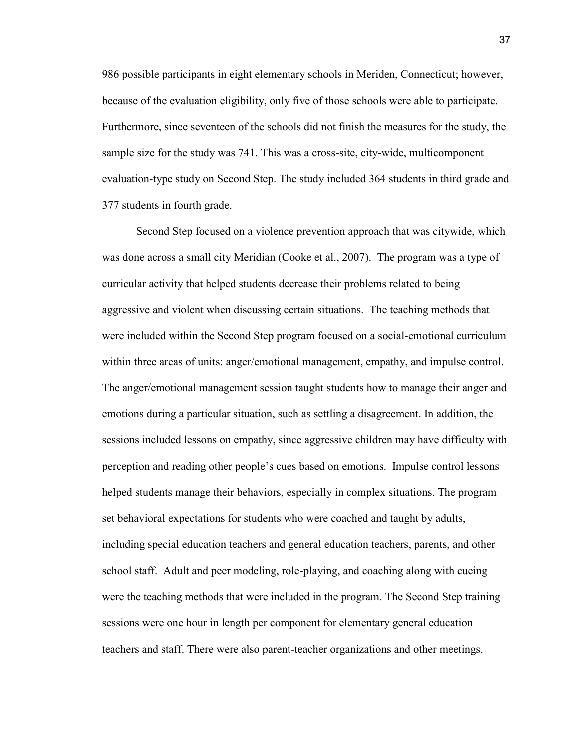986 possible participants in eight elementary schools in Meriden, Connecticut; however, because of the evaluation eligibility, only five of those schools were able to participate. Furthermore, since seventeen of the schools did not finish the measures for the study, the sample size for the study was 741. This was a cross-site, city-wide, multicomponent evaluation-type study on Second Step. The study included 364 students in third grade and 377 students in fourth grade.

Second Step focused on a violence prevention approach that was citywide, which was done across a small city Meridian (Cooke et al., 2007). The program was a type of curricular activity that helped students decrease their problems related to being aggressive and violent when discussing certain situations. The teaching methods that were included within the Second Step program focused on a social-emotional curriculum within three areas of units: anger/emotional management, empathy, and impulse control. The anger/emotional management session taught students how to manage their anger and emotions during a particular situation, such as settling a disagreement. In addition, the sessions included lessons on empathy, since aggressive children may have difficulty with perception and reading other people's cues based on emotions. Impulse control lessons helped students manage their behaviors, especially in complex situations. The program set behavioral expectations for students who were coached and taught by adults, including special education teachers and general education teachers, parents, and other school staff. Adult and peer modeling, role-playing, and coaching along with cueing were the teaching methods that were included in the program. The Second Step training sessions were one hour in length per component for elementary general education teachers and staff. There were also parent-teacher organizations and other meetings.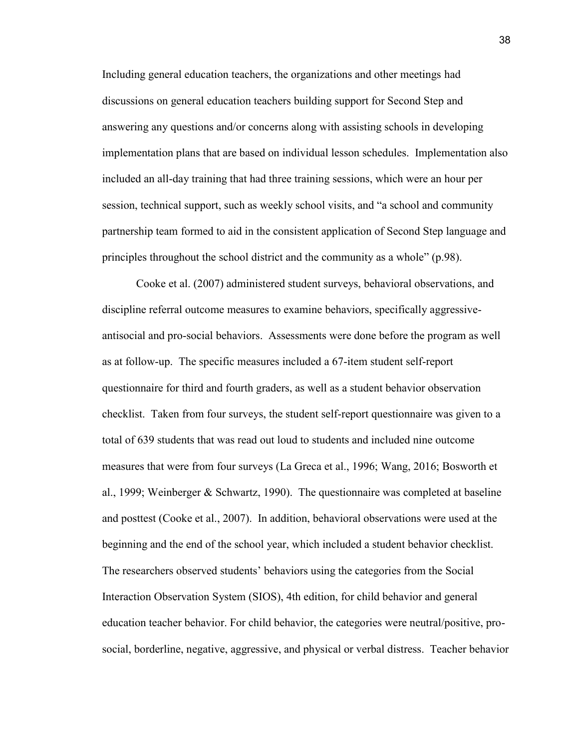Including general education teachers, the organizations and other meetings had discussions on general education teachers building support for Second Step and answering any questions and/or concerns along with assisting schools in developing implementation plans that are based on individual lesson schedules. Implementation also included an all-day training that had three training sessions, which were an hour per session, technical support, such as weekly school visits, and "a school and community partnership team formed to aid in the consistent application of Second Step language and principles throughout the school district and the community as a whole" (p.98).

Cooke et al. (2007) administered student surveys, behavioral observations, and discipline referral outcome measures to examine behaviors, specifically aggressiveantisocial and pro-social behaviors. Assessments were done before the program as well as at follow-up. The specific measures included a 67-item student self-report questionnaire for third and fourth graders, as well as a student behavior observation checklist. Taken from four surveys, the student self-report questionnaire was given to a total of 639 students that was read out loud to students and included nine outcome measures that were from four surveys (La Greca et al., 1996; Wang, 2016; Bosworth et al., 1999; Weinberger & Schwartz, 1990). The questionnaire was completed at baseline and posttest (Cooke et al., 2007). In addition, behavioral observations were used at the beginning and the end of the school year, which included a student behavior checklist. The researchers observed students' behaviors using the categories from the Social Interaction Observation System (SIOS), 4th edition, for child behavior and general education teacher behavior. For child behavior, the categories were neutral/positive, prosocial, borderline, negative, aggressive, and physical or verbal distress. Teacher behavior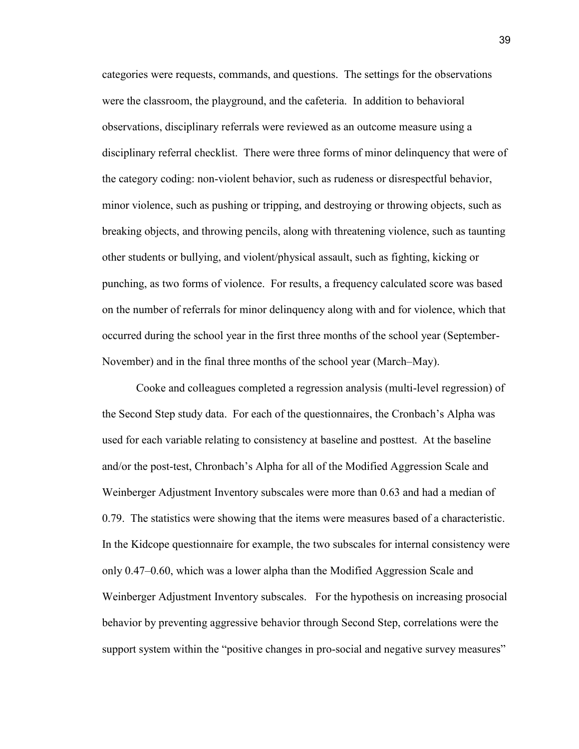categories were requests, commands, and questions. The settings for the observations were the classroom, the playground, and the cafeteria. In addition to behavioral observations, disciplinary referrals were reviewed as an outcome measure using a disciplinary referral checklist. There were three forms of minor delinquency that were of the category coding: non-violent behavior, such as rudeness or disrespectful behavior, minor violence, such as pushing or tripping, and destroying or throwing objects, such as breaking objects, and throwing pencils, along with threatening violence, such as taunting other students or bullying, and violent/physical assault, such as fighting, kicking or punching, as two forms of violence. For results, a frequency calculated score was based on the number of referrals for minor delinquency along with and for violence, which that occurred during the school year in the first three months of the school year (September-November) and in the final three months of the school year (March–May).

Cooke and colleagues completed a regression analysis (multi-level regression) of the Second Step study data. For each of the questionnaires, the Cronbach's Alpha was used for each variable relating to consistency at baseline and posttest. At the baseline and/or the post-test, Chronbach's Alpha for all of the Modified Aggression Scale and Weinberger Adjustment Inventory subscales were more than 0.63 and had a median of 0.79. The statistics were showing that the items were measures based of a characteristic. In the Kidcope questionnaire for example, the two subscales for internal consistency were only 0.47–0.60, which was a lower alpha than the Modified Aggression Scale and Weinberger Adjustment Inventory subscales. For the hypothesis on increasing prosocial behavior by preventing aggressive behavior through Second Step, correlations were the support system within the "positive changes in pro-social and negative survey measures"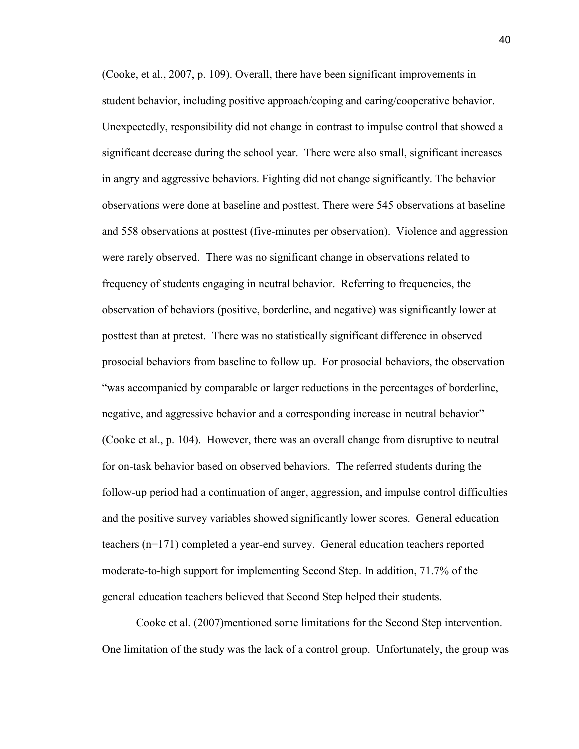(Cooke, et al., 2007, p. 109). Overall, there have been significant improvements in student behavior, including positive approach/coping and caring/cooperative behavior. Unexpectedly, responsibility did not change in contrast to impulse control that showed a significant decrease during the school year. There were also small, significant increases in angry and aggressive behaviors. Fighting did not change significantly. The behavior observations were done at baseline and posttest. There were 545 observations at baseline and 558 observations at posttest (five-minutes per observation). Violence and aggression were rarely observed. There was no significant change in observations related to frequency of students engaging in neutral behavior. Referring to frequencies, the observation of behaviors (positive, borderline, and negative) was significantly lower at posttest than at pretest. There was no statistically significant difference in observed prosocial behaviors from baseline to follow up. For prosocial behaviors, the observation "was accompanied by comparable or larger reductions in the percentages of borderline, negative, and aggressive behavior and a corresponding increase in neutral behavior" (Cooke et al., p. 104). However, there was an overall change from disruptive to neutral for on-task behavior based on observed behaviors. The referred students during the follow-up period had a continuation of anger, aggression, and impulse control difficulties and the positive survey variables showed significantly lower scores. General education teachers (n=171) completed a year-end survey. General education teachers reported moderate-to-high support for implementing Second Step. In addition, 71.7% of the general education teachers believed that Second Step helped their students.

Cooke et al. (2007)mentioned some limitations for the Second Step intervention. One limitation of the study was the lack of a control group. Unfortunately, the group was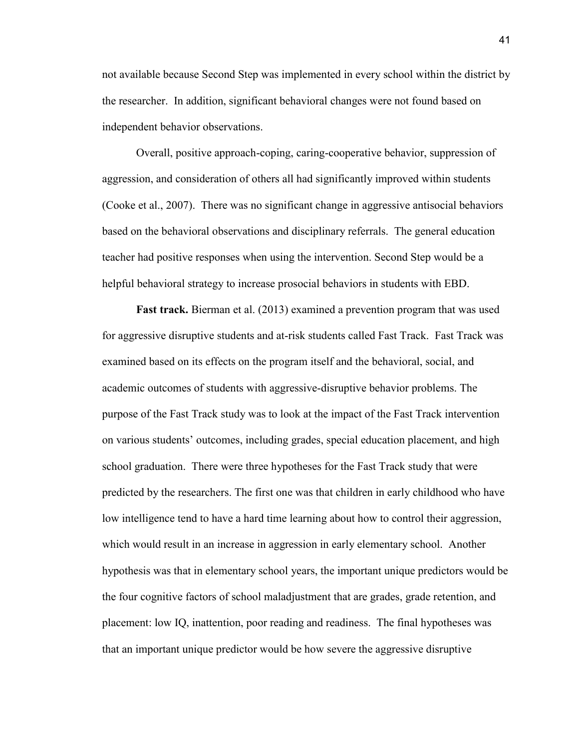not available because Second Step was implemented in every school within the district by the researcher. In addition, significant behavioral changes were not found based on independent behavior observations.

Overall, positive approach-coping, caring-cooperative behavior, suppression of aggression, and consideration of others all had significantly improved within students (Cooke et al., 2007). There was no significant change in aggressive antisocial behaviors based on the behavioral observations and disciplinary referrals. The general education teacher had positive responses when using the intervention. Second Step would be a helpful behavioral strategy to increase prosocial behaviors in students with EBD.

**Fast track.** Bierman et al. (2013) examined a prevention program that was used for aggressive disruptive students and at-risk students called Fast Track. Fast Track was examined based on its effects on the program itself and the behavioral, social, and academic outcomes of students with aggressive‐disruptive behavior problems. The purpose of the Fast Track study was to look at the impact of the Fast Track intervention on various students' outcomes, including grades, special education placement, and high school graduation. There were three hypotheses for the Fast Track study that were predicted by the researchers. The first one was that children in early childhood who have low intelligence tend to have a hard time learning about how to control their aggression, which would result in an increase in aggression in early elementary school. Another hypothesis was that in elementary school years, the important unique predictors would be the four cognitive factors of school maladjustment that are grades, grade retention, and placement: low IQ, inattention, poor reading and readiness. The final hypotheses was that an important unique predictor would be how severe the aggressive disruptive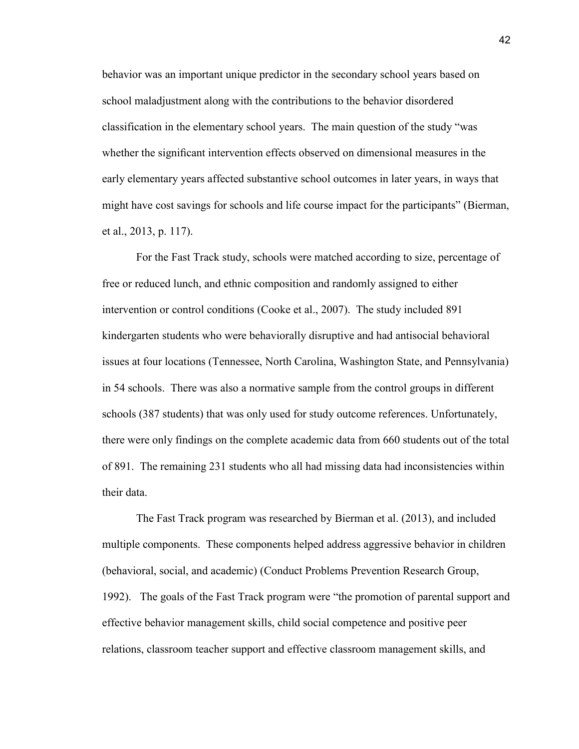behavior was an important unique predictor in the secondary school years based on school maladjustment along with the contributions to the behavior disordered classification in the elementary school years. The main question of the study "was whether the significant intervention effects observed on dimensional measures in the early elementary years affected substantive school outcomes in later years, in ways that might have cost savings for schools and life course impact for the participants" (Bierman, et al., 2013, p. 117).

For the Fast Track study, schools were matched according to size, percentage of free or reduced lunch, and ethnic composition and randomly assigned to either intervention or control conditions (Cooke et al., 2007). The study included 891 kindergarten students who were behaviorally disruptive and had antisocial behavioral issues at four locations (Tennessee, North Carolina, Washington State, and Pennsylvania) in 54 schools. There was also a normative sample from the control groups in different schools (387 students) that was only used for study outcome references. Unfortunately, there were only findings on the complete academic data from 660 students out of the total of 891. The remaining 231 students who all had missing data had inconsistencies within their data.

The Fast Track program was researched by Bierman et al. (2013), and included multiple components. These components helped address aggressive behavior in children (behavioral, social, and academic) (Conduct Problems Prevention Research Group, 1992). The goals of the Fast Track program were "the promotion of parental support and effective behavior management skills, child social competence and positive peer relations, classroom teacher support and effective classroom management skills, and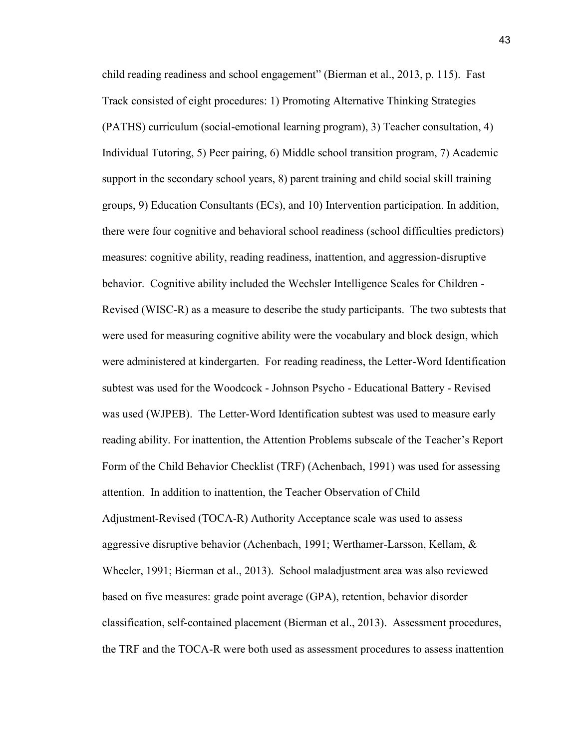child reading readiness and school engagement" (Bierman et al., 2013, p. 115). Fast Track consisted of eight procedures: 1) Promoting Alternative Thinking Strategies (PATHS) curriculum (social-emotional learning program), 3) Teacher consultation, 4) Individual Tutoring, 5) Peer pairing, 6) Middle school transition program, 7) Academic support in the secondary school years, 8) parent training and child social skill training groups, 9) Education Consultants (ECs), and 10) Intervention participation. In addition, there were four cognitive and behavioral school readiness (school difficulties predictors) measures: cognitive ability, reading readiness, inattention, and aggression-disruptive behavior. Cognitive ability included the Wechsler Intelligence Scales for Children - Revised (WISC‐R) as a measure to describe the study participants. The two subtests that were used for measuring cognitive ability were the vocabulary and block design, which were administered at kindergarten. For reading readiness, the Letter-Word Identification subtest was used for the Woodcock - Johnson Psycho - Educational Battery - Revised was used (WJPEB). The Letter-Word Identification subtest was used to measure early reading ability. For inattention, the Attention Problems subscale of the Teacher's Report Form of the Child Behavior Checklist (TRF) (Achenbach, 1991) was used for assessing attention. In addition to inattention, the Teacher Observation of Child Adjustment‐Revised (TOCA‐R) Authority Acceptance scale was used to assess aggressive disruptive behavior (Achenbach, 1991; Werthamer-Larsson, Kellam,  $\&$ Wheeler, 1991; Bierman et al., 2013). School maladjustment area was also reviewed based on five measures: grade point average (GPA), retention, behavior disorder classification, self‐contained placement (Bierman et al., 2013). Assessment procedures, the TRF and the TOCA‐R were both used as assessment procedures to assess inattention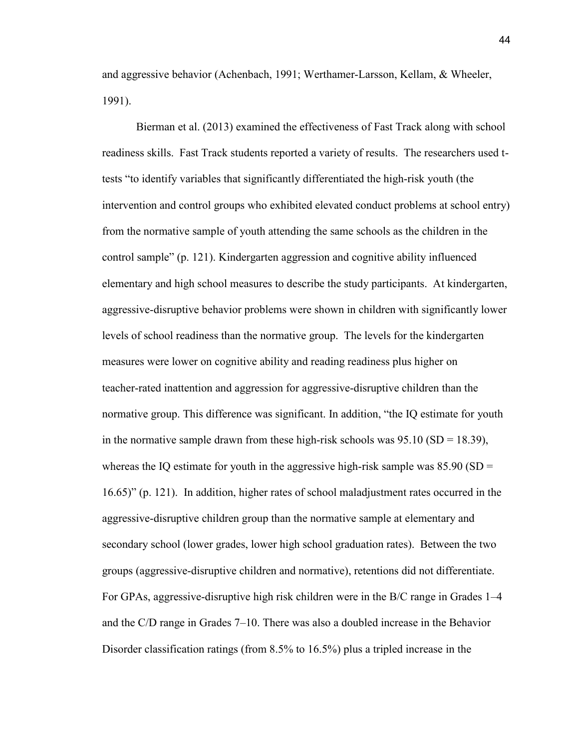and aggressive behavior (Achenbach, 1991; Werthamer‐Larsson, Kellam, & Wheeler, 1991).

Bierman et al. (2013) examined the effectiveness of Fast Track along with school readiness skills. Fast Track students reported a variety of results. The researchers used ttests "to identify variables that significantly differentiated the high‐risk youth (the intervention and control groups who exhibited elevated conduct problems at school entry) from the normative sample of youth attending the same schools as the children in the control sample" (p. 121). Kindergarten aggression and cognitive ability influenced elementary and high school measures to describe the study participants. At kindergarten, aggressive‐disruptive behavior problems were shown in children with significantly lower levels of school readiness than the normative group. The levels for the kindergarten measures were lower on cognitive ability and reading readiness plus higher on teacher‐rated inattention and aggression for aggressive‐disruptive children than the normative group. This difference was significant. In addition, "the IQ estimate for youth in the normative sample drawn from these high-risk schools was  $95.10$  (SD = 18.39), whereas the IQ estimate for youth in the aggressive high-risk sample was  $85.90$  (SD = 16.65)" (p. 121). In addition, higher rates of school maladjustment rates occurred in the aggressive‐disruptive children group than the normative sample at elementary and secondary school (lower grades, lower high school graduation rates). Between the two groups (aggressive‐disruptive children and normative), retentions did not differentiate. For GPAs, aggressive-disruptive high risk children were in the B/C range in Grades 1–4 and the C/D range in Grades 7–10. There was also a doubled increase in the Behavior Disorder classification ratings (from 8.5% to 16.5%) plus a tripled increase in the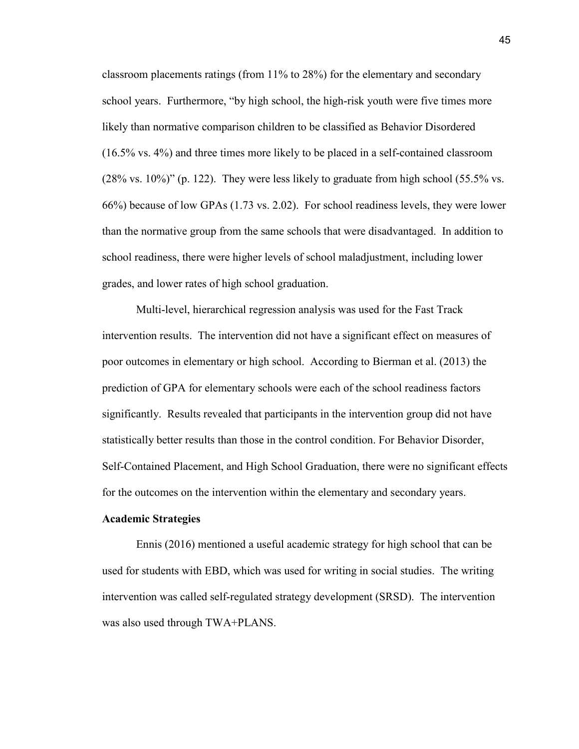classroom placements ratings (from 11% to 28%) for the elementary and secondary school years. Furthermore, "by high school, the high-risk youth were five times more likely than normative comparison children to be classified as Behavior Disordered (16.5% vs. 4%) and three times more likely to be placed in a self‐contained classroom  $(28\% \text{ vs. } 10\%)$ " (p. 122). They were less likely to graduate from high school  $(55.5\% \text{ vs. } 10\%)$ " 66%) because of low GPAs (1.73 vs. 2.02). For school readiness levels, they were lower than the normative group from the same schools that were disadvantaged. In addition to school readiness, there were higher levels of school maladjustment, including lower grades, and lower rates of high school graduation.

Multi-level, hierarchical regression analysis was used for the Fast Track intervention results. The intervention did not have a significant effect on measures of poor outcomes in elementary or high school. According to Bierman et al. (2013) the prediction of GPA for elementary schools were each of the school readiness factors significantly. Results revealed that participants in the intervention group did not have statistically better results than those in the control condition. For Behavior Disorder, Self-Contained Placement, and High School Graduation, there were no significant effects for the outcomes on the intervention within the elementary and secondary years.

#### **Academic Strategies**

Ennis (2016) mentioned a useful academic strategy for high school that can be used for students with EBD, which was used for writing in social studies. The writing intervention was called self-regulated strategy development (SRSD). The intervention was also used through TWA+PLANS.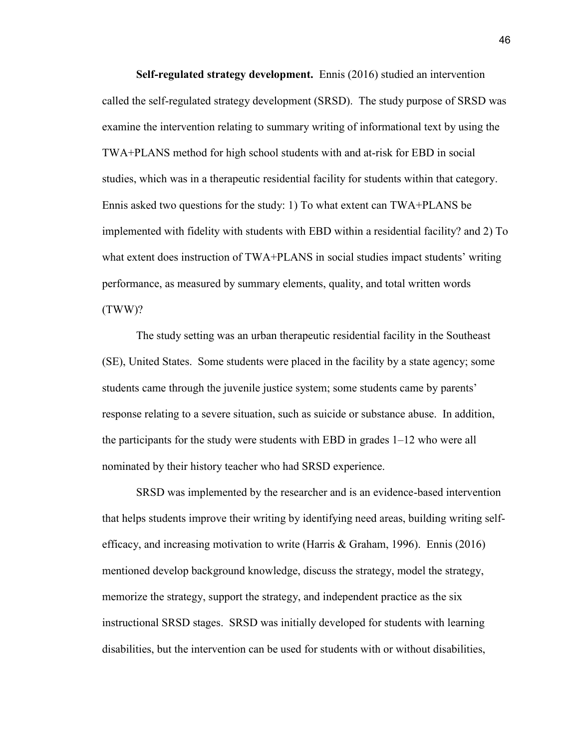**Self-regulated strategy development.** Ennis (2016) studied an intervention called the self-regulated strategy development (SRSD). The study purpose of SRSD was examine the intervention relating to summary writing of informational text by using the TWA+PLANS method for high school students with and at-risk for EBD in social studies, which was in a therapeutic residential facility for students within that category. Ennis asked two questions for the study: 1) To what extent can TWA+PLANS be implemented with fidelity with students with EBD within a residential facility? and 2) To what extent does instruction of TWA+PLANS in social studies impact students' writing performance, as measured by summary elements, quality, and total written words (TWW)?

The study setting was an urban therapeutic residential facility in the Southeast (SE), United States. Some students were placed in the facility by a state agency; some students came through the juvenile justice system; some students came by parents' response relating to a severe situation, such as suicide or substance abuse. In addition, the participants for the study were students with EBD in grades 1–12 who were all nominated by their history teacher who had SRSD experience.

SRSD was implemented by the researcher and is an evidence-based intervention that helps students improve their writing by identifying need areas, building writing selfefficacy, and increasing motivation to write (Harris & Graham, 1996). Ennis (2016) mentioned develop background knowledge, discuss the strategy, model the strategy, memorize the strategy, support the strategy, and independent practice as the six instructional SRSD stages. SRSD was initially developed for students with learning disabilities, but the intervention can be used for students with or without disabilities,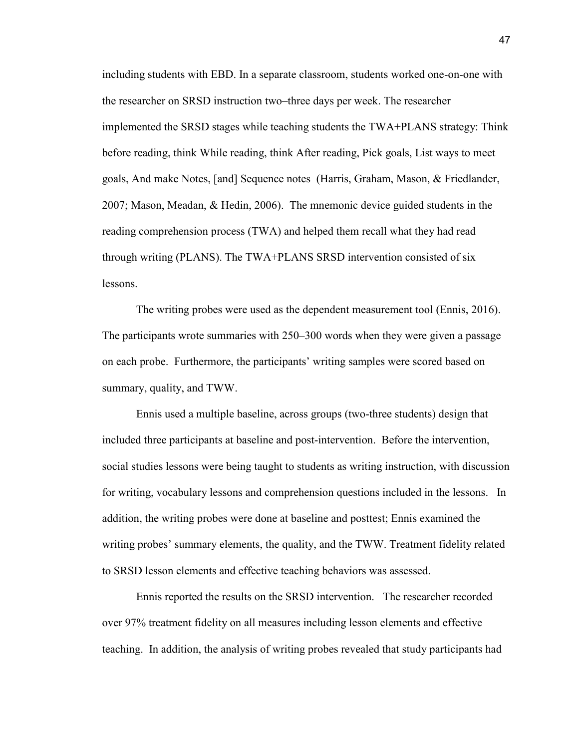including students with EBD. In a separate classroom, students worked one-on-one with the researcher on SRSD instruction two–three days per week. The researcher implemented the SRSD stages while teaching students the TWA+PLANS strategy: Think before reading, think While reading, think After reading, Pick goals, List ways to meet goals, And make Notes, [and] Sequence notes (Harris, Graham, Mason, & Friedlander, 2007; Mason, Meadan, & Hedin, 2006). The mnemonic device guided students in the reading comprehension process (TWA) and helped them recall what they had read through writing (PLANS). The TWA+PLANS SRSD intervention consisted of six lessons.

The writing probes were used as the dependent measurement tool (Ennis, 2016). The participants wrote summaries with 250–300 words when they were given a passage on each probe. Furthermore, the participants' writing samples were scored based on summary, quality, and TWW.

Ennis used a multiple baseline, across groups (two-three students) design that included three participants at baseline and post-intervention. Before the intervention, social studies lessons were being taught to students as writing instruction, with discussion for writing, vocabulary lessons and comprehension questions included in the lessons. In addition, the writing probes were done at baseline and posttest; Ennis examined the writing probes' summary elements, the quality, and the TWW. Treatment fidelity related to SRSD lesson elements and effective teaching behaviors was assessed.

Ennis reported the results on the SRSD intervention. The researcher recorded over 97% treatment fidelity on all measures including lesson elements and effective teaching. In addition, the analysis of writing probes revealed that study participants had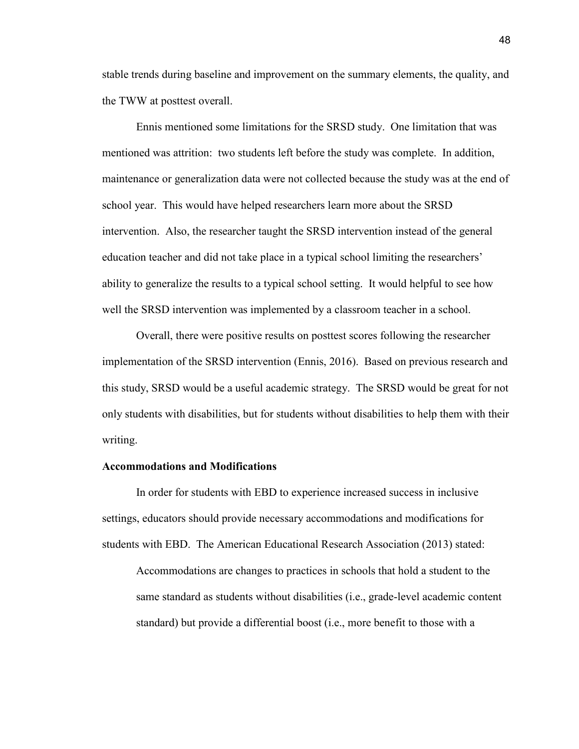stable trends during baseline and improvement on the summary elements, the quality, and the TWW at posttest overall.

Ennis mentioned some limitations for the SRSD study. One limitation that was mentioned was attrition: two students left before the study was complete. In addition, maintenance or generalization data were not collected because the study was at the end of school year. This would have helped researchers learn more about the SRSD intervention. Also, the researcher taught the SRSD intervention instead of the general education teacher and did not take place in a typical school limiting the researchers' ability to generalize the results to a typical school setting. It would helpful to see how well the SRSD intervention was implemented by a classroom teacher in a school.

Overall, there were positive results on posttest scores following the researcher implementation of the SRSD intervention (Ennis, 2016). Based on previous research and this study, SRSD would be a useful academic strategy. The SRSD would be great for not only students with disabilities, but for students without disabilities to help them with their writing.

## **Accommodations and Modifications**

In order for students with EBD to experience increased success in inclusive settings, educators should provide necessary accommodations and modifications for students with EBD. The American Educational Research Association (2013) stated:

Accommodations are changes to practices in schools that hold a student to the same standard as students without disabilities (i.e., grade-level academic content standard) but provide a differential boost (i.e., more benefit to those with a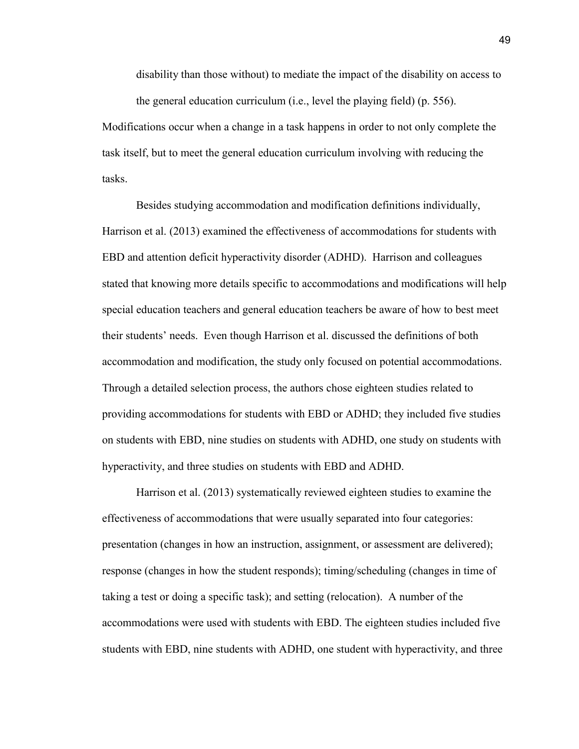disability than those without) to mediate the impact of the disability on access to the general education curriculum (i.e., level the playing field) (p. 556).

Modifications occur when a change in a task happens in order to not only complete the task itself, but to meet the general education curriculum involving with reducing the tasks.

Besides studying accommodation and modification definitions individually, Harrison et al. (2013) examined the effectiveness of accommodations for students with EBD and attention deficit hyperactivity disorder (ADHD). Harrison and colleagues stated that knowing more details specific to accommodations and modifications will help special education teachers and general education teachers be aware of how to best meet their students' needs. Even though Harrison et al. discussed the definitions of both accommodation and modification, the study only focused on potential accommodations. Through a detailed selection process, the authors chose eighteen studies related to providing accommodations for students with EBD or ADHD; they included five studies on students with EBD, nine studies on students with ADHD, one study on students with hyperactivity, and three studies on students with EBD and ADHD.

Harrison et al. (2013) systematically reviewed eighteen studies to examine the effectiveness of accommodations that were usually separated into four categories: presentation (changes in how an instruction, assignment, or assessment are delivered); response (changes in how the student responds); timing/scheduling (changes in time of taking a test or doing a specific task); and setting (relocation). A number of the accommodations were used with students with EBD. The eighteen studies included five students with EBD, nine students with ADHD, one student with hyperactivity, and three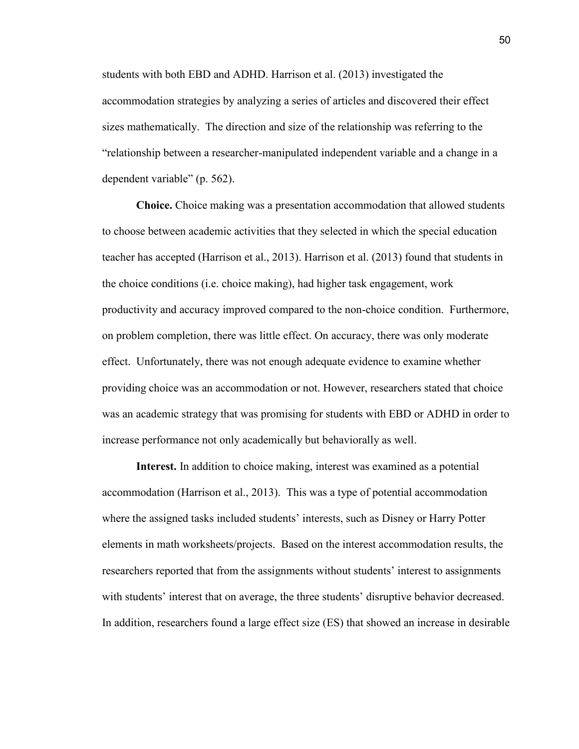students with both EBD and ADHD. Harrison et al. (2013) investigated the accommodation strategies by analyzing a series of articles and discovered their effect sizes mathematically. The direction and size of the relationship was referring to the "relationship between a researcher-manipulated independent variable and a change in a dependent variable" (p. 562).

**Choice.** Choice making was a presentation accommodation that allowed students to choose between academic activities that they selected in which the special education teacher has accepted (Harrison et al., 2013). Harrison et al. (2013) found that students in the choice conditions (i.e. choice making), had higher task engagement, work productivity and accuracy improved compared to the non-choice condition. Furthermore, on problem completion, there was little effect. On accuracy, there was only moderate effect. Unfortunately, there was not enough adequate evidence to examine whether providing choice was an accommodation or not. However, researchers stated that choice was an academic strategy that was promising for students with EBD or ADHD in order to increase performance not only academically but behaviorally as well.

**Interest.** In addition to choice making, interest was examined as a potential accommodation (Harrison et al., 2013). This was a type of potential accommodation where the assigned tasks included students' interests, such as Disney or Harry Potter elements in math worksheets/projects. Based on the interest accommodation results, the researchers reported that from the assignments without students' interest to assignments with students' interest that on average, the three students' disruptive behavior decreased. In addition, researchers found a large effect size (ES) that showed an increase in desirable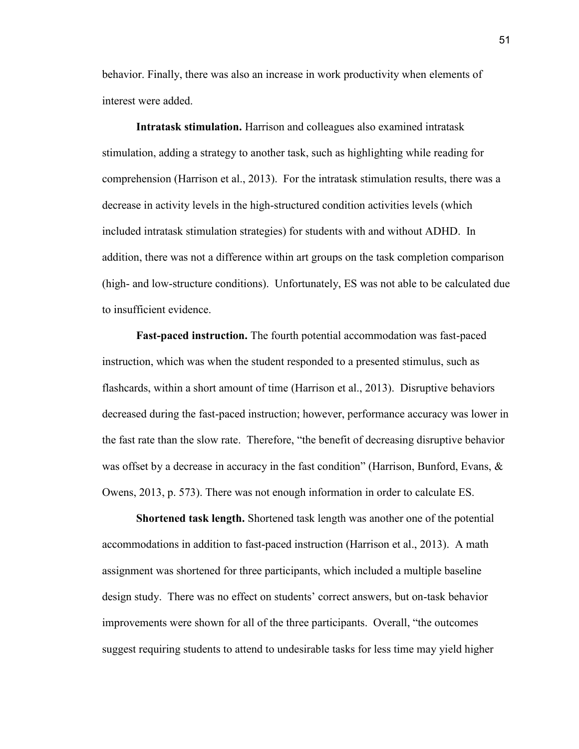behavior. Finally, there was also an increase in work productivity when elements of interest were added.

**Intratask stimulation.** Harrison and colleagues also examined intratask stimulation, adding a strategy to another task, such as highlighting while reading for comprehension (Harrison et al., 2013). For the intratask stimulation results, there was a decrease in activity levels in the high-structured condition activities levels (which included intratask stimulation strategies) for students with and without ADHD. In addition, there was not a difference within art groups on the task completion comparison (high- and low-structure conditions). Unfortunately, ES was not able to be calculated due to insufficient evidence.

**Fast-paced instruction.** The fourth potential accommodation was fast-paced instruction, which was when the student responded to a presented stimulus, such as flashcards, within a short amount of time (Harrison et al., 2013). Disruptive behaviors decreased during the fast-paced instruction; however, performance accuracy was lower in the fast rate than the slow rate. Therefore, "the benefit of decreasing disruptive behavior was offset by a decrease in accuracy in the fast condition" (Harrison, Bunford, Evans, & Owens, 2013, p. 573). There was not enough information in order to calculate ES.

**Shortened task length.** Shortened task length was another one of the potential accommodations in addition to fast-paced instruction (Harrison et al., 2013). A math assignment was shortened for three participants, which included a multiple baseline design study. There was no effect on students' correct answers, but on-task behavior improvements were shown for all of the three participants. Overall, "the outcomes suggest requiring students to attend to undesirable tasks for less time may yield higher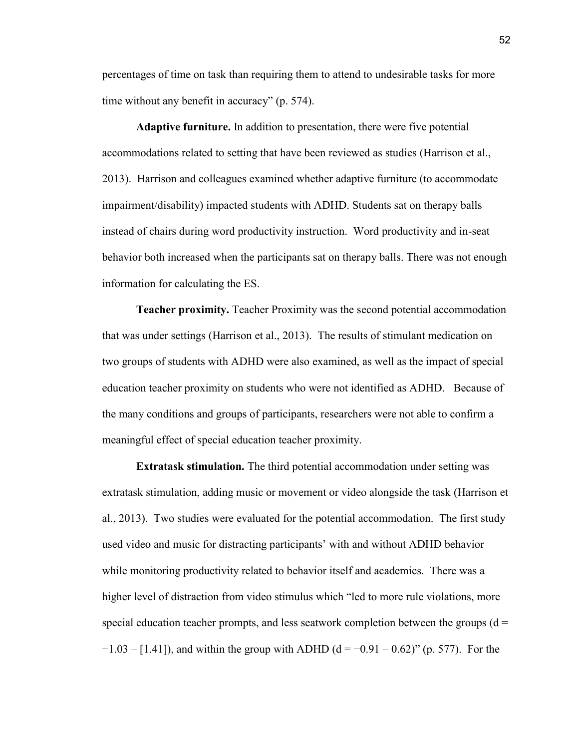percentages of time on task than requiring them to attend to undesirable tasks for more time without any benefit in accuracy" (p. 574).

**Adaptive furniture.** In addition to presentation, there were five potential accommodations related to setting that have been reviewed as studies (Harrison et al., 2013). Harrison and colleagues examined whether adaptive furniture (to accommodate impairment/disability) impacted students with ADHD. Students sat on therapy balls instead of chairs during word productivity instruction. Word productivity and in-seat behavior both increased when the participants sat on therapy balls. There was not enough information for calculating the ES.

**Teacher proximity.** Teacher Proximity was the second potential accommodation that was under settings (Harrison et al., 2013). The results of stimulant medication on two groups of students with ADHD were also examined, as well as the impact of special education teacher proximity on students who were not identified as ADHD. Because of the many conditions and groups of participants, researchers were not able to confirm a meaningful effect of special education teacher proximity.

**Extratask stimulation.** The third potential accommodation under setting was extratask stimulation, adding music or movement or video alongside the task (Harrison et al., 2013). Two studies were evaluated for the potential accommodation. The first study used video and music for distracting participants' with and without ADHD behavior while monitoring productivity related to behavior itself and academics. There was a higher level of distraction from video stimulus which "led to more rule violations, more special education teacher prompts, and less seatwork completion between the groups ( $d =$  $-1.03 - [1.41]$ , and within the group with ADHD (d =  $-0.91 - 0.62$ )" (p. 577). For the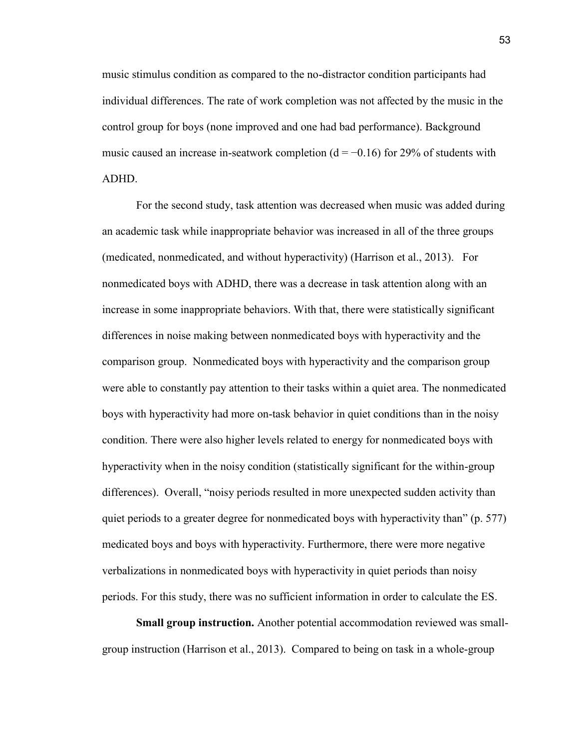music stimulus condition as compared to the no-distractor condition participants had individual differences. The rate of work completion was not affected by the music in the control group for boys (none improved and one had bad performance). Background music caused an increase in-seatwork completion ( $d = -0.16$ ) for 29% of students with ADHD.

For the second study, task attention was decreased when music was added during an academic task while inappropriate behavior was increased in all of the three groups (medicated, nonmedicated, and without hyperactivity) (Harrison et al., 2013). For nonmedicated boys with ADHD, there was a decrease in task attention along with an increase in some inappropriate behaviors. With that, there were statistically significant differences in noise making between nonmedicated boys with hyperactivity and the comparison group. Nonmedicated boys with hyperactivity and the comparison group were able to constantly pay attention to their tasks within a quiet area. The nonmedicated boys with hyperactivity had more on-task behavior in quiet conditions than in the noisy condition. There were also higher levels related to energy for nonmedicated boys with hyperactivity when in the noisy condition (statistically significant for the within-group differences). Overall, "noisy periods resulted in more unexpected sudden activity than quiet periods to a greater degree for nonmedicated boys with hyperactivity than" (p. 577) medicated boys and boys with hyperactivity. Furthermore, there were more negative verbalizations in nonmedicated boys with hyperactivity in quiet periods than noisy periods. For this study, there was no sufficient information in order to calculate the ES.

**Small group instruction.** Another potential accommodation reviewed was smallgroup instruction (Harrison et al., 2013). Compared to being on task in a whole-group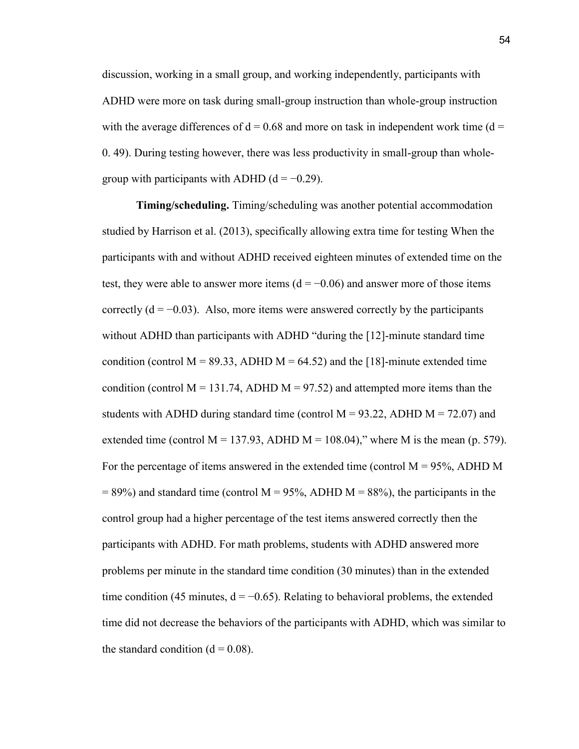discussion, working in a small group, and working independently, participants with ADHD were more on task during small-group instruction than whole-group instruction with the average differences of  $d = 0.68$  and more on task in independent work time ( $d =$ 0. 49). During testing however, there was less productivity in small-group than wholegroup with participants with ADHD  $(d = -0.29)$ .

**Timing/scheduling.** Timing/scheduling was another potential accommodation studied by Harrison et al. (2013), specifically allowing extra time for testing When the participants with and without ADHD received eighteen minutes of extended time on the test, they were able to answer more items  $(d = -0.06)$  and answer more of those items correctly  $(d = -0.03)$ . Also, more items were answered correctly by the participants without ADHD than participants with ADHD "during the [12]-minute standard time condition (control M = 89.33, ADHD M = 64.52) and the [18]-minute extended time condition (control  $M = 131.74$ , ADHD  $M = 97.52$ ) and attempted more items than the students with ADHD during standard time (control  $M = 93.22$ , ADHD  $M = 72.07$ ) and extended time (control  $M = 137.93$ , ADHD  $M = 108.04$ )," where M is the mean (p. 579). For the percentage of items answered in the extended time (control  $M = 95\%$ , ADHD M  $= 89\%$ ) and standard time (control M = 95%, ADHD M = 88%), the participants in the control group had a higher percentage of the test items answered correctly then the participants with ADHD. For math problems, students with ADHD answered more problems per minute in the standard time condition (30 minutes) than in the extended time condition (45 minutes,  $d = -0.65$ ). Relating to behavioral problems, the extended time did not decrease the behaviors of the participants with ADHD, which was similar to the standard condition  $(d = 0.08)$ .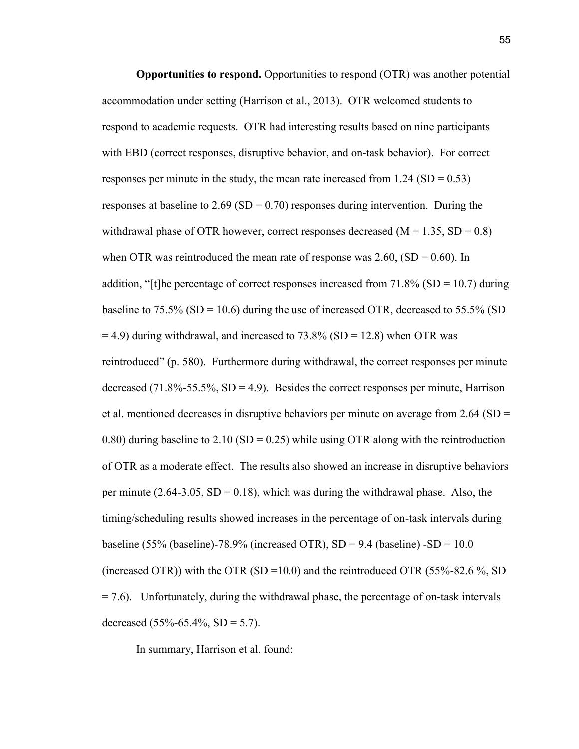**Opportunities to respond.** Opportunities to respond (OTR) was another potential accommodation under setting (Harrison et al., 2013). OTR welcomed students to respond to academic requests. OTR had interesting results based on nine participants with EBD (correct responses, disruptive behavior, and on-task behavior). For correct responses per minute in the study, the mean rate increased from  $1.24$  (SD = 0.53) responses at baseline to  $2.69$  (SD = 0.70) responses during intervention. During the withdrawal phase of OTR however, correct responses decreased  $(M = 1.35, SD = 0.8)$ when OTR was reintroduced the mean rate of response was 2.60,  $(SD = 0.60)$ . In addition, "[t]he percentage of correct responses increased from  $71.8\%$  (SD = 10.7) during baseline to 75.5% (SD = 10.6) during the use of increased OTR, decreased to 55.5% (SD  $=$  4.9) during withdrawal, and increased to 73.8% (SD = 12.8) when OTR was reintroduced" (p. 580). Furthermore during withdrawal, the correct responses per minute decreased (71.8%-55.5%,  $SD = 4.9$ ). Besides the correct responses per minute, Harrison et al. mentioned decreases in disruptive behaviors per minute on average from  $2.64$  (SD = 0.80) during baseline to 2.10 (SD = 0.25) while using OTR along with the reintroduction of OTR as a moderate effect. The results also showed an increase in disruptive behaviors per minute  $(2.64-3.05, SD = 0.18)$ , which was during the withdrawal phase. Also, the timing/scheduling results showed increases in the percentage of on-task intervals during baseline (55% (baseline)-78.9% (increased OTR),  $SD = 9.4$  (baseline) - $SD = 10.0$ (increased OTR)) with the OTR (SD = 10.0) and the reintroduced OTR (55%-82.6 %, SD  $= 7.6$ ). Unfortunately, during the withdrawal phase, the percentage of on-task intervals decreased  $(55\% - 65.4\% , SD = 5.7)$ .

In summary, Harrison et al. found: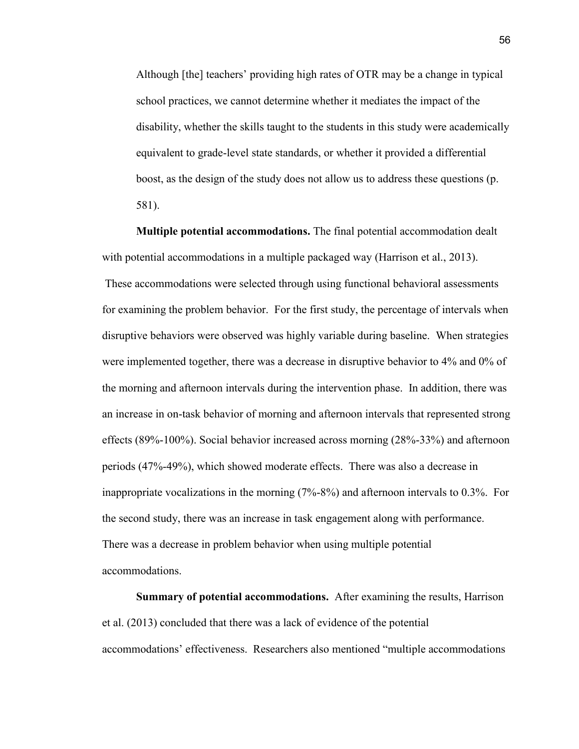Although [the] teachers' providing high rates of OTR may be a change in typical school practices, we cannot determine whether it mediates the impact of the disability, whether the skills taught to the students in this study were academically equivalent to grade-level state standards, or whether it provided a differential boost, as the design of the study does not allow us to address these questions (p. 581).

**Multiple potential accommodations.** The final potential accommodation dealt with potential accommodations in a multiple packaged way (Harrison et al., 2013). These accommodations were selected through using functional behavioral assessments for examining the problem behavior. For the first study, the percentage of intervals when disruptive behaviors were observed was highly variable during baseline. When strategies were implemented together, there was a decrease in disruptive behavior to 4% and 0% of the morning and afternoon intervals during the intervention phase. In addition, there was an increase in on-task behavior of morning and afternoon intervals that represented strong effects (89%-100%). Social behavior increased across morning (28%-33%) and afternoon periods (47%-49%), which showed moderate effects. There was also a decrease in inappropriate vocalizations in the morning (7%-8%) and afternoon intervals to 0.3%. For the second study, there was an increase in task engagement along with performance. There was a decrease in problem behavior when using multiple potential accommodations.

**Summary of potential accommodations.** After examining the results, Harrison et al. (2013) concluded that there was a lack of evidence of the potential accommodations' effectiveness. Researchers also mentioned "multiple accommodations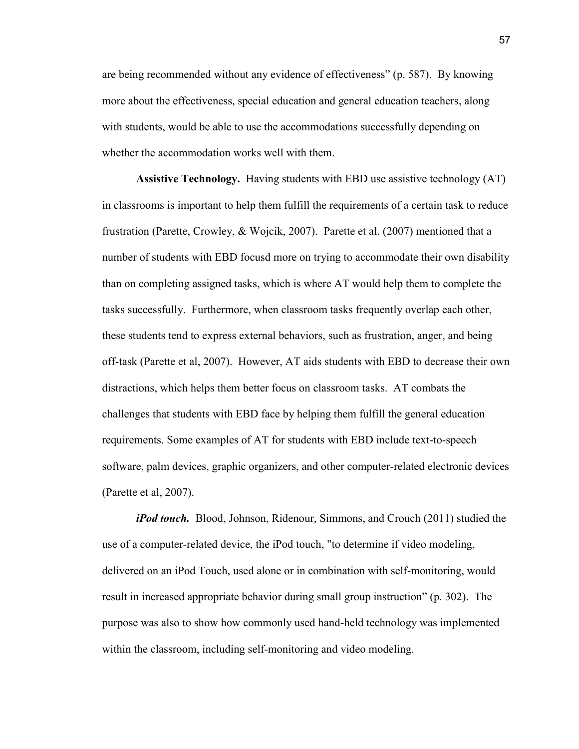are being recommended without any evidence of effectiveness" (p. 587). By knowing more about the effectiveness, special education and general education teachers, along with students, would be able to use the accommodations successfully depending on whether the accommodation works well with them.

**Assistive Technology.** Having students with EBD use assistive technology (AT) in classrooms is important to help them fulfill the requirements of a certain task to reduce frustration (Parette, Crowley, & Wojcik, 2007). Parette et al. (2007) mentioned that a number of students with EBD focusd more on trying to accommodate their own disability than on completing assigned tasks, which is where AT would help them to complete the tasks successfully. Furthermore, when classroom tasks frequently overlap each other, these students tend to express external behaviors, such as frustration, anger, and being off-task (Parette et al, 2007). However, AT aids students with EBD to decrease their own distractions, which helps them better focus on classroom tasks. AT combats the challenges that students with EBD face by helping them fulfill the general education requirements. Some examples of AT for students with EBD include text-to-speech software, palm devices, graphic organizers, and other computer-related electronic devices (Parette et al, 2007).

*iPod touch.* Blood, Johnson, Ridenour, Simmons, and Crouch (2011) studied the use of a computer-related device, the iPod touch, "to determine if video modeling, delivered on an iPod Touch, used alone or in combination with self-monitoring, would result in increased appropriate behavior during small group instruction" (p. 302). The purpose was also to show how commonly used hand-held technology was implemented within the classroom, including self-monitoring and video modeling.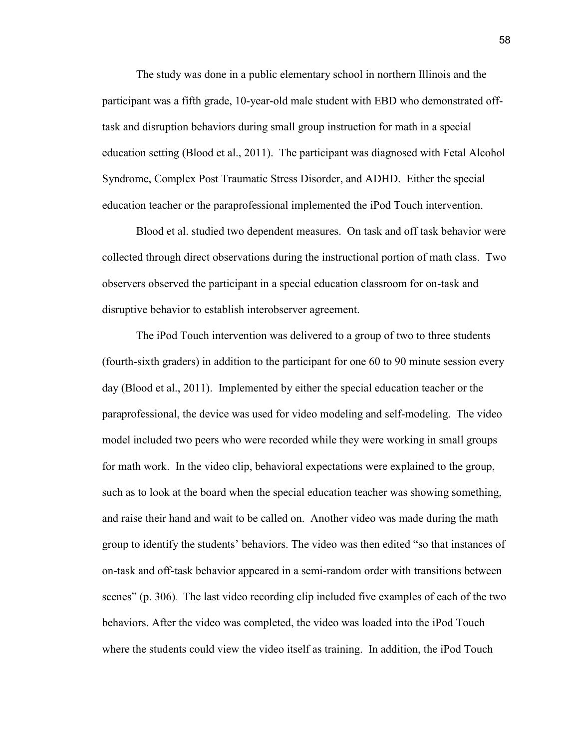The study was done in a public elementary school in northern Illinois and the participant was a fifth grade, 10-year-old male student with EBD who demonstrated offtask and disruption behaviors during small group instruction for math in a special education setting (Blood et al., 2011). The participant was diagnosed with Fetal Alcohol Syndrome, Complex Post Traumatic Stress Disorder, and ADHD. Either the special education teacher or the paraprofessional implemented the iPod Touch intervention.

Blood et al. studied two dependent measures. On task and off task behavior were collected through direct observations during the instructional portion of math class. Two observers observed the participant in a special education classroom for on-task and disruptive behavior to establish interobserver agreement.

The iPod Touch intervention was delivered to a group of two to three students (fourth-sixth graders) in addition to the participant for one 60 to 90 minute session every day (Blood et al., 2011). Implemented by either the special education teacher or the paraprofessional, the device was used for video modeling and self-modeling. The video model included two peers who were recorded while they were working in small groups for math work. In the video clip, behavioral expectations were explained to the group, such as to look at the board when the special education teacher was showing something, and raise their hand and wait to be called on. Another video was made during the math group to identify the students' behaviors. The video was then edited "so that instances of on-task and off-task behavior appeared in a semi-random order with transitions between scenes" (p. 306). The last video recording clip included five examples of each of the two behaviors. After the video was completed, the video was loaded into the iPod Touch where the students could view the video itself as training. In addition, the iPod Touch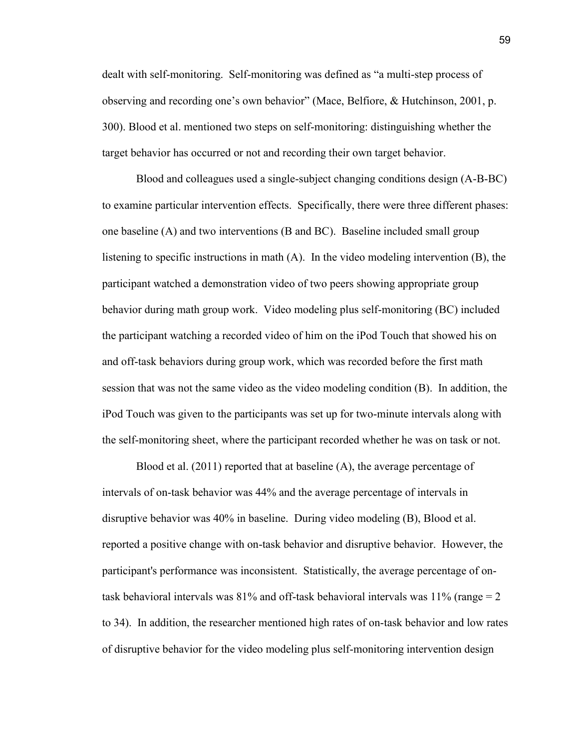dealt with self-monitoring. Self-monitoring was defined as "a multi-step process of observing and recording one's own behavior" (Mace, Belfiore, & Hutchinson, 2001, p. 300). Blood et al. mentioned two steps on self-monitoring: distinguishing whether the target behavior has occurred or not and recording their own target behavior.

Blood and colleagues used a single-subject changing conditions design (A-B-BC) to examine particular intervention effects. Specifically, there were three different phases: one baseline (A) and two interventions (B and BC). Baseline included small group listening to specific instructions in math (A). In the video modeling intervention (B), the participant watched a demonstration video of two peers showing appropriate group behavior during math group work. Video modeling plus self-monitoring (BC) included the participant watching a recorded video of him on the iPod Touch that showed his on and off-task behaviors during group work, which was recorded before the first math session that was not the same video as the video modeling condition (B). In addition, the iPod Touch was given to the participants was set up for two-minute intervals along with the self-monitoring sheet, where the participant recorded whether he was on task or not.

Blood et al. (2011) reported that at baseline (A), the average percentage of intervals of on-task behavior was 44% and the average percentage of intervals in disruptive behavior was 40% in baseline. During video modeling (B), Blood et al. reported a positive change with on-task behavior and disruptive behavior. However, the participant's performance was inconsistent. Statistically, the average percentage of ontask behavioral intervals was  $81\%$  and off-task behavioral intervals was  $11\%$  (range = 2) to 34). In addition, the researcher mentioned high rates of on-task behavior and low rates of disruptive behavior for the video modeling plus self-monitoring intervention design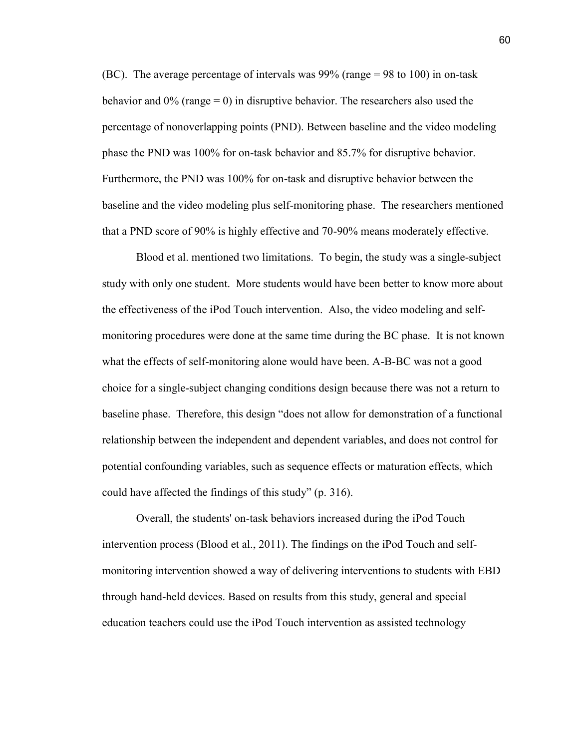(BC). The average percentage of intervals was 99% (range = 98 to 100) in on-task behavior and  $0\%$  (range = 0) in disruptive behavior. The researchers also used the percentage of nonoverlapping points (PND). Between baseline and the video modeling phase the PND was 100% for on-task behavior and 85.7% for disruptive behavior. Furthermore, the PND was 100% for on-task and disruptive behavior between the baseline and the video modeling plus self-monitoring phase. The researchers mentioned that a PND score of 90% is highly effective and 70-90% means moderately effective.

Blood et al. mentioned two limitations. To begin, the study was a single-subject study with only one student. More students would have been better to know more about the effectiveness of the iPod Touch intervention. Also, the video modeling and selfmonitoring procedures were done at the same time during the BC phase. It is not known what the effects of self-monitoring alone would have been. A-B-BC was not a good choice for a single-subject changing conditions design because there was not a return to baseline phase. Therefore, this design "does not allow for demonstration of a functional relationship between the independent and dependent variables, and does not control for potential confounding variables, such as sequence effects or maturation effects, which could have affected the findings of this study" (p. 316).

Overall, the students' on-task behaviors increased during the iPod Touch intervention process (Blood et al., 2011). The findings on the iPod Touch and selfmonitoring intervention showed a way of delivering interventions to students with EBD through hand-held devices. Based on results from this study, general and special education teachers could use the iPod Touch intervention as assisted technology

60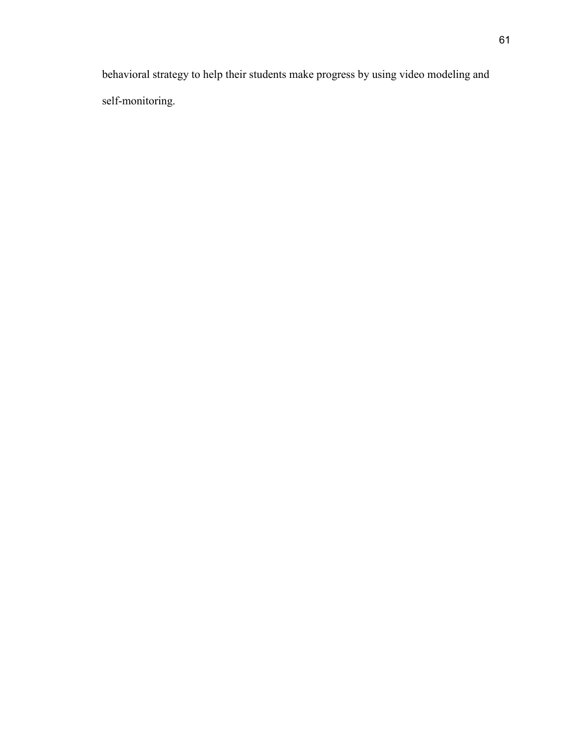behavioral strategy to help their students make progress by using video modeling and self-monitoring.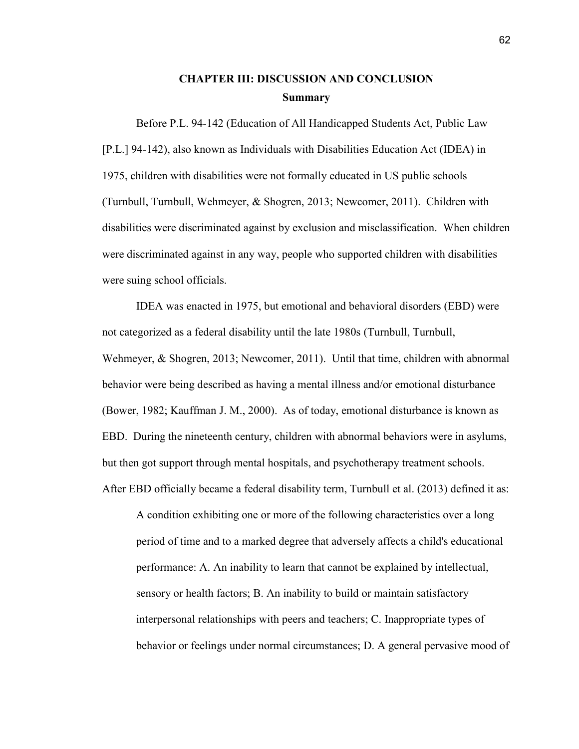# **CHAPTER III: DISCUSSION AND CONCLUSION Summary**

Before P.L. 94-142 (Education of All Handicapped Students Act, Public Law [P.L.] 94-142), also known as Individuals with Disabilities Education Act (IDEA) in 1975, children with disabilities were not formally educated in US public schools (Turnbull, Turnbull, Wehmeyer, & Shogren, 2013; Newcomer, 2011). Children with disabilities were discriminated against by exclusion and misclassification. When children were discriminated against in any way, people who supported children with disabilities were suing school officials.

IDEA was enacted in 1975, but emotional and behavioral disorders (EBD) were not categorized as a federal disability until the late 1980s (Turnbull, Turnbull, Wehmeyer, & Shogren, 2013; Newcomer, 2011). Until that time, children with abnormal behavior were being described as having a mental illness and/or emotional disturbance (Bower, 1982; Kauffman J. M., 2000). As of today, emotional disturbance is known as EBD. During the nineteenth century, children with abnormal behaviors were in asylums, but then got support through mental hospitals, and psychotherapy treatment schools. After EBD officially became a federal disability term, Turnbull et al. (2013) defined it as:

A condition exhibiting one or more of the following characteristics over a long period of time and to a marked degree that adversely affects a child's educational performance: A. An inability to learn that cannot be explained by intellectual, sensory or health factors; B. An inability to build or maintain satisfactory interpersonal relationships with peers and teachers; C. Inappropriate types of behavior or feelings under normal circumstances; D. A general pervasive mood of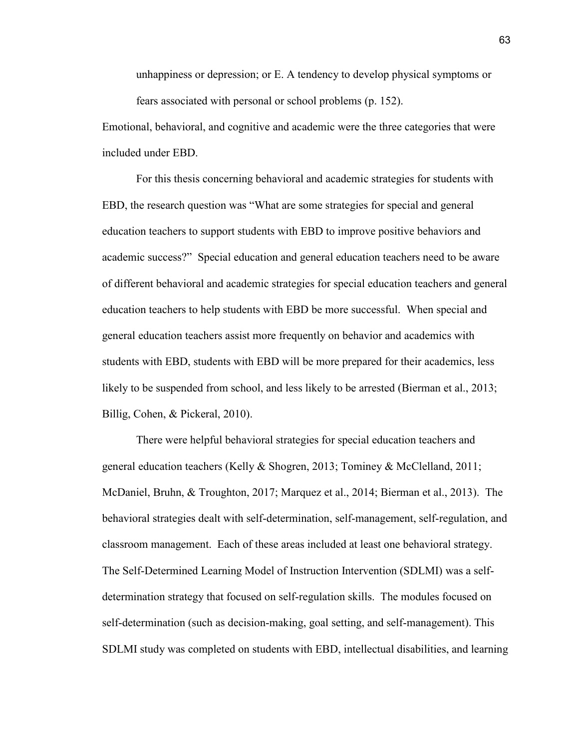unhappiness or depression; or E. A tendency to develop physical symptoms or fears associated with personal or school problems (p. 152).

Emotional, behavioral, and cognitive and academic were the three categories that were included under EBD.

For this thesis concerning behavioral and academic strategies for students with EBD, the research question was "What are some strategies for special and general education teachers to support students with EBD to improve positive behaviors and academic success?" Special education and general education teachers need to be aware of different behavioral and academic strategies for special education teachers and general education teachers to help students with EBD be more successful. When special and general education teachers assist more frequently on behavior and academics with students with EBD, students with EBD will be more prepared for their academics, less likely to be suspended from school, and less likely to be arrested (Bierman et al., 2013; Billig, Cohen, & Pickeral, 2010).

 There were helpful behavioral strategies for special education teachers and general education teachers (Kelly & Shogren, 2013; Tominey & McClelland, 2011; McDaniel, Bruhn, & Troughton, 2017; Marquez et al., 2014; Bierman et al., 2013). The behavioral strategies dealt with self-determination, self-management, self-regulation, and classroom management. Each of these areas included at least one behavioral strategy. The Self-Determined Learning Model of Instruction Intervention (SDLMI) was a selfdetermination strategy that focused on self-regulation skills. The modules focused on self-determination (such as decision-making, goal setting, and self-management). This SDLMI study was completed on students with EBD, intellectual disabilities, and learning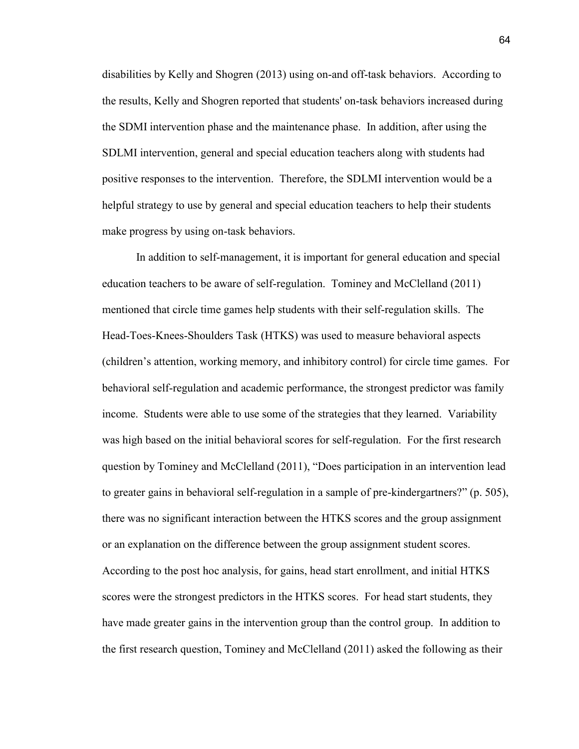disabilities by Kelly and Shogren (2013) using on-and off-task behaviors. According to the results, Kelly and Shogren reported that students' on-task behaviors increased during the SDMI intervention phase and the maintenance phase. In addition, after using the SDLMI intervention, general and special education teachers along with students had positive responses to the intervention. Therefore, the SDLMI intervention would be a helpful strategy to use by general and special education teachers to help their students make progress by using on-task behaviors.

In addition to self-management, it is important for general education and special education teachers to be aware of self-regulation. Tominey and McClelland (2011) mentioned that circle time games help students with their self-regulation skills. The Head-Toes-Knees-Shoulders Task (HTKS) was used to measure behavioral aspects (children's attention, working memory, and inhibitory control) for circle time games. For behavioral self-regulation and academic performance, the strongest predictor was family income. Students were able to use some of the strategies that they learned. Variability was high based on the initial behavioral scores for self-regulation. For the first research question by Tominey and McClelland (2011), "Does participation in an intervention lead to greater gains in behavioral self-regulation in a sample of pre-kindergartners?" (p. 505), there was no significant interaction between the HTKS scores and the group assignment or an explanation on the difference between the group assignment student scores. According to the post hoc analysis, for gains, head start enrollment, and initial HTKS scores were the strongest predictors in the HTKS scores. For head start students, they have made greater gains in the intervention group than the control group. In addition to the first research question, Tominey and McClelland (2011) asked the following as their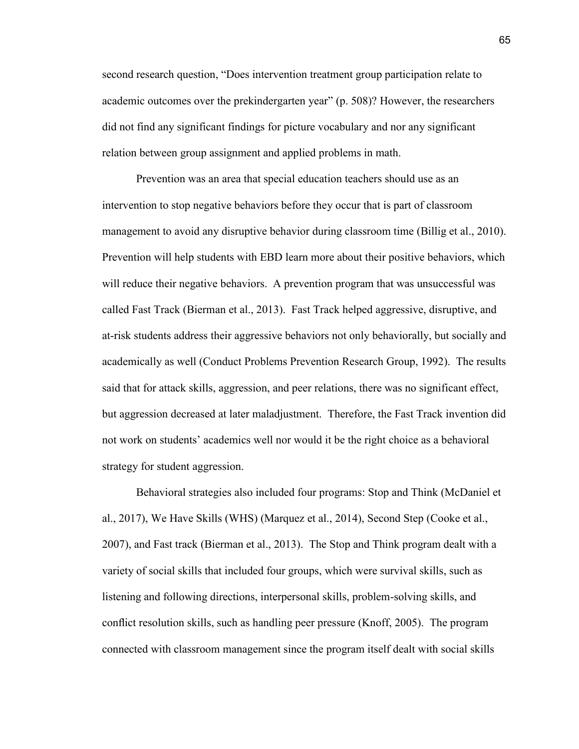second research question, "Does intervention treatment group participation relate to academic outcomes over the prekindergarten year" (p. 508)? However, the researchers did not find any significant findings for picture vocabulary and nor any significant relation between group assignment and applied problems in math.

Prevention was an area that special education teachers should use as an intervention to stop negative behaviors before they occur that is part of classroom management to avoid any disruptive behavior during classroom time (Billig et al., 2010). Prevention will help students with EBD learn more about their positive behaviors, which will reduce their negative behaviors. A prevention program that was unsuccessful was called Fast Track (Bierman et al., 2013). Fast Track helped aggressive, disruptive, and at-risk students address their aggressive behaviors not only behaviorally, but socially and academically as well (Conduct Problems Prevention Research Group, 1992). The results said that for attack skills, aggression, and peer relations, there was no significant effect, but aggression decreased at later maladjustment. Therefore, the Fast Track invention did not work on students' academics well nor would it be the right choice as a behavioral strategy for student aggression.

Behavioral strategies also included four programs: Stop and Think (McDaniel et al., 2017), We Have Skills (WHS) (Marquez et al., 2014), Second Step (Cooke et al., 2007), and Fast track (Bierman et al., 2013). The Stop and Think program dealt with a variety of social skills that included four groups, which were survival skills, such as listening and following directions, interpersonal skills, problem-solving skills, and conflict resolution skills, such as handling peer pressure (Knoff, 2005). The program connected with classroom management since the program itself dealt with social skills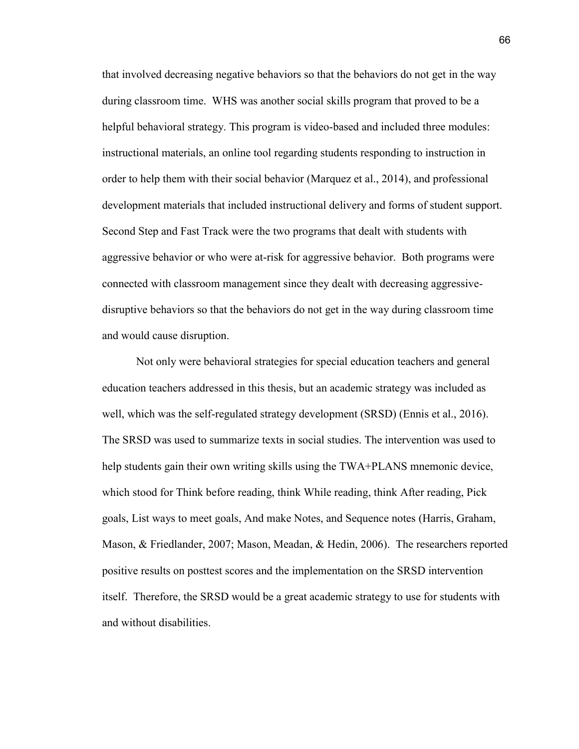that involved decreasing negative behaviors so that the behaviors do not get in the way during classroom time. WHS was another social skills program that proved to be a helpful behavioral strategy. This program is video-based and included three modules: instructional materials, an online tool regarding students responding to instruction in order to help them with their social behavior (Marquez et al., 2014), and professional development materials that included instructional delivery and forms of student support. Second Step and Fast Track were the two programs that dealt with students with aggressive behavior or who were at-risk for aggressive behavior. Both programs were connected with classroom management since they dealt with decreasing aggressivedisruptive behaviors so that the behaviors do not get in the way during classroom time and would cause disruption.

Not only were behavioral strategies for special education teachers and general education teachers addressed in this thesis, but an academic strategy was included as well, which was the self-regulated strategy development (SRSD) (Ennis et al., 2016). The SRSD was used to summarize texts in social studies. The intervention was used to help students gain their own writing skills using the TWA+PLANS mnemonic device, which stood for Think before reading, think While reading, think After reading, Pick goals, List ways to meet goals, And make Notes, and Sequence notes (Harris, Graham, Mason, & Friedlander, 2007; Mason, Meadan, & Hedin, 2006). The researchers reported positive results on posttest scores and the implementation on the SRSD intervention itself. Therefore, the SRSD would be a great academic strategy to use for students with and without disabilities.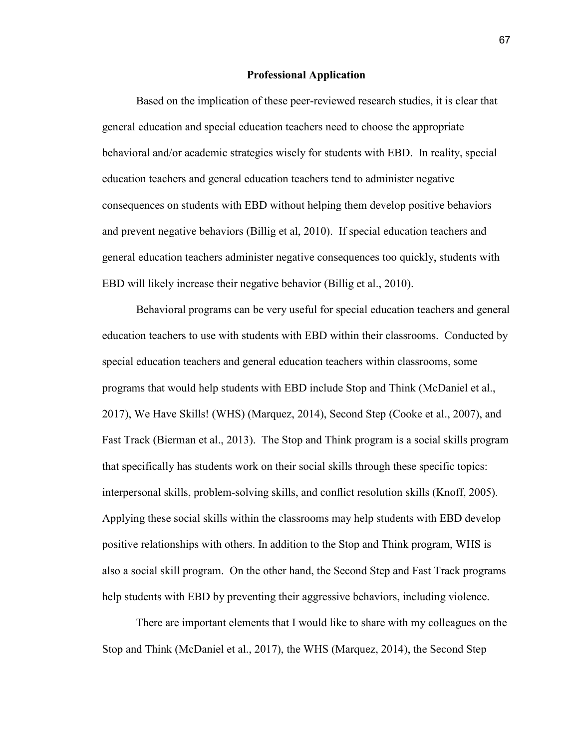# **Professional Application**

Based on the implication of these peer-reviewed research studies, it is clear that general education and special education teachers need to choose the appropriate behavioral and/or academic strategies wisely for students with EBD. In reality, special education teachers and general education teachers tend to administer negative consequences on students with EBD without helping them develop positive behaviors and prevent negative behaviors (Billig et al, 2010). If special education teachers and general education teachers administer negative consequences too quickly, students with EBD will likely increase their negative behavior (Billig et al., 2010).

Behavioral programs can be very useful for special education teachers and general education teachers to use with students with EBD within their classrooms. Conducted by special education teachers and general education teachers within classrooms, some programs that would help students with EBD include Stop and Think (McDaniel et al., 2017), We Have Skills! (WHS) (Marquez, 2014), Second Step (Cooke et al., 2007), and Fast Track (Bierman et al., 2013). The Stop and Think program is a social skills program that specifically has students work on their social skills through these specific topics: interpersonal skills, problem-solving skills, and conflict resolution skills (Knoff, 2005). Applying these social skills within the classrooms may help students with EBD develop positive relationships with others. In addition to the Stop and Think program, WHS is also a social skill program. On the other hand, the Second Step and Fast Track programs help students with EBD by preventing their aggressive behaviors, including violence.

There are important elements that I would like to share with my colleagues on the Stop and Think (McDaniel et al., 2017), the WHS (Marquez, 2014), the Second Step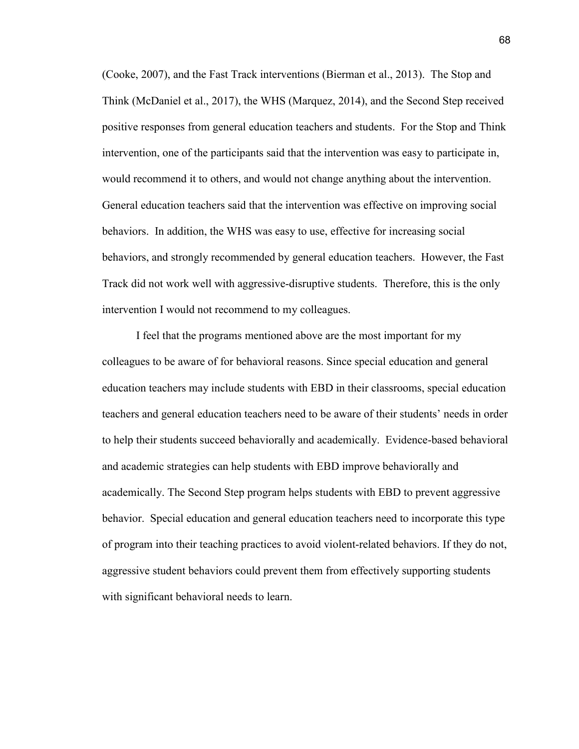(Cooke, 2007), and the Fast Track interventions (Bierman et al., 2013). The Stop and Think (McDaniel et al., 2017), the WHS (Marquez, 2014), and the Second Step received positive responses from general education teachers and students. For the Stop and Think intervention, one of the participants said that the intervention was easy to participate in, would recommend it to others, and would not change anything about the intervention. General education teachers said that the intervention was effective on improving social behaviors. In addition, the WHS was easy to use, effective for increasing social behaviors, and strongly recommended by general education teachers. However, the Fast Track did not work well with aggressive-disruptive students. Therefore, this is the only intervention I would not recommend to my colleagues.

I feel that the programs mentioned above are the most important for my colleagues to be aware of for behavioral reasons. Since special education and general education teachers may include students with EBD in their classrooms, special education teachers and general education teachers need to be aware of their students' needs in order to help their students succeed behaviorally and academically. Evidence-based behavioral and academic strategies can help students with EBD improve behaviorally and academically. The Second Step program helps students with EBD to prevent aggressive behavior. Special education and general education teachers need to incorporate this type of program into their teaching practices to avoid violent-related behaviors. If they do not, aggressive student behaviors could prevent them from effectively supporting students with significant behavioral needs to learn.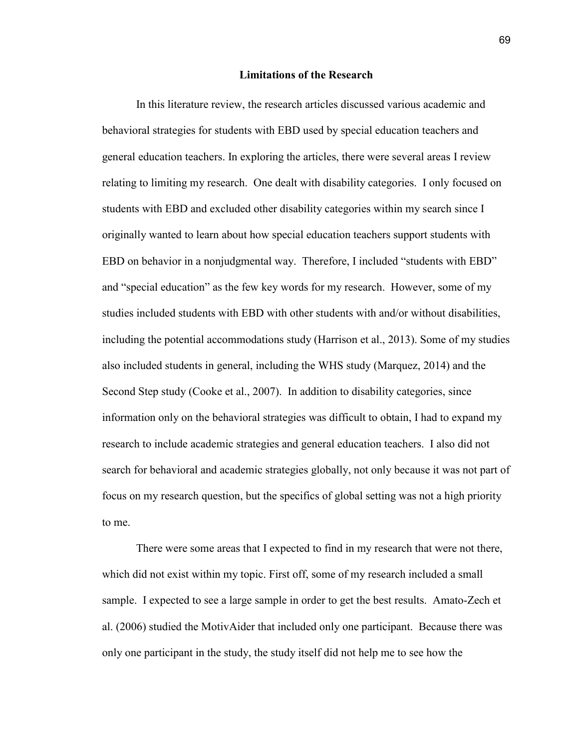# **Limitations of the Research**

In this literature review, the research articles discussed various academic and behavioral strategies for students with EBD used by special education teachers and general education teachers. In exploring the articles, there were several areas I review relating to limiting my research. One dealt with disability categories. I only focused on students with EBD and excluded other disability categories within my search since I originally wanted to learn about how special education teachers support students with EBD on behavior in a nonjudgmental way. Therefore, I included "students with EBD" and "special education" as the few key words for my research. However, some of my studies included students with EBD with other students with and/or without disabilities, including the potential accommodations study (Harrison et al., 2013). Some of my studies also included students in general, including the WHS study (Marquez, 2014) and the Second Step study (Cooke et al., 2007). In addition to disability categories, since information only on the behavioral strategies was difficult to obtain, I had to expand my research to include academic strategies and general education teachers. I also did not search for behavioral and academic strategies globally, not only because it was not part of focus on my research question, but the specifics of global setting was not a high priority to me.

There were some areas that I expected to find in my research that were not there, which did not exist within my topic. First off, some of my research included a small sample. I expected to see a large sample in order to get the best results. Amato-Zech et al. (2006) studied the MotivAider that included only one participant. Because there was only one participant in the study, the study itself did not help me to see how the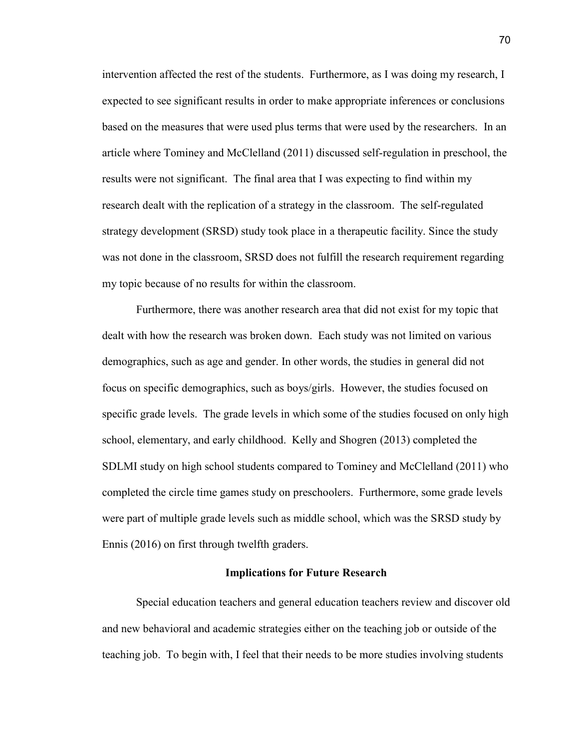intervention affected the rest of the students. Furthermore, as I was doing my research, I expected to see significant results in order to make appropriate inferences or conclusions based on the measures that were used plus terms that were used by the researchers. In an article where Tominey and McClelland (2011) discussed self-regulation in preschool, the results were not significant. The final area that I was expecting to find within my research dealt with the replication of a strategy in the classroom. The self-regulated strategy development (SRSD) study took place in a therapeutic facility. Since the study was not done in the classroom, SRSD does not fulfill the research requirement regarding my topic because of no results for within the classroom.

Furthermore, there was another research area that did not exist for my topic that dealt with how the research was broken down. Each study was not limited on various demographics, such as age and gender. In other words, the studies in general did not focus on specific demographics, such as boys/girls. However, the studies focused on specific grade levels. The grade levels in which some of the studies focused on only high school, elementary, and early childhood. Kelly and Shogren (2013) completed the SDLMI study on high school students compared to Tominey and McClelland (2011) who completed the circle time games study on preschoolers. Furthermore, some grade levels were part of multiple grade levels such as middle school, which was the SRSD study by Ennis (2016) on first through twelfth graders.

## **Implications for Future Research**

Special education teachers and general education teachers review and discover old and new behavioral and academic strategies either on the teaching job or outside of the teaching job. To begin with, I feel that their needs to be more studies involving students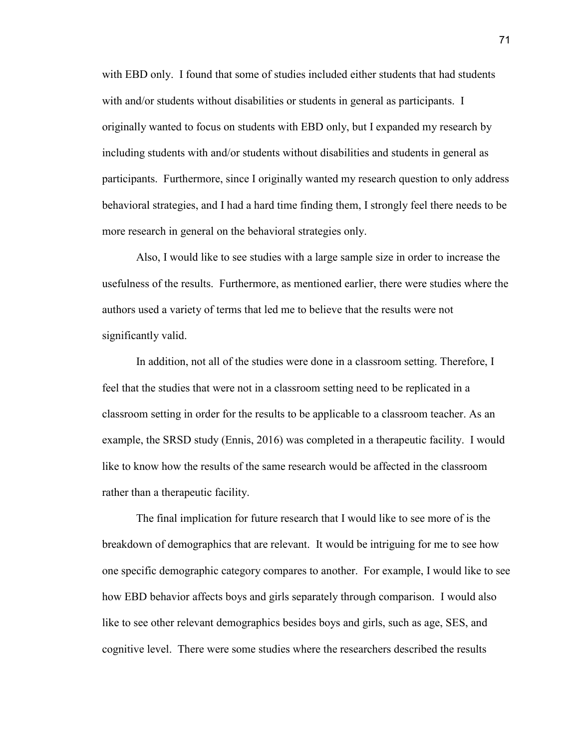with EBD only. I found that some of studies included either students that had students with and/or students without disabilities or students in general as participants. I originally wanted to focus on students with EBD only, but I expanded my research by including students with and/or students without disabilities and students in general as participants. Furthermore, since I originally wanted my research question to only address behavioral strategies, and I had a hard time finding them, I strongly feel there needs to be more research in general on the behavioral strategies only.

Also, I would like to see studies with a large sample size in order to increase the usefulness of the results. Furthermore, as mentioned earlier, there were studies where the authors used a variety of terms that led me to believe that the results were not significantly valid.

In addition, not all of the studies were done in a classroom setting. Therefore, I feel that the studies that were not in a classroom setting need to be replicated in a classroom setting in order for the results to be applicable to a classroom teacher. As an example, the SRSD study (Ennis, 2016) was completed in a therapeutic facility. I would like to know how the results of the same research would be affected in the classroom rather than a therapeutic facility.

The final implication for future research that I would like to see more of is the breakdown of demographics that are relevant. It would be intriguing for me to see how one specific demographic category compares to another. For example, I would like to see how EBD behavior affects boys and girls separately through comparison. I would also like to see other relevant demographics besides boys and girls, such as age, SES, and cognitive level. There were some studies where the researchers described the results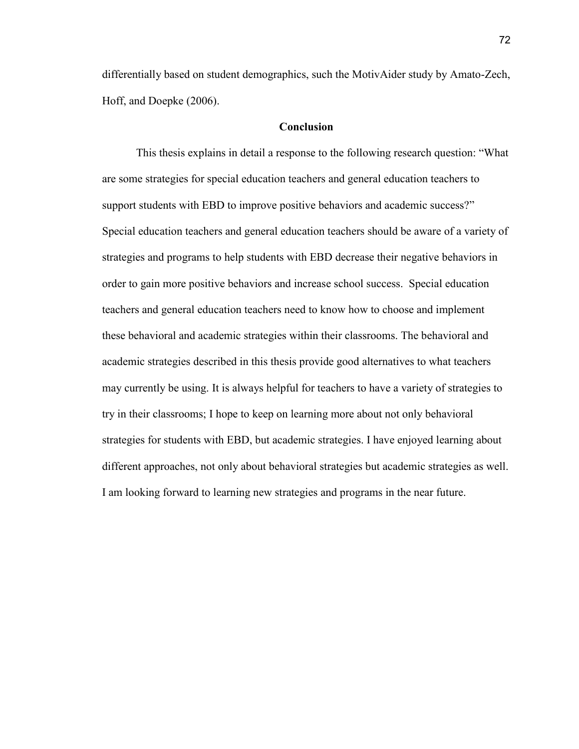differentially based on student demographics, such the MotivAider study by Amato-Zech, Hoff, and Doepke (2006).

## **Conclusion**

This thesis explains in detail a response to the following research question: "What are some strategies for special education teachers and general education teachers to support students with EBD to improve positive behaviors and academic success?" Special education teachers and general education teachers should be aware of a variety of strategies and programs to help students with EBD decrease their negative behaviors in order to gain more positive behaviors and increase school success. Special education teachers and general education teachers need to know how to choose and implement these behavioral and academic strategies within their classrooms. The behavioral and academic strategies described in this thesis provide good alternatives to what teachers may currently be using. It is always helpful for teachers to have a variety of strategies to try in their classrooms; I hope to keep on learning more about not only behavioral strategies for students with EBD, but academic strategies. I have enjoyed learning about different approaches, not only about behavioral strategies but academic strategies as well. I am looking forward to learning new strategies and programs in the near future.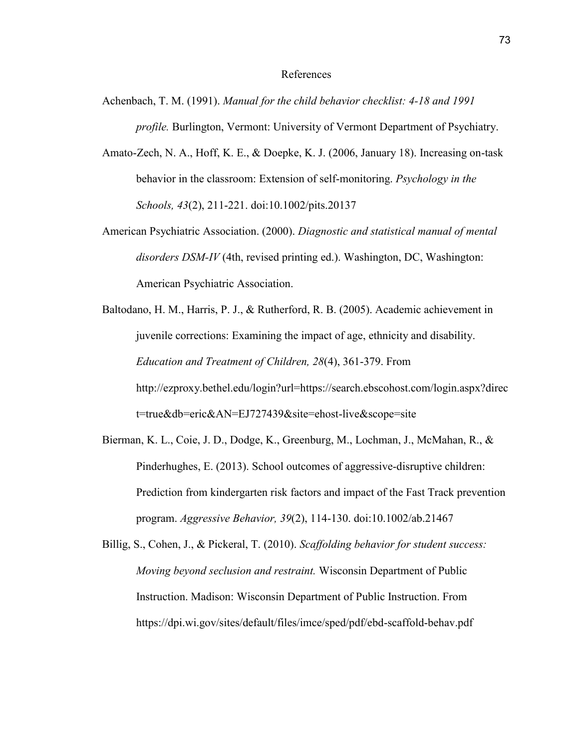## References

- Achenbach, T. M. (1991). *Manual for the child behavior checklist: 4‐18 and 1991 profile.* Burlington, Vermont: University of Vermont Department of Psychiatry.
- Amato-Zech, N. A., Hoff, K. E., & Doepke, K. J. (2006, January 18). Increasing on-task behavior in the classroom: Extension of self-monitoring. *Psychology in the Schools, 43*(2), 211-221. doi:10.1002/pits.20137
- American Psychiatric Association. (2000). *Diagnostic and statistical manual of mental disorders DSM-IV* (4th, revised printing ed.). Washington, DC, Washington: American Psychiatric Association.
- Baltodano, H. M., Harris, P. J., & Rutherford, R. B. (2005). Academic achievement in juvenile corrections: Examining the impact of age, ethnicity and disability. *Education and Treatment of Children, 28*(4), 361-379. From http://ezproxy.bethel.edu/login?url=https://search.ebscohost.com/login.aspx?direc t=true&db=eric&AN=EJ727439&site=ehost-live&scope=site
- Bierman, K. L., Coie, J. D., Dodge, K., Greenburg, M., Lochman, J., McMahan, R., & Pinderhughes, E. (2013). School outcomes of aggressive‐disruptive children: Prediction from kindergarten risk factors and impact of the Fast Track prevention program. *Aggressive Behavior, 39*(2), 114-130. doi:10.1002/ab.21467
- Billig, S., Cohen, J., & Pickeral, T. (2010). *Scaffolding behavior for student success: Moving beyond seclusion and restraint.* Wisconsin Department of Public Instruction. Madison: Wisconsin Department of Public Instruction. From https://dpi.wi.gov/sites/default/files/imce/sped/pdf/ebd-scaffold-behav.pdf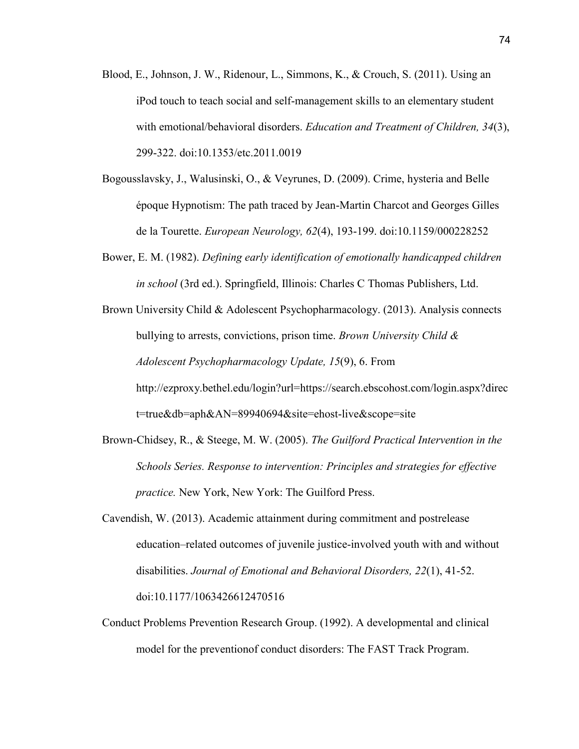- Blood, E., Johnson, J. W., Ridenour, L., Simmons, K., & Crouch, S. (2011). Using an iPod touch to teach social and self-management skills to an elementary student with emotional/behavioral disorders. *Education and Treatment of Children, 34*(3), 299-322. doi:10.1353/etc.2011.0019
- Bogousslavsky, J., Walusinski, O., & Veyrunes, D. (2009). Crime, hysteria and Belle époque Hypnotism: The path traced by Jean-Martin Charcot and Georges Gilles de la Tourette. *European Neurology, 62*(4), 193-199. doi:10.1159/000228252
- Bower, E. M. (1982). *Defining early identification of emotionally handicapped children in school* (3rd ed.). Springfield, Illinois: Charles C Thomas Publishers, Ltd.
- Brown University Child & Adolescent Psychopharmacology. (2013). Analysis connects bullying to arrests, convictions, prison time. *Brown University Child & Adolescent Psychopharmacology Update, 15*(9), 6. From http://ezproxy.bethel.edu/login?url=https://search.ebscohost.com/login.aspx?direc t=true&db=aph&AN=89940694&site=ehost-live&scope=site
- Brown-Chidsey, R., & Steege, M. W. (2005). *The Guilford Practical Intervention in the Schools Series. Response to intervention: Principles and strategies for effective practice.* New York, New York: The Guilford Press.
- Cavendish, W. (2013). Academic attainment during commitment and postrelease education–related outcomes of juvenile justice-involved youth with and without disabilities. *Journal of Emotional and Behavioral Disorders, 22*(1), 41-52. doi:10.1177/1063426612470516
- Conduct Problems Prevention Research Group. (1992). A developmental and clinical model for the preventionof conduct disorders: The FAST Track Program.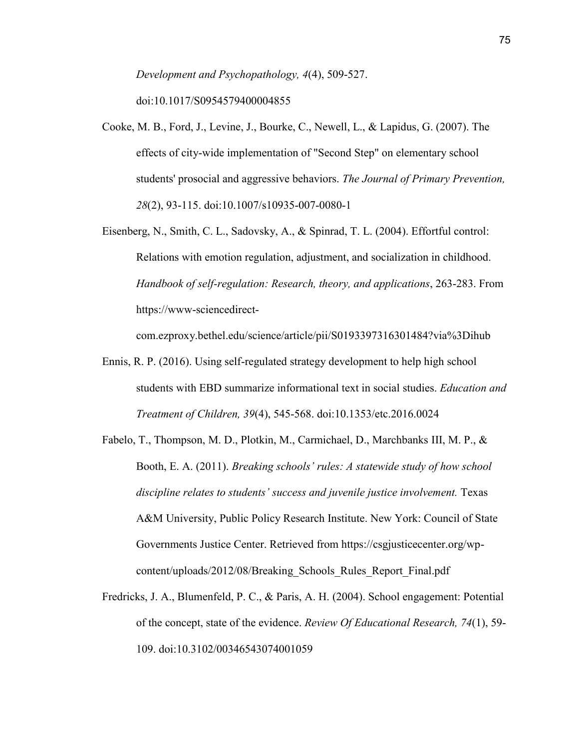*Development and Psychopathology, 4*(4), 509-527.

doi:10.1017/S0954579400004855

- Cooke, M. B., Ford, J., Levine, J., Bourke, C., Newell, L., & Lapidus, G. (2007). The effects of city-wide implementation of "Second Step" on elementary school students' prosocial and aggressive behaviors. *The Journal of Primary Prevention, 28*(2), 93-115. doi:10.1007/s10935-007-0080-1
- Eisenberg, N., Smith, C. L., Sadovsky, A., & Spinrad, T. L. (2004). Effortful control: Relations with emotion regulation, adjustment, and socialization in childhood. *Handbook of self-regulation: Research, theory, and applications*, 263-283. From https://www-sciencedirect-

com.ezproxy.bethel.edu/science/article/pii/S0193397316301484?via%3Dihub

- Ennis, R. P. (2016). Using self-regulated strategy development to help high school students with EBD summarize informational text in social studies. *Education and Treatment of Children, 39*(4), 545-568. doi:10.1353/etc.2016.0024
- Fabelo, T., Thompson, M. D., Plotkin, M., Carmichael, D., Marchbanks III, M. P., & Booth, E. A. (2011). *Breaking schools' rules: A statewide study of how school discipline relates to students' success and juvenile justice involvement.* Texas A&M University, Public Policy Research Institute. New York: Council of State Governments Justice Center. Retrieved from https://csgjusticecenter.org/wpcontent/uploads/2012/08/Breaking\_Schools\_Rules\_Report\_Final.pdf
- Fredricks, J. A., Blumenfeld, P. C., & Paris, A. H. (2004). School engagement: Potential of the concept, state of the evidence. *Review Of Educational Research, 74*(1), 59- 109. doi:10.3102/00346543074001059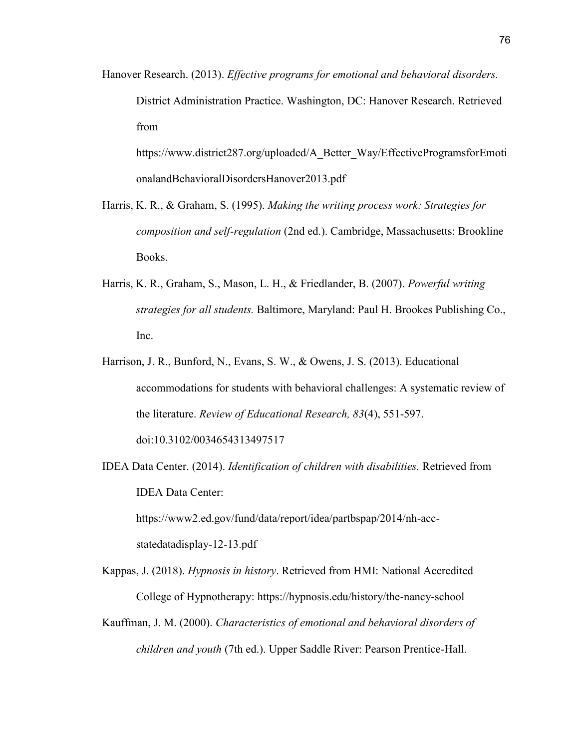Hanover Research. (2013). *Effective programs for emotional and behavioral disorders.* District Administration Practice. Washington, DC: Hanover Research. Retrieved from

https://www.district287.org/uploaded/A\_Better\_Way/EffectiveProgramsforEmoti onalandBehavioralDisordersHanover2013.pdf

- Harris, K. R., & Graham, S. (1995). *Making the writing process work: Strategies for composition and self-regulation* (2nd ed.). Cambridge, Massachusetts: Brookline Books.
- Harris, K. R., Graham, S., Mason, L. H., & Friedlander, B. (2007). *Powerful writing strategies for all students.* Baltimore, Maryland: Paul H. Brookes Publishing Co., Inc.
- Harrison, J. R., Bunford, N., Evans, S. W., & Owens, J. S. (2013). Educational accommodations for students with behavioral challenges: A systematic review of the literature. *Review of Educational Research, 83*(4), 551-597. doi:10.3102/0034654313497517
- IDEA Data Center. (2014). *Identification of children with disabilities.* Retrieved from IDEA Data Center: https://www2.ed.gov/fund/data/report/idea/partbspap/2014/nh-accstatedatadisplay-12-13.pdf
- Kappas, J. (2018). *Hypnosis in history*. Retrieved from HMI: National Accredited College of Hypnotherapy: https://hypnosis.edu/history/the-nancy-school
- Kauffman, J. M. (2000). *Characteristics of emotional and behavioral disorders of children and youth* (7th ed.). Upper Saddle River: Pearson Prentice-Hall.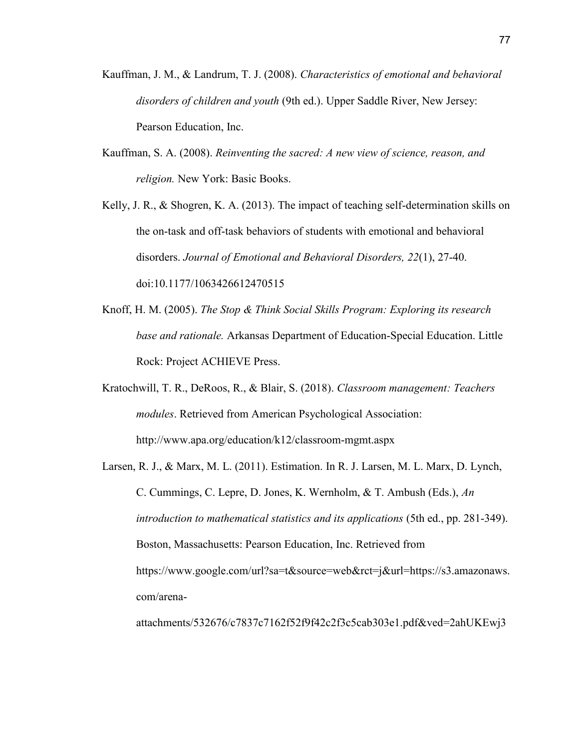- Kauffman, J. M., & Landrum, T. J. (2008). *Characteristics of emotional and behavioral disorders of children and youth* (9th ed.). Upper Saddle River, New Jersey: Pearson Education, Inc.
- Kauffman, S. A. (2008). *Reinventing the sacred: A new view of science, reason, and religion.* New York: Basic Books.

Kelly, J. R., & Shogren, K. A. (2013). The impact of teaching self-determination skills on the on-task and off-task behaviors of students with emotional and behavioral disorders. *Journal of Emotional and Behavioral Disorders, 22*(1), 27-40. doi:10.1177/1063426612470515

- Knoff, H. M. (2005). *The Stop & Think Social Skills Program: Exploring its research base and rationale.* Arkansas Department of Education-Special Education. Little Rock: Project ACHIEVE Press.
- Kratochwill, T. R., DeRoos, R., & Blair, S. (2018). *Classroom management: Teachers modules*. Retrieved from American Psychological Association: http://www.apa.org/education/k12/classroom-mgmt.aspx
- Larsen, R. J., & Marx, M. L. (2011). Estimation. In R. J. Larsen, M. L. Marx, D. Lynch, C. Cummings, C. Lepre, D. Jones, K. Wernholm, & T. Ambush (Eds.), *An introduction to mathematical statistics and its applications* (5th ed., pp. 281-349). Boston, Massachusetts: Pearson Education, Inc. Retrieved from https://www.google.com/url?sa=t&source=web&rct=j&url=https://s3.amazonaws. com/arena-

attachments/532676/c7837c7162f52f9f42c2f3c5cab303e1.pdf&ved=2ahUKEwj3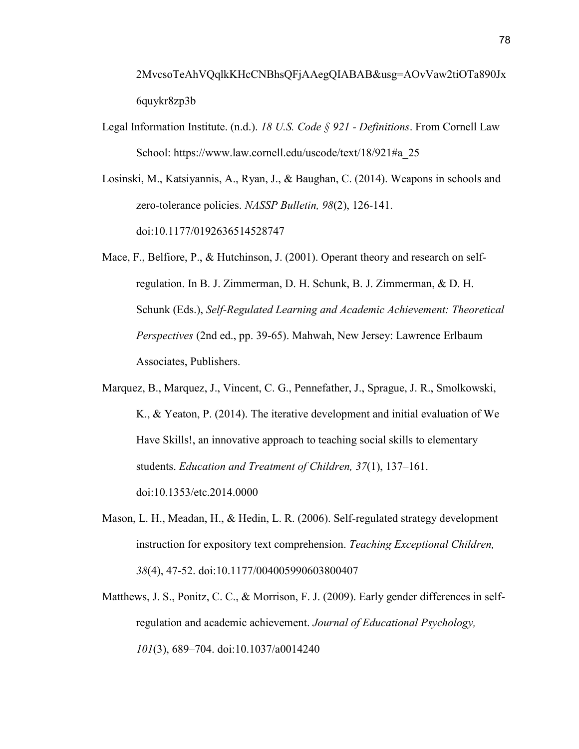2MvcsoTeAhVQqlkKHcCNBhsQFjAAegQIABAB&usg=AOvVaw2tiOTa890Jx 6quykr8zp3b

- Legal Information Institute. (n.d.). *18 U.S. Code § 921 Definitions*. From Cornell Law School: https://www.law.cornell.edu/uscode/text/18/921#a\_25
- Losinski, M., Katsiyannis, A., Ryan, J., & Baughan, C. (2014). Weapons in schools and zero-tolerance policies. *NASSP Bulletin, 98*(2), 126-141. doi:10.1177/0192636514528747
- Mace, F., Belfiore, P., & Hutchinson, J. (2001). Operant theory and research on selfregulation. In B. J. Zimmerman, D. H. Schunk, B. J. Zimmerman, & D. H. Schunk (Eds.), *Self-Regulated Learning and Academic Achievement: Theoretical Perspectives* (2nd ed., pp. 39-65). Mahwah, New Jersey: Lawrence Erlbaum Associates, Publishers.
- Marquez, B., Marquez, J., Vincent, C. G., Pennefather, J., Sprague, J. R., Smolkowski, K., & Yeaton, P. (2014). The iterative development and initial evaluation of We Have Skills!, an innovative approach to teaching social skills to elementary students. *Education and Treatment of Children, 37*(1), 137–161. doi:10.1353/etc.2014.0000
- Mason, L. H., Meadan, H., & Hedin, L. R. (2006). Self-regulated strategy development instruction for expository text comprehension. *Teaching Exceptional Children, 38*(4), 47-52. doi:10.1177/004005990603800407
- Matthews, J. S., Ponitz, C. C., & Morrison, F. J. (2009). Early gender differences in selfregulation and academic achievement. *Journal of Educational Psychology, 101*(3), 689–704. doi:10.1037/a0014240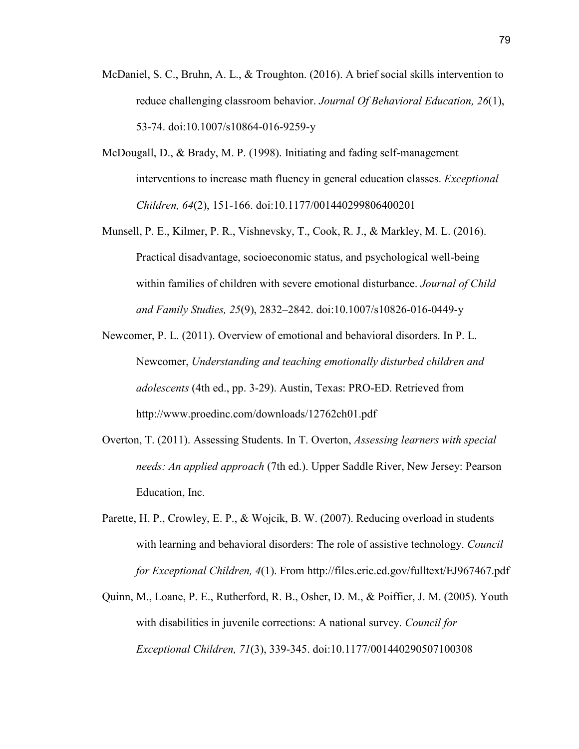- McDaniel, S. C., Bruhn, A. L., & Troughton. (2016). A brief social skills intervention to reduce challenging classroom behavior. *Journal Of Behavioral Education, 26*(1), 53-74. doi:10.1007/s10864-016-9259-y
- McDougall, D., & Brady, M. P. (1998). Initiating and fading self-management interventions to increase math fluency in general education classes. *Exceptional Children, 64*(2), 151-166. doi:10.1177/001440299806400201
- Munsell, P. E., Kilmer, P. R., Vishnevsky, T., Cook, R. J., & Markley, M. L. (2016). Practical disadvantage, socioeconomic status, and psychological well-being within families of children with severe emotional disturbance. *Journal of Child and Family Studies, 25*(9), 2832–2842. doi:10.1007/s10826-016-0449-y
- Newcomer, P. L. (2011). Overview of emotional and behavioral disorders. In P. L. Newcomer, *Understanding and teaching emotionally disturbed children and adolescents* (4th ed., pp. 3-29). Austin, Texas: PRO-ED. Retrieved from http://www.proedinc.com/downloads/12762ch01.pdf
- Overton, T. (2011). Assessing Students. In T. Overton, *Assessing learners with special needs: An applied approach* (7th ed.). Upper Saddle River, New Jersey: Pearson Education, Inc.
- Parette, H. P., Crowley, E. P., & Wojcik, B. W. (2007). Reducing overload in students with learning and behavioral disorders: The role of assistive technology. *Council for Exceptional Children, 4*(1). From http://files.eric.ed.gov/fulltext/EJ967467.pdf
- Quinn, M., Loane, P. E., Rutherford, R. B., Osher, D. M., & Poiffier, J. M. (2005). Youth with disabilities in juvenile corrections: A national survey. *Council for Exceptional Children, 71*(3), 339-345. doi:10.1177/001440290507100308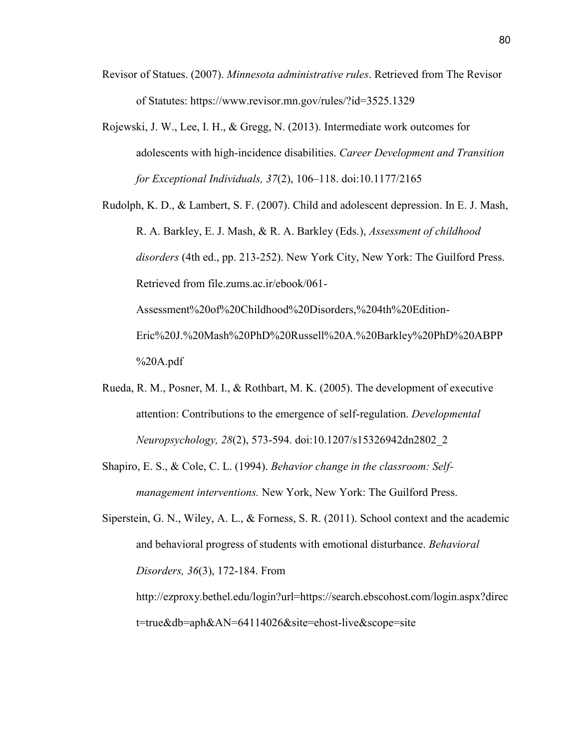- Revisor of Statues. (2007). *Minnesota administrative rules*. Retrieved from The Revisor of Statutes: https://www.revisor.mn.gov/rules/?id=3525.1329
- Rojewski, J. W., Lee, I. H., & Gregg, N. (2013). Intermediate work outcomes for adolescents with high-incidence disabilities. *Career Development and Transition for Exceptional Individuals, 37*(2), 106–118. doi:10.1177/2165

Rudolph, K. D., & Lambert, S. F. (2007). Child and adolescent depression. In E. J. Mash, R. A. Barkley, E. J. Mash, & R. A. Barkley (Eds.), *Assessment of childhood disorders* (4th ed., pp. 213-252). New York City, New York: The Guilford Press. Retrieved from file.zums.ac.ir/ebook/061- Assessment%20of%20Childhood%20Disorders,%204th%20Edition-Eric%20J.%20Mash%20PhD%20Russell%20A.%20Barkley%20PhD%20ABPP

%20A.pdf

- Rueda, R. M., Posner, M. I., & Rothbart, M. K. (2005). The development of executive attention: Contributions to the emergence of self-regulation. *Developmental Neuropsychology, 28*(2), 573-594. doi:10.1207/s15326942dn2802\_2
- Shapiro, E. S., & Cole, C. L. (1994). *Behavior change in the classroom: Selfmanagement interventions.* New York, New York: The Guilford Press.
- Siperstein, G. N., Wiley, A. L., & Forness, S. R. (2011). School context and the academic and behavioral progress of students with emotional disturbance. *Behavioral Disorders, 36*(3), 172-184. From

http://ezproxy.bethel.edu/login?url=https://search.ebscohost.com/login.aspx?direc t=true&db=aph&AN=64114026&site=ehost-live&scope=site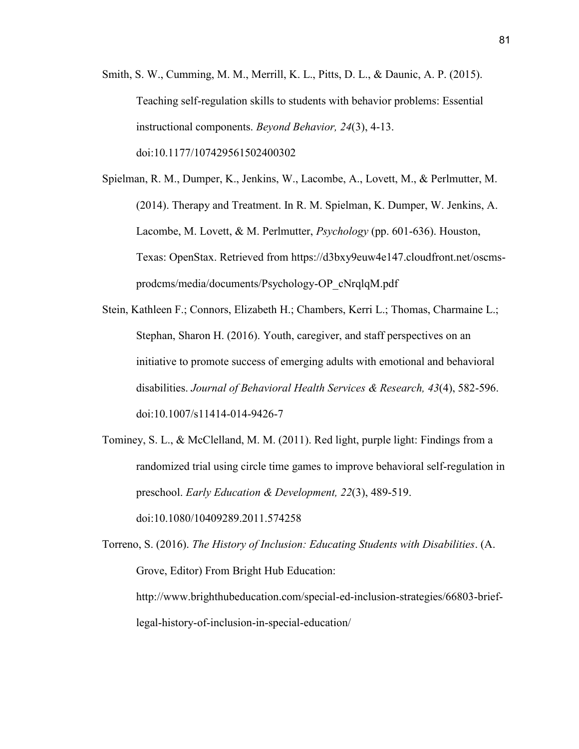- Smith, S. W., Cumming, M. M., Merrill, K. L., Pitts, D. L., & Daunic, A. P. (2015). Teaching self-regulation skills to students with behavior problems: Essential instructional components. *Beyond Behavior, 24*(3), 4-13. doi:10.1177/107429561502400302
- Spielman, R. M., Dumper, K., Jenkins, W., Lacombe, A., Lovett, M., & Perlmutter, M. (2014). Therapy and Treatment. In R. M. Spielman, K. Dumper, W. Jenkins, A. Lacombe, M. Lovett, & M. Perlmutter, *Psychology* (pp. 601-636). Houston, Texas: OpenStax. Retrieved from https://d3bxy9euw4e147.cloudfront.net/oscmsprodcms/media/documents/Psychology-OP\_cNrqlqM.pdf
- Stein, Kathleen F.; Connors, Elizabeth H.; Chambers, Kerri L.; Thomas, Charmaine L.; Stephan, Sharon H. (2016). Youth, caregiver, and staff perspectives on an initiative to promote success of emerging adults with emotional and behavioral disabilities. *Journal of Behavioral Health Services & Research, 43*(4), 582-596. doi:10.1007/s11414-014-9426-7
- Tominey, S. L., & McClelland, M. M. (2011). Red light, purple light: Findings from a randomized trial using circle time games to improve behavioral self-regulation in preschool. *Early Education & Development, 22*(3), 489-519. doi:10.1080/10409289.2011.574258

Torreno, S. (2016). *The History of Inclusion: Educating Students with Disabilities*. (A. Grove, Editor) From Bright Hub Education: http://www.brighthubeducation.com/special-ed-inclusion-strategies/66803-brieflegal-history-of-inclusion-in-special-education/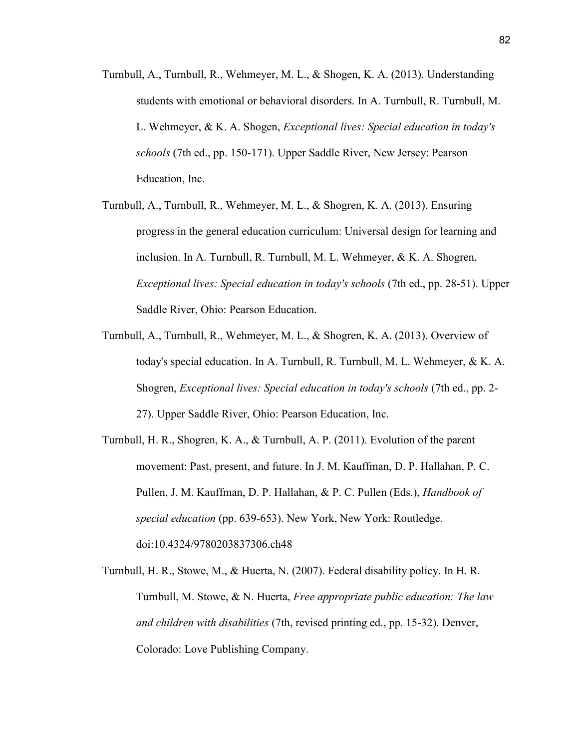- Turnbull, A., Turnbull, R., Wehmeyer, M. L., & Shogen, K. A. (2013). Understanding students with emotional or behavioral disorders. In A. Turnbull, R. Turnbull, M. L. Wehmeyer, & K. A. Shogen, *Exceptional lives: Special education in today's schools* (7th ed., pp. 150-171). Upper Saddle River, New Jersey: Pearson Education, Inc.
- Turnbull, A., Turnbull, R., Wehmeyer, M. L., & Shogren, K. A. (2013). Ensuring progress in the general education curriculum: Universal design for learning and inclusion. In A. Turnbull, R. Turnbull, M. L. Wehmeyer, & K. A. Shogren, *Exceptional lives: Special education in today's schools* (7th ed., pp. 28-51). Upper Saddle River, Ohio: Pearson Education.
- Turnbull, A., Turnbull, R., Wehmeyer, M. L., & Shogren, K. A. (2013). Overview of today's special education. In A. Turnbull, R. Turnbull, M. L. Wehmeyer, & K. A. Shogren, *Exceptional lives: Special education in today's schools* (7th ed., pp. 2- 27). Upper Saddle River, Ohio: Pearson Education, Inc.
- Turnbull, H. R., Shogren, K. A., & Turnbull, A. P. (2011). Evolution of the parent movement: Past, present, and future. In J. M. Kauffman, D. P. Hallahan, P. C. Pullen, J. M. Kauffman, D. P. Hallahan, & P. C. Pullen (Eds.), *Handbook of special education* (pp. 639-653). New York, New York: Routledge. doi:10.4324/9780203837306.ch48
- Turnbull, H. R., Stowe, M., & Huerta, N. (2007). Federal disability policy. In H. R. Turnbull, M. Stowe, & N. Huerta, *Free appropriate public education: The law and children with disabilities* (7th, revised printing ed., pp. 15-32). Denver, Colorado: Love Publishing Company.